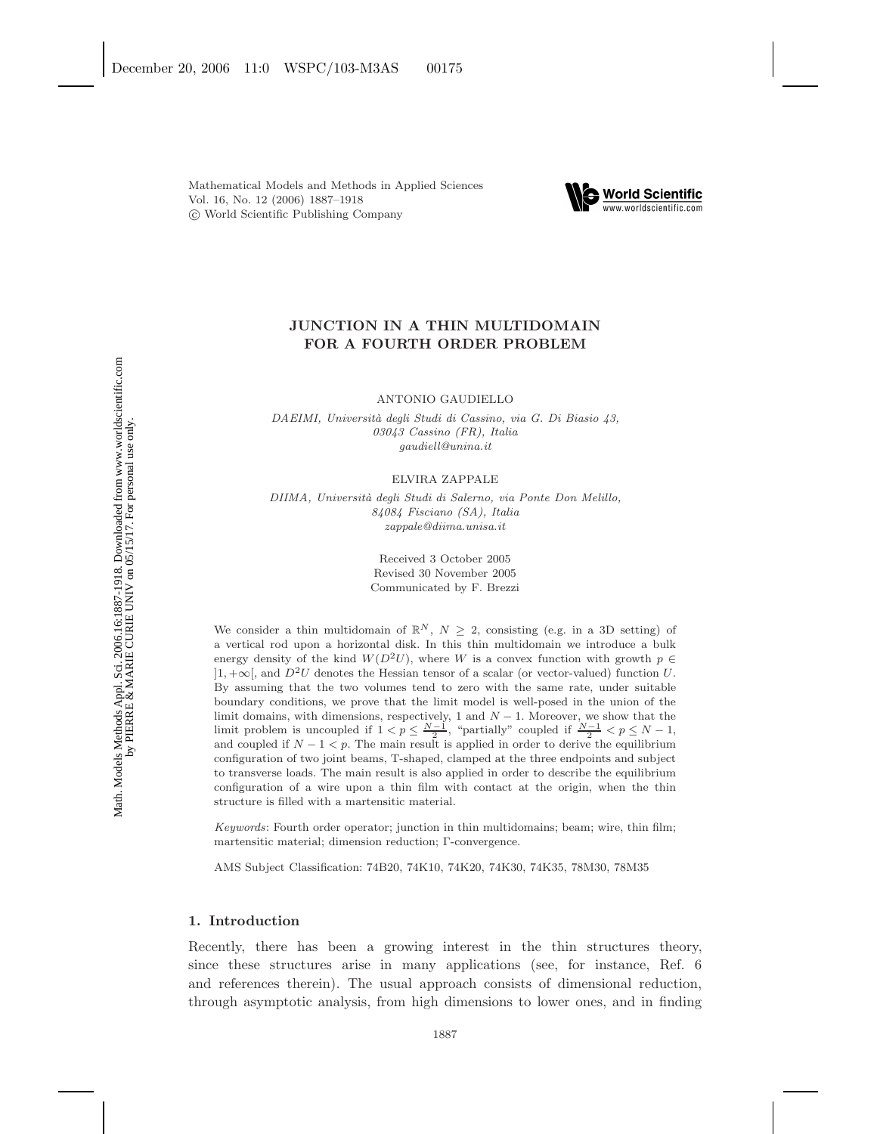

# **JUNCTION IN A THIN MULTIDOMAIN FOR A FOURTH ORDER PROBLEM**

ANTONIO GAUDIELLO

*DAEIMI, Universit`a degli Studi di Cassino, via G. Di Biasio 43, 03043 Cassino (FR), Italia gaudiell@unina.it*

ELVIRA ZAPPALE

*DIIMA, Universit`a degli Studi di Salerno, via Ponte Don Melillo, 84084 Fisciano (SA), Italia zappale@diima.unisa.it*

> Received 3 October 2005 Revised 30 November 2005 Communicated by F. Brezzi

We consider a thin multidomain of  $\mathbb{R}^N$ ,  $N \geq 2$ , consisting (e.g. in a 3D setting) of a vertical rod upon a horizontal disk. In this thin multidomain we introduce a bulk energy density of the kind  $W(D^2 U)$ , where *W* is a convex function with growth  $p \in$ ]1*,* <sup>+</sup>∞[, and *<sup>D</sup>*2*<sup>U</sup>* denotes the Hessian tensor of a scalar (or vector-valued) function *<sup>U</sup>*. By assuming that the two volumes tend to zero with the same rate, under suitable boundary conditions, we prove that the limit model is well-posed in the union of the limit domains, with dimensions, respectively, 1 and *N* − 1. Moreover, we show that the limit problem is uncoupled if  $1 < p \leq \frac{N-1}{2}$ , "partially" coupled if  $\frac{N-1}{2} < p \leq N-1$ , and coupled if  $N-1 < p$ . The main result is applied in order to derive the equilibrium configuration of two joint beams, T-shaped, clamped at the three endpoints and subject to transverse loads. The main result is also applied in order to describe the equilibrium configuration of a wire upon a thin film with contact at the origin, when the thin structure is filled with a martensitic material.

*Keywords*: Fourth order operator; junction in thin multidomains; beam; wire, thin film; martensitic material; dimension reduction; Γ-convergence.

AMS Subject Classification: 74B20, 74K10, 74K20, 74K30, 74K35, 78M30, 78M35

#### **1. Introduction**

Recently, there has been a growing interest in the thin structures theory, since these structures arise in many applications (see, for instance, Ref. 6 and references therein). The usual approach consists of dimensional reduction, through asymptotic analysis, from high dimensions to lower ones, and in finding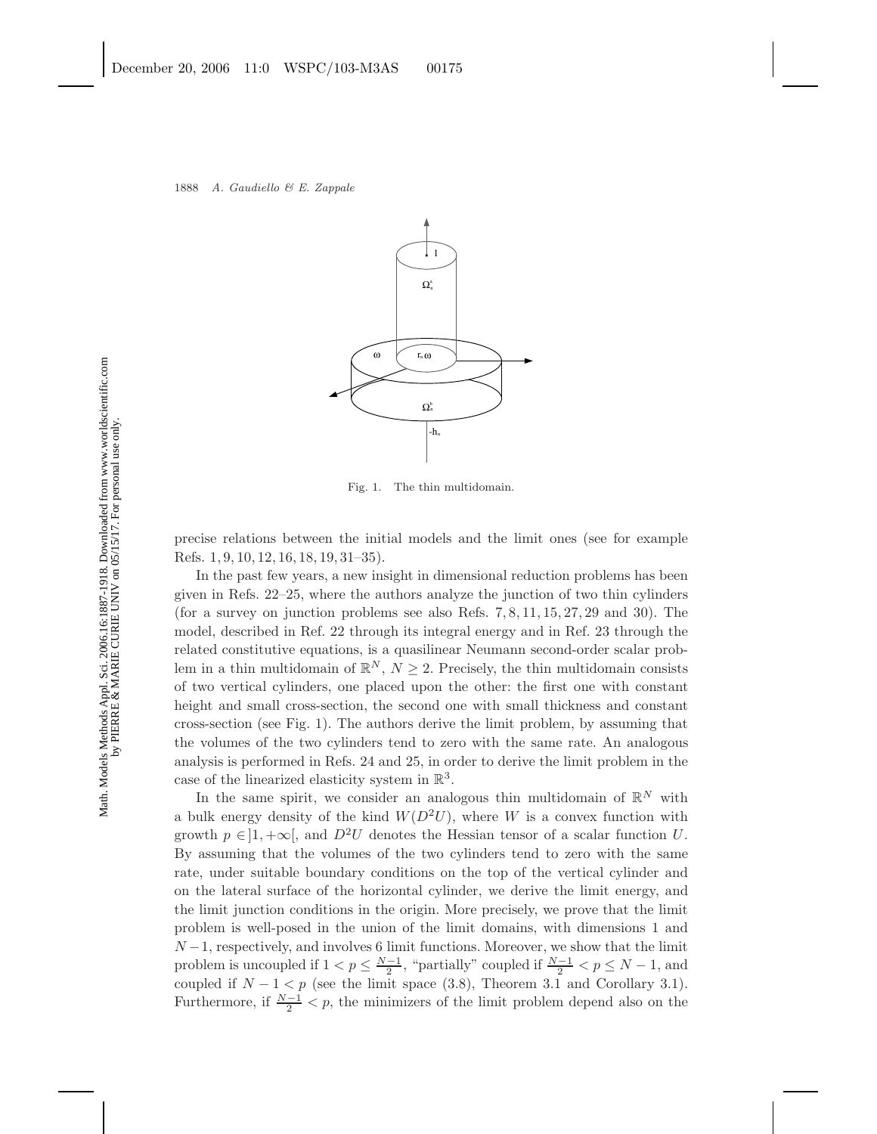

Fig. 1. The thin multidomain.

precise relations between the initial models and the limit ones (see for example Refs. 1, 9, 10, 12, 16, 18, 19, 31–35).

In the past few years, a new insight in dimensional reduction problems has been given in Refs. 22–25, where the authors analyze the junction of two thin cylinders (for a survey on junction problems see also Refs. 7, 8, 11, 15, 27, 29 and 30). The model, described in Ref. 22 through its integral energy and in Ref. 23 through the related constitutive equations, is a quasilinear Neumann second-order scalar problem in a thin multidomain of  $\mathbb{R}^N$ ,  $N \geq 2$ . Precisely, the thin multidomain consists of two vertical cylinders, one placed upon the other: the first one with constant height and small cross-section, the second one with small thickness and constant cross-section (see Fig. 1). The authors derive the limit problem, by assuming that the volumes of the two cylinders tend to zero with the same rate. An analogous analysis is performed in Refs. 24 and 25, in order to derive the limit problem in the case of the linearized elasticity system in  $\mathbb{R}^3$ .

In the same spirit, we consider an analogous thin multidomain of  $\mathbb{R}^N$  with a bulk energy density of the kind  $W(D^2U)$ , where W is a convex function with growth  $p \in ]1, +\infty[$ , and  $D^2U$  denotes the Hessian tensor of a scalar function U. By assuming that the volumes of the two cylinders tend to zero with the same rate, under suitable boundary conditions on the top of the vertical cylinder and on the lateral surface of the horizontal cylinder, we derive the limit energy, and the limit junction conditions in the origin. More precisely, we prove that the limit problem is well-posed in the union of the limit domains, with dimensions 1 and  $N-1$ , respectively, and involves 6 limit functions. Moreover, we show that the limit problem is uncoupled if  $1 < p \leq \frac{N-1}{2}$ , "partially" coupled if  $\frac{N-1}{2} < p \leq N-1$ , and coupled if  $N - 1 < p$  (see the limit space (3.8), Theorem 3.1 and Corollary 3.1). Furthermore, if  $\frac{N-1}{2} < p$ , the minimizers of the limit problem depend also on the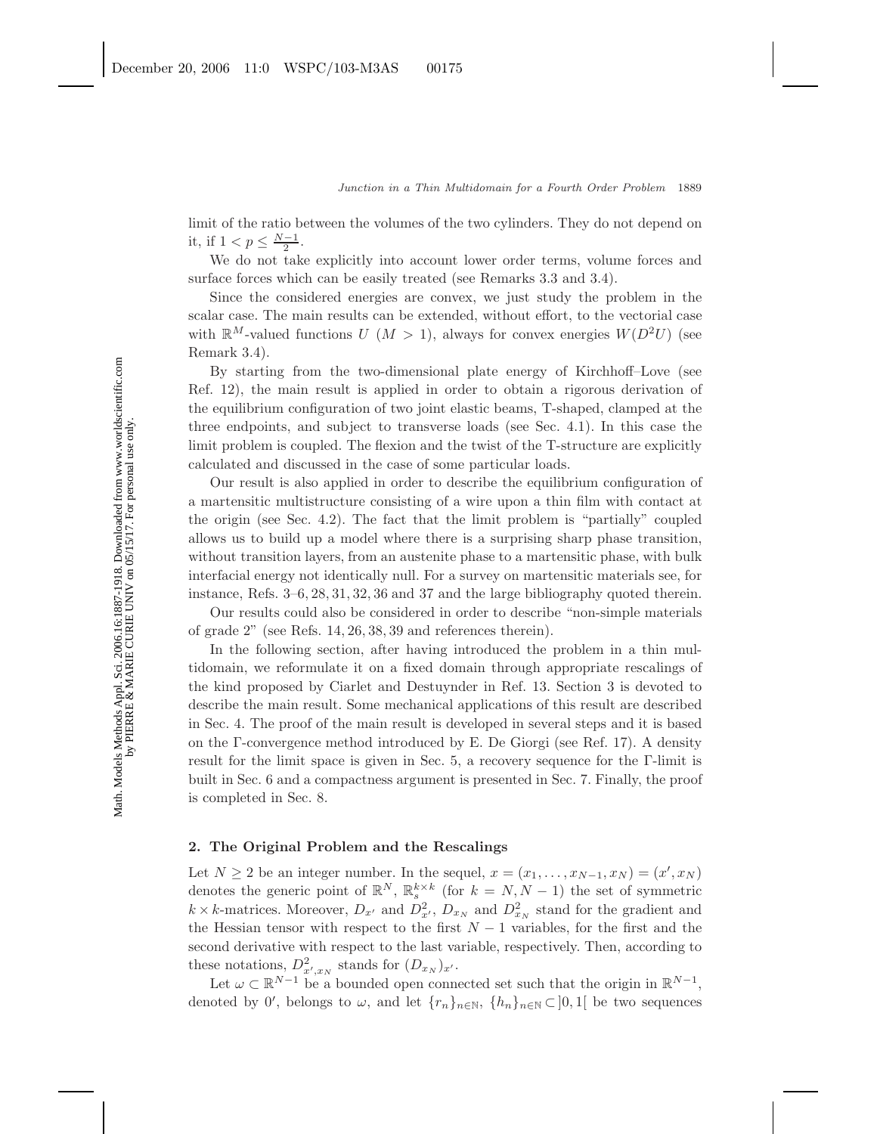limit of the ratio between the volumes of the two cylinders. They do not depend on it, if  $1 < p \leq \frac{N-1}{2}$ .

We do not take explicitly into account lower order terms, volume forces and surface forces which can be easily treated (see Remarks 3.3 and 3.4).

Since the considered energies are convex, we just study the problem in the scalar case. The main results can be extended, without effort, to the vectorial case with  $\mathbb{R}^M$ -valued functions  $U(M > 1)$ , always for convex energies  $W(D^2U)$  (see Remark 3.4).

By starting from the two-dimensional plate energy of Kirchhoff–Love (see Ref. 12), the main result is applied in order to obtain a rigorous derivation of the equilibrium configuration of two joint elastic beams, T-shaped, clamped at the three endpoints, and subject to transverse loads (see Sec. 4.1). In this case the limit problem is coupled. The flexion and the twist of the T-structure are explicitly calculated and discussed in the case of some particular loads.

Our result is also applied in order to describe the equilibrium configuration of a martensitic multistructure consisting of a wire upon a thin film with contact at the origin (see Sec. 4.2). The fact that the limit problem is "partially" coupled allows us to build up a model where there is a surprising sharp phase transition, without transition layers, from an austenite phase to a martensitic phase, with bulk interfacial energy not identically null. For a survey on martensitic materials see, for instance, Refs. 3–6, 28, 31, 32, 36 and 37 and the large bibliography quoted therein.

Our results could also be considered in order to describe "non-simple materials of grade 2" (see Refs. 14, 26, 38, 39 and references therein).

In the following section, after having introduced the problem in a thin multidomain, we reformulate it on a fixed domain through appropriate rescalings of the kind proposed by Ciarlet and Destuynder in Ref. 13. Section 3 is devoted to describe the main result. Some mechanical applications of this result are described in Sec. 4. The proof of the main result is developed in several steps and it is based on the Γ-convergence method introduced by E. De Giorgi (see Ref. 17). A density result for the limit space is given in Sec. 5, a recovery sequence for the Γ-limit is built in Sec. 6 and a compactness argument is presented in Sec. 7. Finally, the proof is completed in Sec. 8.

# **2. The Original Problem and the Rescalings**

Let  $N \ge 2$  be an integer number. In the sequel,  $x = (x_1, \ldots, x_{N-1}, x_N) = (x', x_N)$ denotes the generic point of  $\mathbb{R}^N$ ,  $\mathbb{R}^{k \times k}$  (for  $k = N, N - 1$ ) the set of symmetric  $k \times k$ -matrices. Moreover,  $D_{x'}$  and  $D_{x'}^2$ ,  $D_{x_N}$  and  $D_{x_N}^2$  stand for the gradient and the Hessian tensor with respect to the first  $N-1$  variables, for the first and the second derivative with respect to the last variable, respectively. Then, according to these notations,  $D_{x',x_N}^2$  stands for  $(D_{x_N})_{x'}$ .

Let  $\omega \subset \mathbb{R}^{N-1}$  be a bounded open connected set such that the origin in  $\mathbb{R}^{N-1}$ . denoted by 0', belongs to  $\omega$ , and let  $\{r_n\}_{n\in\mathbb{N}}$ ,  $\{h_n\}_{n\in\mathbb{N}}\subset]0,1[$  be two sequences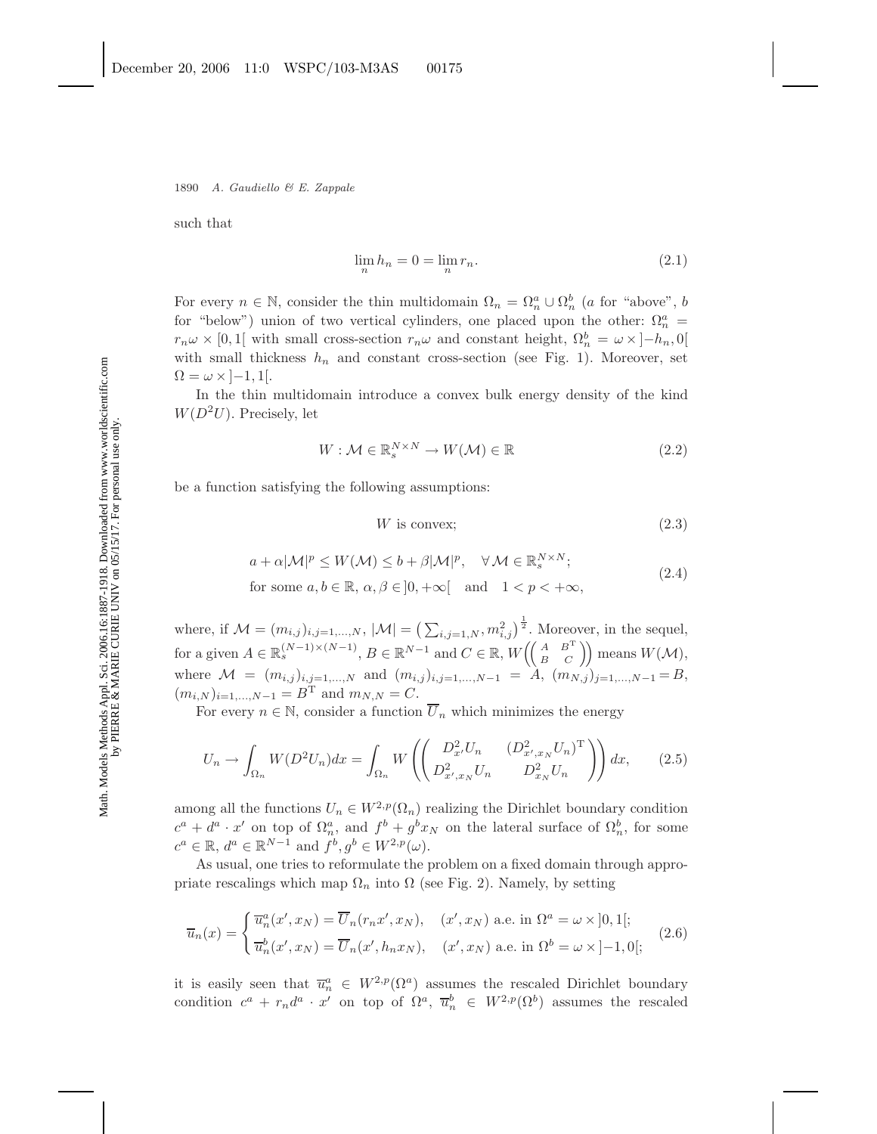1890 *A. Gaudiello & E. Zappale*

such that

$$
\lim_{n} h_n = 0 = \lim_{n} r_n. \tag{2.1}
$$

For every  $n \in \mathbb{N}$ , consider the thin multidomain  $\Omega_n = \Omega_n^a \cup \Omega_n^b$  (a for "above", b for "below") union of two vertical cylinders, one placed upon the other:  $\Omega_n^a$  =  $r_n \omega \times [0,1]$  with small cross-section  $r_n \omega$  and constant height,  $\Omega_n^b = \omega \times [-h_n,0]$ with small thickness  $h_n$  and constant cross-section (see Fig. 1). Moreover, set  $\Omega = \omega \times [-1, 1].$ 

In the thin multidomain introduce a convex bulk energy density of the kind  $W(D^2U)$ . Precisely, let

$$
W: \mathcal{M} \in \mathbb{R}_s^{N \times N} \to W(\mathcal{M}) \in \mathbb{R}
$$
\n
$$
(2.2)
$$

be a function satisfying the following assumptions:

$$
W \text{ is convex};\tag{2.3}
$$

$$
a + \alpha |\mathcal{M}|^p \le W(\mathcal{M}) \le b + \beta |\mathcal{M}|^p, \quad \forall \mathcal{M} \in \mathbb{R}_s^{N \times N};
$$
  
for some  $a, b \in \mathbb{R}, \alpha, \beta \in ]0, +\infty[$  and  $1 < p < +\infty$ , (2.4)

where, if  $\mathcal{M} = (m_{i,j})_{i,j=1,\ldots,N}$ ,  $|\mathcal{M}| = \left(\sum_{i,j=1,N}^N m_{i,j}^2\right)^{\frac{1}{2}}$ . Moreover, in the sequel, for a given  $A \in \mathbb{R}_s^{(N-1)\times(N-1)}$ ,  $B \in \mathbb{R}^{N-1}$  and  $C \in \mathbb{R}$ ,  $W\left(\begin{pmatrix} A & B^T \\ B & C \end{pmatrix}\right)$  means  $W(\mathcal{M})$ , where  $\mathcal{M} = (m_{i,j})_{i,j=1,...,N}$  and  $(m_{i,j})_{i,j=1,...,N-1} = A$ ,  $(m_{N,j})_{j=1,...,N-1} = B$ ,  $(m_{i,N})_{i=1,...,N-1} = B^{\mathrm{T}}$  and  $m_{N,N} = C$ .

For every  $n \in \mathbb{N}$ , consider a function  $\overline{U}_n$  which minimizes the energy

$$
U_n \to \int_{\Omega_n} W(D^2 U_n) dx = \int_{\Omega_n} W\left( \begin{pmatrix} D_{x'}^2 U_n & (D_{x',x_N}^2 U_n)^{\mathrm{T}} \\ D_{x',x_N}^2 U_n & D_{x_N}^2 U_n \end{pmatrix} \right) dx, \tag{2.5}
$$

among all the functions  $U_n \in W^{2,p}(\Omega_n)$  realizing the Dirichlet boundary condition  $c^a + d^a \cdot x'$  on top of  $\Omega_n^a$ , and  $f^b + g^b x_N$  on the lateral surface of  $\Omega_n^b$ , for some  $c^a \in \mathbb{R}, d^a \in \mathbb{R}^{N-1}$  and  $f^b, g^b \in W^{2,p}(\omega)$ .

As usual, one tries to reformulate the problem on a fixed domain through appropriate rescalings which map  $\Omega_n$  into  $\Omega$  (see Fig. 2). Namely, by setting

$$
\overline{u}_n(x) = \begin{cases} \overline{u}_n^a(x', x_N) = \overline{U}_n(r_n x', x_N), & (x', x_N) \text{ a.e. in } \Omega^a = \omega \times ]0, 1[; \\ \overline{u}_n^b(x', x_N) = \overline{U}_n(x', h_n x_N), & (x', x_N) \text{ a.e. in } \Omega^b = \omega \times ]-1, 0[; \end{cases}
$$
(2.6)

it is easily seen that  $\overline{u}_n^a \in W^{2,p}(\Omega^a)$  assumes the rescaled Dirichlet boundary condition  $c^a + r_n d^a \cdot x'$  on top of  $\Omega^a$ ,  $\overline{u}_n^b \in W^{2,p}(\Omega^b)$  assumes the rescaled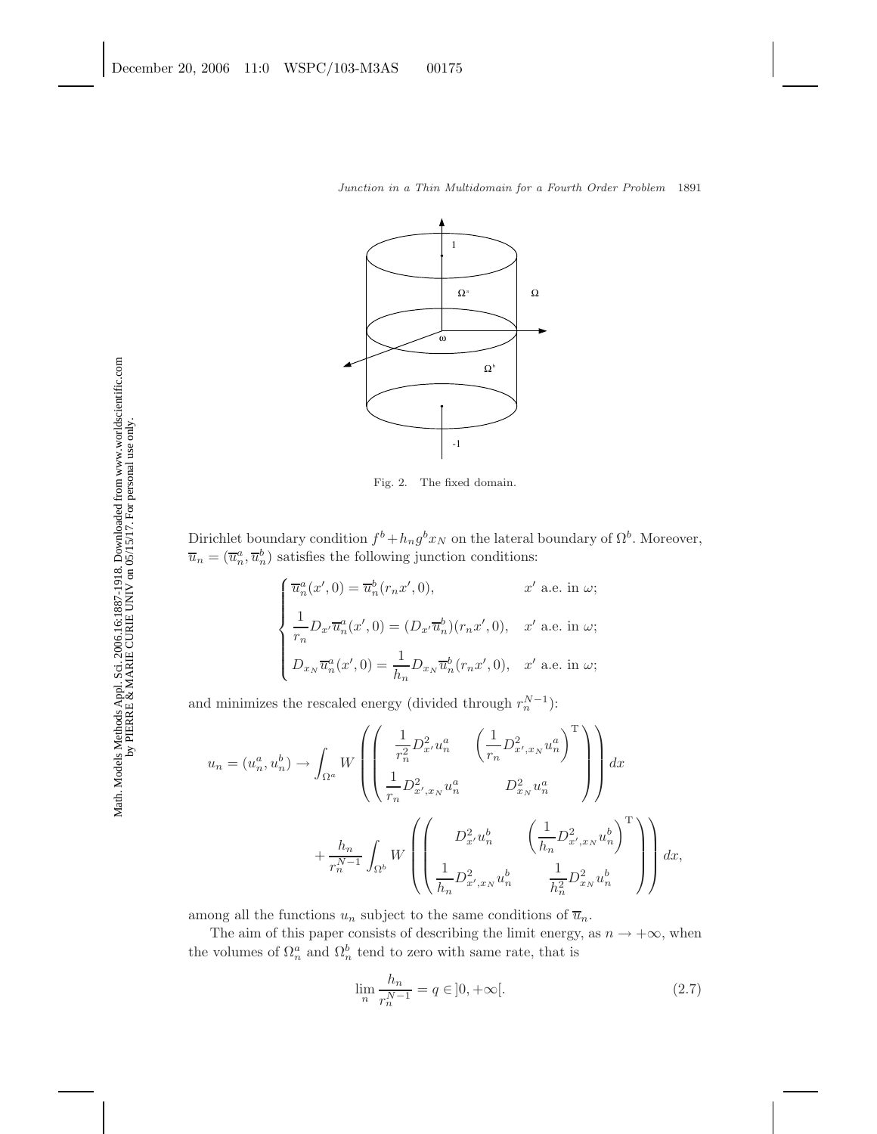

Fig. 2. The fixed domain.

Dirichlet boundary condition  $f^b + h_n g^b x_N$  on the lateral boundary of  $\Omega^b$ . Moreover,  $\overline{u}_n = (\overline{u}_n^a, \overline{u}_n^b)$  satisfies the following junction conditions:

$$
\begin{cases}\n\overline{u}_n^a(x',0) = \overline{u}_n^b(r_n x', 0), & x' \text{ a.e. in } \omega; \\
\frac{1}{r_n} D_{x'} \overline{u}_n^a(x',0) = (D_{x'} \overline{u}_n^b)(r_n x', 0), & x' \text{ a.e. in } \omega; \\
D_{x_N} \overline{u}_n^a(x',0) = \frac{1}{h_n} D_{x_N} \overline{u}_n^b(r_n x', 0), & x' \text{ a.e. in } \omega;\n\end{cases}
$$

and minimizes the rescaled energy (divided through  $r_n^{N-1}$ ):

$$
u_n = (u_n^a, u_n^b) \to \int_{\Omega^a} W \left( \begin{pmatrix} \frac{1}{r_n^2} D_{x'}^2 u_n^a & \left(\frac{1}{r_n} D_{x',x_N}^2 u_n^a\right)^{\mathrm{T}} \\ \frac{1}{r_n} D_{x',x_N}^2 u_n^a & D_{x_N}^2 u_n^a \end{pmatrix} \right) dx + \frac{h_n}{r_n^{N-1}} \int_{\Omega^b} W \left( \begin{pmatrix} D_{x'}^2 u_n^b & \left(\frac{1}{h_n} D_{x',x_N}^2 u_n^b\right)^{\mathrm{T}} \\ \frac{1}{h_n} D_{x',x_N}^2 u_n^b & \frac{1}{h_n^2} D_{x_N}^2 u_n^b \end{pmatrix} \right) dx,
$$

among all the functions  $u_n$  subject to the same conditions of  $\overline{u}_n$ .

The aim of this paper consists of describing the limit energy, as  $n \to +\infty$ , when the volumes of  $\Omega_n^a$  and  $\Omega_n^b$  tend to zero with same rate, that is

$$
\lim_{n} \frac{h_n}{r_n^{N-1}} = q \in ]0, +\infty[.
$$
\n(2.7)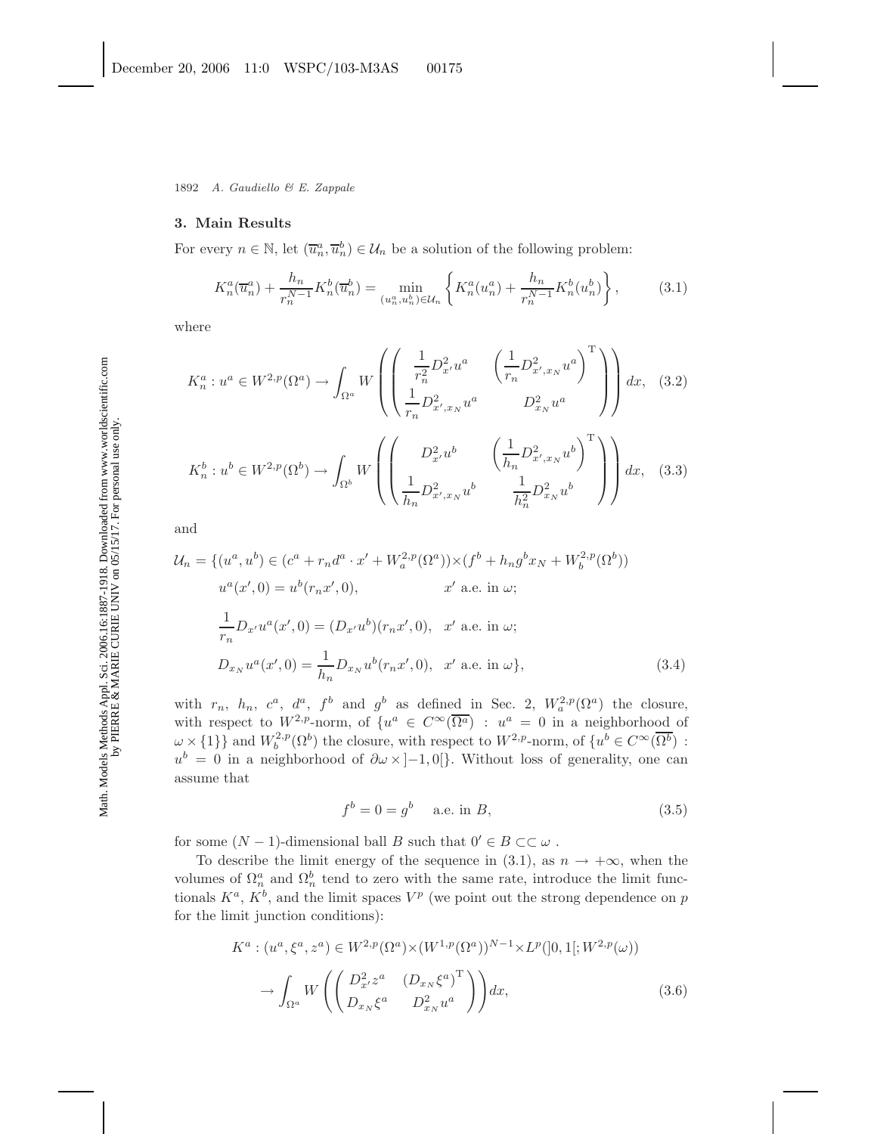1892 *A. Gaudiello & E. Zappale*

#### **3. Main Results**

For every  $n \in \mathbb{N}$ , let  $(\overline{u}_n^a, \overline{u}_n^b) \in \mathcal{U}_n$  be a solution of the following problem:

$$
K_n^a(\overline{u}_n^a) + \frac{h_n}{r_n^{N-1}} K_n^b(\overline{u}_n^b) = \min_{(u_n^a, u_n^b) \in \mathcal{U}_n} \left\{ K_n^a(u_n^a) + \frac{h_n}{r_n^{N-1}} K_n^b(u_n^b) \right\},\tag{3.1}
$$

where

$$
K_n^a: u^a \in W^{2,p}(\Omega^a) \to \int_{\Omega^a} W \left( \begin{pmatrix} \frac{1}{r_n^2} D_{x'}^2 u^a & \left(\frac{1}{r_n} D_{x',x_N}^2 u^a\right)^{\mathrm{T}} \\ \frac{1}{r_n} D_{x',x_N}^2 u^a & D_{x_N}^2 u^a \end{pmatrix} \right) dx, (3.2)
$$
  

$$
K_n^b: u^b \in W^{2,p}(\Omega^b) \to \int_{\Omega^b} W \left( \begin{pmatrix} D_{x'}^2 u^b & \left(\frac{1}{h_n} D_{x',x_N}^2 u^b\right)^{\mathrm{T}} \\ \frac{1}{h_n} D_{x',x_N}^2 u^b & \frac{1}{h_n^2} D_{x_N}^2 u^b \end{pmatrix} \right) dx, (3.3)
$$

and

$$
\mathcal{U}_n = \{ (u^a, u^b) \in (c^a + r_n d^a \cdot x' + W_a^{2,p}(\Omega^a)) \times (f^b + h_n g^b x_N + W_b^{2,p}(\Omega^b))
$$
  
\n
$$
u^a(x', 0) = u^b(r_n x', 0), \qquad x' \text{ a.e. in } \omega;
$$
  
\n
$$
\frac{1}{r_n} D_{x'} u^a(x', 0) = (D_{x'} u^b)(r_n x', 0), \quad x' \text{ a.e. in } \omega;
$$
  
\n
$$
D_{x_N} u^a(x', 0) = \frac{1}{h_n} D_{x_N} u^b(r_n x', 0), \quad x' \text{ a.e. in } \omega \},
$$
  
\n(3.4)

with  $r_n$ ,  $h_n$ ,  $c^a$ ,  $d^a$ ,  $f^b$  and  $g^b$  as defined in Sec. 2,  $W_a^{2,p}(\Omega^a)$  the closure, with respect to  $W^{2,p}$ -norm, of  $\{u^a \in C^{\infty}(\overline{\Omega^a}) : u^a = 0$  in a neighborhood of  $\omega \times \{1\}$  and  $W_b^{2,p}(\Omega^b)$  the closure, with respect to  $W^{2,p}$ -norm, of  $\{u^b \in C^{\infty}(\overline{\Omega^b})\}$ :  $u^b = 0$  in a neighborhood of  $\partial \omega \times ]-1,0[$ . Without loss of generality, one can assume that

$$
f^{b} = 0 = g^{b} \quad \text{a.e. in } B,\tag{3.5}
$$

for some  $(N-1)$ -dimensional ball B such that  $0' \in B \subset\subset \omega$ .

To describe the limit energy of the sequence in (3.1), as  $n \to +\infty$ , when the volumes of  $\Omega_n^a$  and  $\Omega_n^b$  tend to zero with the same rate, introduce the limit functionals  $K^a$ ,  $K^b$ , and the limit spaces  $V^p$  (we point out the strong dependence on p for the limit junction conditions):

$$
K^{a}: (u^{a}, \xi^{a}, z^{a}) \in W^{2, p}(\Omega^{a}) \times (W^{1, p}(\Omega^{a}))^{N-1} \times L^{p}([0, 1]; W^{2, p}(\omega))
$$

$$
\to \int_{\Omega^{a}} W\left(\begin{pmatrix} D_{x}^{2} z^{a} & (D_{x_{N}}\xi^{a})^{\mathrm{T}} \\ D_{x_{N}}\xi^{a} & D_{x_{N}}^{2} u^{a} \end{pmatrix}\right) dx, \tag{3.6}
$$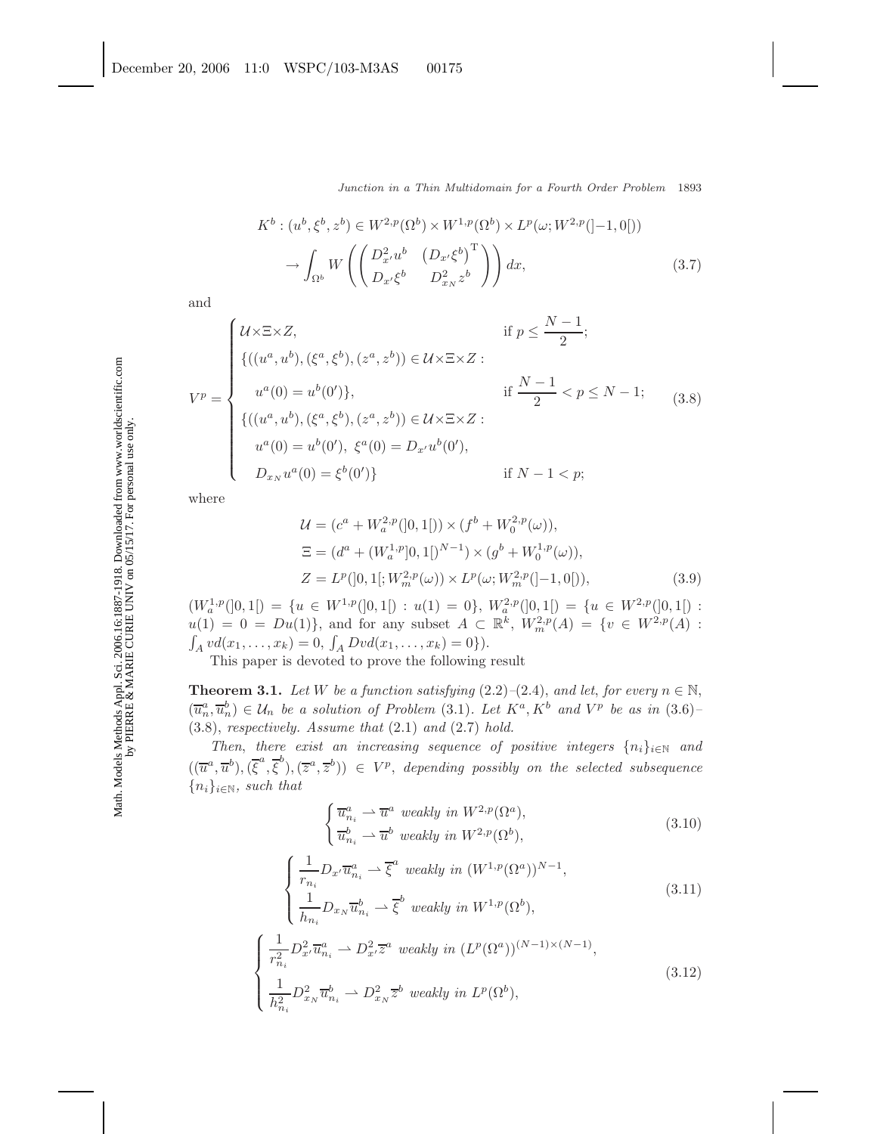$$
K^b: (u^b, \xi^b, z^b) \in W^{2,p}(\Omega^b) \times W^{1,p}(\Omega^b) \times L^p(\omega; W^{2,p}([-1,0]))
$$

$$
\rightarrow \int_{\Omega^b} W\left(\begin{pmatrix} D_{x'}^2 u^b & \left(D_{x'}\xi^b\right)^{\mathrm{T}}\\ D_{x'}\xi^b & D_{x_N}^2 z^b \end{pmatrix}\right) dx, \tag{3.7}
$$

and

$$
V^{p} = \begin{cases} \mathcal{U} \times \Xi \times Z, & \text{if } p \leq \frac{N-1}{2}; \\ \{((u^{a}, u^{b}), (\xi^{a}, \xi^{b}), (z^{a}, z^{b})) \in \mathcal{U} \times \Xi \times Z : \\ u^{a}(0) = u^{b}(0')\}, & \text{if } \frac{N-1}{2} < p \leq N-1; \\ \{((u^{a}, u^{b}), (\xi^{a}, \xi^{b}), (z^{a}, z^{b})) \in \mathcal{U} \times \Xi \times Z : \\ u^{a}(0) = u^{b}(0'), \xi^{a}(0) = D_{x'}u^{b}(0'), \\ D_{x_{N}}u^{a}(0) = \xi^{b}(0')\} & \text{if } N-1 < p; \end{cases}
$$
(3.8)

where

$$
\mathcal{U} = (c^a + W_a^{2,p}([0,1[)) \times (f^b + W_0^{2,p}(\omega)),
$$
  
\n
$$
\Xi = (d^a + (W_a^{1,p}[0,1[)^{N-1}) \times (g^b + W_0^{1,p}(\omega)),
$$
  
\n
$$
Z = L^p([0,1[;W_m^{2,p}(\omega)) \times L^p(\omega;W_m^{2,p}([-1,0[)),
$$
\n(3.9)

 $(W_a^{1,p}(]0,1[) = \{u \in W^{1,p}(]0,1[) : u(1) = 0\}, W_a^{2,p}(]0,1[) = \{u \in W^{2,p}(]0,1[) : u(1) = 0\}$  $u(1) = 0 = Du(1)$ , and for any subset  $A \subset \mathbb{R}^k$ ,  $W_m^{2,p}(A) = \{v \in W^{2,p}(A) :$  $\int_A v d(x_1,\ldots,x_k) = 0, \int_A Dvd(x_1,\ldots,x_k) = 0\}.$ 

This paper is devoted to prove the following result

**Theorem 3.1.** *Let* W *be a function satisfying* (2.2)–(2.4), *and let, for every*  $n \in \mathbb{N}$ ,  $(\overline{u}_n^a, \overline{u}_n^b) \in \mathcal{U}_n$  *be a solution of Problem* (3.1)*.* Let  $K^a, K^b$  *and*  $V^p$  *be as in* (3.6)*–* (3.8), *respectively. Assume that* (2.1) *and* (2.7) *hold.*

*Then, there exist an increasing sequence of positive integers*  $\{n_i\}_{i\in\mathbb{N}}$  *and*  $((\overline{u}^a, \overline{u}^b), (\overline{\xi}^a, \overline{\xi}^b), (\overline{z}^a, \overline{z}^b)) \in V^p$ , *depending possibly on the selected subsequence* {ni}<sup>i</sup>∈<sup>N</sup>*, such that*

$$
\begin{cases} \overline{u}_{n_i}^a \rightharpoonup \overline{u}^a \text{ weakly in } W^{2,p}(\Omega^a), \\ \overline{u}_{n_i}^b \rightharpoonup \overline{u}^b \text{ weakly in } W^{2,p}(\Omega^b), \end{cases} \tag{3.10}
$$

$$
\begin{cases}\n\frac{1}{r_{n_i}} D_{x'} \overline{u}_{n_i}^a \rightharpoonup \overline{\xi}^a \text{ weakly in } (W^{1,p}(\Omega^a))^{N-1}, \\
\frac{1}{h_{n_i}} D_{x_N} \overline{u}_{n_i}^b \rightharpoonup \overline{\xi}^b \text{ weakly in } W^{1,p}(\Omega^b), \\
\frac{1}{r_{n_i}^2} D_{x'}^2 \overline{u}_{n_i}^a \rightharpoonup D_{x'}^2 \overline{z}^a \text{ weakly in } (L^p(\Omega^a))^{(N-1)\times(N-1)}, \\
\frac{1}{h_{n_i}^2} D_{x_N}^2 \overline{u}_{n_i}^b \rightharpoonup D_{x_N}^2 \overline{z}^b \text{ weakly in } L^p(\Omega^b),\n\end{cases} \tag{3.12}
$$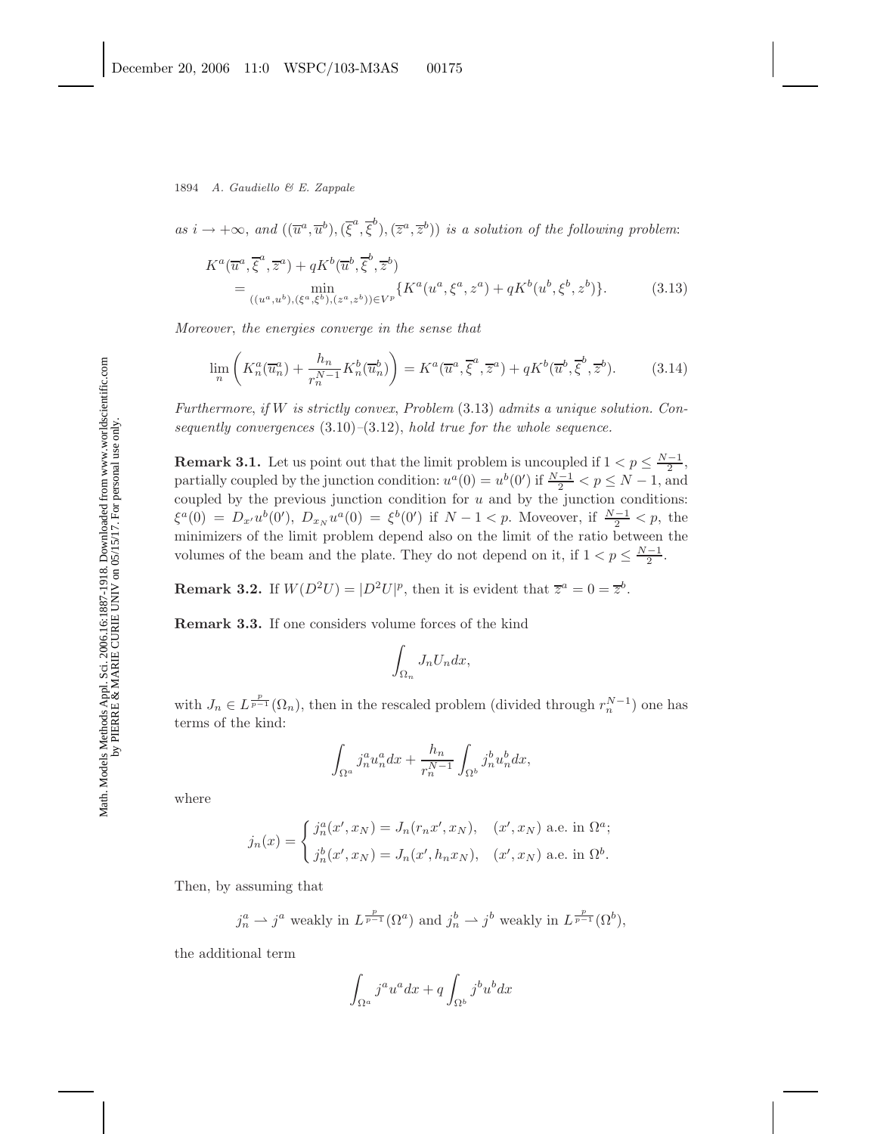$as i \to +\infty$ , and  $((\overline{u}^a, \overline{u}^b), (\overline{\xi}^a, \overline{\xi}^b), (\overline{z}^a, \overline{z}^b))$  *is a solution of the following problem*:

$$
K^{a}(\overline{u}^{a}, \overline{\xi}^{a}, \overline{z}^{a}) + qK^{b}(\overline{u}^{b}, \overline{\xi}^{b}, \overline{z}^{b})
$$
  
= 
$$
\min_{((u^{a}, u^{b}), (\xi^{a}, \xi^{b}), (z^{a}, z^{b})) \in V^{p}} \{ K^{a}(u^{a}, \xi^{a}, z^{a}) + qK^{b}(u^{b}, \xi^{b}, z^{b}) \}.
$$
 (3.13)

*Moreover*, *the energies converge in the sense that*

$$
\lim_{n} \left( K_n^a(\overline{u}_n^a) + \frac{h_n}{r_n^{N-1}} K_n^b(\overline{u}_n^b) \right) = K^a(\overline{u}^a, \overline{\xi}^a, \overline{z}^a) + qK^b(\overline{u}^b, \overline{\xi}^b, \overline{z}^b). \tag{3.14}
$$

*Furthermore*, *if* W *is strictly convex*, *Problem* (3.13) *admits a unique solution. Consequently convergences* (3.10)*–*(3.12), *hold true for the whole sequence.*

**Remark 3.1.** Let us point out that the limit problem is uncoupled if  $1 < p \leq \frac{N-1}{2}$ , partially coupled by the junction condition:  $u^a(0) = u^b(0')$  if  $\frac{N-1}{2} < p \le N-1$ , and coupled by the previous junction condition for  $u$  and by the junction conditions:  $\xi^a(0) = D_{x'}u^b(0'), D_{x_N}u^a(0) = \xi^b(0')$  if  $N-1 < p$ . Moveover, if  $\frac{N-1}{2} < p$ , the minimizers of the limit problem depend also on the limit of the ratio between the volumes of the beam and the plate. They do not depend on it, if  $1 < p \leq \frac{N-1}{2}$ .

**Remark 3.2.** If  $W(D^2U) = |D^2U|^p$ , then it is evident that  $\overline{z}^a = 0 = \overline{z}^b$ .

**Remark 3.3.** If one considers volume forces of the kind

$$
\int_{\Omega_n} J_n U_n dx,
$$

with  $J_n \in L^{\frac{p}{p-1}}(\Omega_n)$ , then in the rescaled problem (divided through  $r_n^{N-1}$ ) one has terms of the kind:

$$
\int_{\Omega^a} j_n^a u_n^a dx + \frac{h_n}{r_n^{N-1}} \int_{\Omega^b} j_n^b u_n^b dx,
$$

where

$$
j_n(x) = \begin{cases} j_n^a(x', x_N) = J_n(r_n x', x_N), & (x', x_N) \text{ a.e. in } \Omega^a; \\ j_n^b(x', x_N) = J_n(x', h_n x_N), & (x', x_N) \text{ a.e. in } \Omega^b. \end{cases}
$$

Then, by assuming that

$$
j_n^a \rightharpoonup j^a
$$
 weakly in  $L^{\frac{p}{p-1}}(\Omega^a)$  and  $j_n^b \rightharpoonup j^b$  weakly in  $L^{\frac{p}{p-1}}(\Omega^b)$ ,

the additional term

$$
\int_{\Omega^a} j^a u^a dx + q \int_{\Omega^b} j^b u^b dx
$$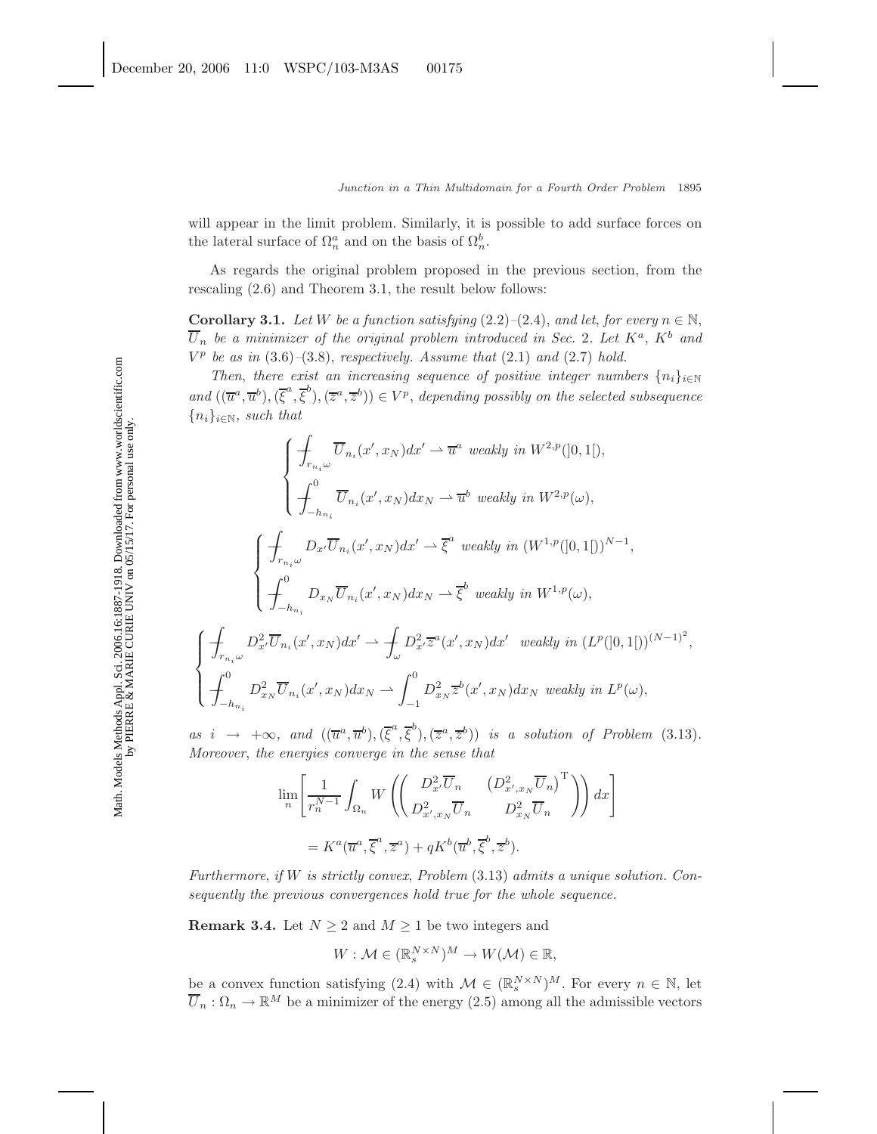will appear in the limit problem. Similarly, it is possible to add surface forces on the lateral surface of  $\Omega_n^a$  and on the basis of  $\Omega_n^b$ .

As regards the original problem proposed in the previous section, from the rescaling (2.6) and Theorem 3.1, the result below follows:

**Corollary 3.1.** *Let* W *be a function satisfying*  $(2.2)$ *–* $(2.4)$ *, and let, for every*  $n \in \mathbb{N}$ *,*  $\overline{U}_n$  be a minimizer of the original problem introduced in Sec. 2. Let  $K^a$ ,  $K^b$  and  $V^p$  be as in  $(3.6)$ – $(3.8)$ , *respectively. Assume that*  $(2.1)$  *and*  $(2.7)$  *hold.* 

*Then, there exist an increasing sequence of positive integer numbers*  $\{n_i\}_{i\in\mathbb{N}}$  $and ((\overline{u}^a, \overline{u}^b), (\overline{\xi}^a, \overline{\xi}^b), (\overline{z}^a, \overline{z}^b)) \in V^p$ , *depending possibly on the selected subsequence* {ni}<sup>i</sup>∈<sup>N</sup>*, such that*

$$
\begin{cases}\n\int_{r_{n_i}\omega} \overline{U}_{n_i}(x',x_N)dx' \rightharpoonup \overline{u}^a \text{ weakly in } W^{2,p}(]0,1[), \\
\int_{-h_{n_i}}^0 \overline{U}_{n_i}(x',x_N)dx_N \rightharpoonup \overline{u}^b \text{ weakly in } W^{2,p}(\omega), \\
\int_{-h_{n_i}}^0 D_{x'}\overline{U}_{n_i}(x',x_N)dx' \rightharpoonup \overline{\xi}^a \text{ weakly in } (W^{1,p}(]0,1[))^{N-1}, \\
\int_{-h_{n_i}}^0 D_{x_N}\overline{U}_{n_i}(x',x_N)dx_N \rightharpoonup \overline{\xi}^b \text{ weakly in } W^{1,p}(\omega), \\
\int_{r_{n_i}\omega}^1 D_{x'}^2\overline{U}_{n_i}(x',x_N)dx' \rightharpoonup \int_{\omega}^1 D_{x'}^2 \overline{z}^a(x',x_N)dx' \text{ weakly in } (L^p([0,1[))^{(N-1)^2}, \\
\int_{-h_{n_i}}^0 D_{x_N}^2\overline{U}_{n_i}(x',x_N)dx_N \rightharpoonup \int_{-1}^0 D_{x_N}^2 \overline{z}^b(x',x_N)dx_N \text{ weakly in } L^p(\omega),\n\end{cases}
$$

*as*  $i \rightarrow +\infty$ , and  $((\overline{u}^a, \overline{u}^b), (\overline{\xi}^a, \overline{\xi}^b), (\overline{z}^a, \overline{z}^b))$  *is a solution of Problem* (3.13)*. Moreover*, *the energies converge in the sense that*

$$
\lim_{n} \left[ \frac{1}{r_n^{N-1}} \int_{\Omega_n} W \left( \begin{pmatrix} D_x^2 \overline{U}_n & \left( D_{x',x_N}^2 \overline{U}_n \right)^{\mathrm{T}} \\ D_{x',x_N}^2 \overline{U}_n & D_{x_N}^2 \overline{U}_n \end{pmatrix} \right) dx \right]
$$
  
=  $K^a(\overline{u}^a, \overline{\xi}^a, \overline{z}^a) + q K^b(\overline{u}^b, \overline{\xi}^b, \overline{z}^b).$ 

*Furthermore*, *if* W *is strictly convex*, *Problem* (3.13) *admits a unique solution. Consequently the previous convergences hold true for the whole sequence.*

**Remark 3.4.** Let  $N \geq 2$  and  $M \geq 1$  be two integers and

$$
W: \mathcal{M} \in (\mathbb{R}_s^{N \times N})^M \to W(\mathcal{M}) \in \mathbb{R},
$$

be a convex function satisfying (2.4) with  $\mathcal{M} \in (\mathbb{R}^{N \times N}_{s})^M$ . For every  $n \in \mathbb{N}$ , let  $\overline{U}_n : \Omega_n \to \mathbb{R}^M$  be a minimizer of the energy (2.5) among all the admissible vectors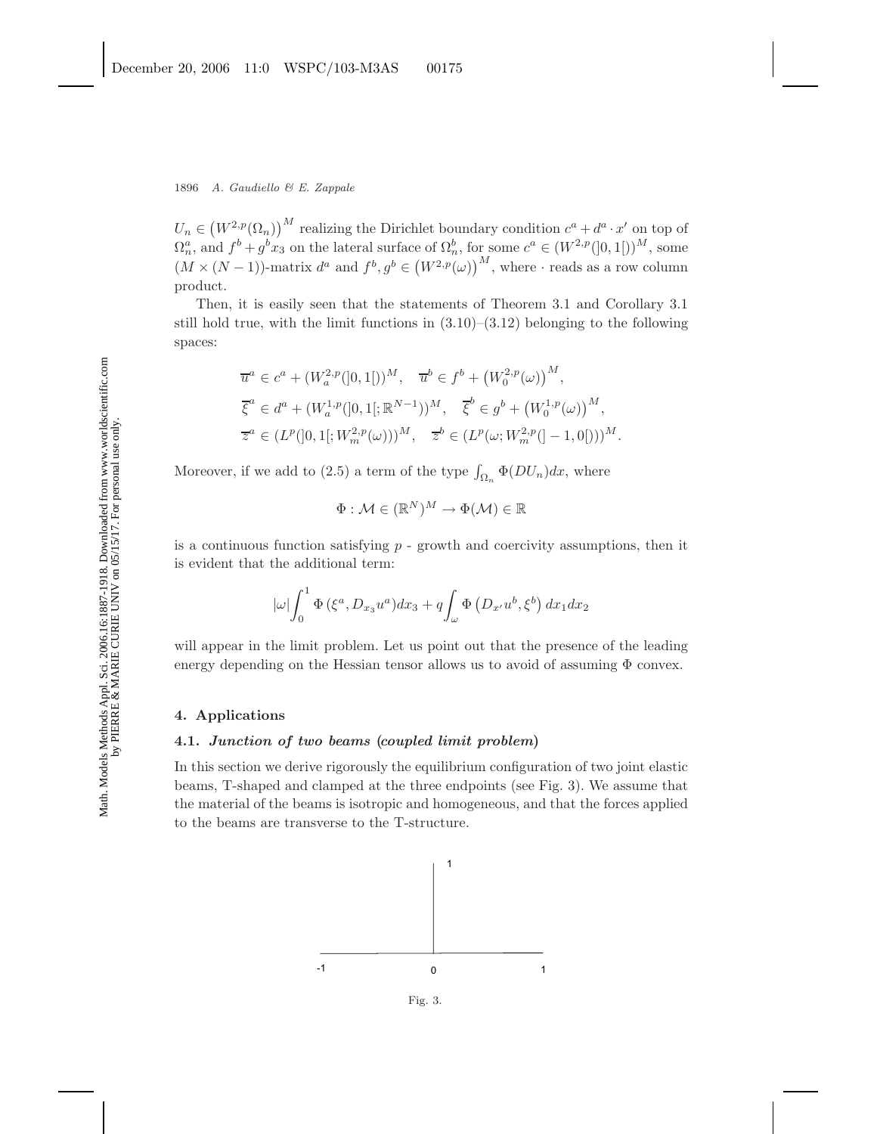$U_n \in (W^{2,p}(\Omega_n))^M$  realizing the Dirichlet boundary condition  $c^a + d^a \cdot x'$  on top of  $\Omega_n^a$ , and  $f^b + g^b x_3$  on the lateral surface of  $\Omega_n^b$ , for some  $c^a \in (W^{2,p}([0,1[))^M)$ , some  $(M \times (N-1))$ -matrix  $d^a$  and  $f^b, g^b \in (W^{2,p}(\omega))$ <sup>M</sup>, where  $\cdot$  reads as a row column product.

Then, it is easily seen that the statements of Theorem 3.1 and Corollary 3.1 still hold true, with the limit functions in  $(3.10)$ – $(3.12)$  belonging to the following spaces:

$$
\overline{u}^a \in c^a + (W_a^{2,p}([0,1[))^M, \quad \overline{u}^b \in f^b + (W_0^{2,p}(\omega))^M,
$$
  

$$
\overline{\xi}^a \in d^a + (W_a^{1,p}([0,1[;\mathbb{R}^{N-1})))^M, \quad \overline{\xi}^b \in g^b + (W_0^{1,p}(\omega))^M,
$$
  

$$
\overline{z}^a \in (L^p([0,1[;W_m^{2,p}(\omega)))^M, \quad \overline{z}^b \in (L^p(\omega;W_m^{2,p}([-1,0[)))^M.
$$

Moreover, if we add to (2.5) a term of the type  $\int_{\Omega_n} \Phi(DU_n) dx$ , where

$$
\Phi: \mathcal{M} \in (\mathbb{R}^N)^M \to \Phi(\mathcal{M}) \in \mathbb{R}
$$

is a continuous function satisfying  $p -$  growth and coercivity assumptions, then it is evident that the additional term:

$$
|\omega| \int_0^1 \Phi(\xi^a, D_{x_3} u^a) dx_3 + q \int_\omega \Phi(D_{x'} u^b, \xi^b) dx_1 dx_2
$$

will appear in the limit problem. Let us point out that the presence of the leading energy depending on the Hessian tensor allows us to avoid of assuming  $\Phi$  convex.

# **4. Applications**

# **4.1.** *Junction of two beams* **(***coupled limit problem***)**

In this section we derive rigorously the equilibrium configuration of two joint elastic beams, T-shaped and clamped at the three endpoints (see Fig. 3). We assume that the material of the beams is isotropic and homogeneous, and that the forces applied to the beams are transverse to the T-structure.



Fig. 3.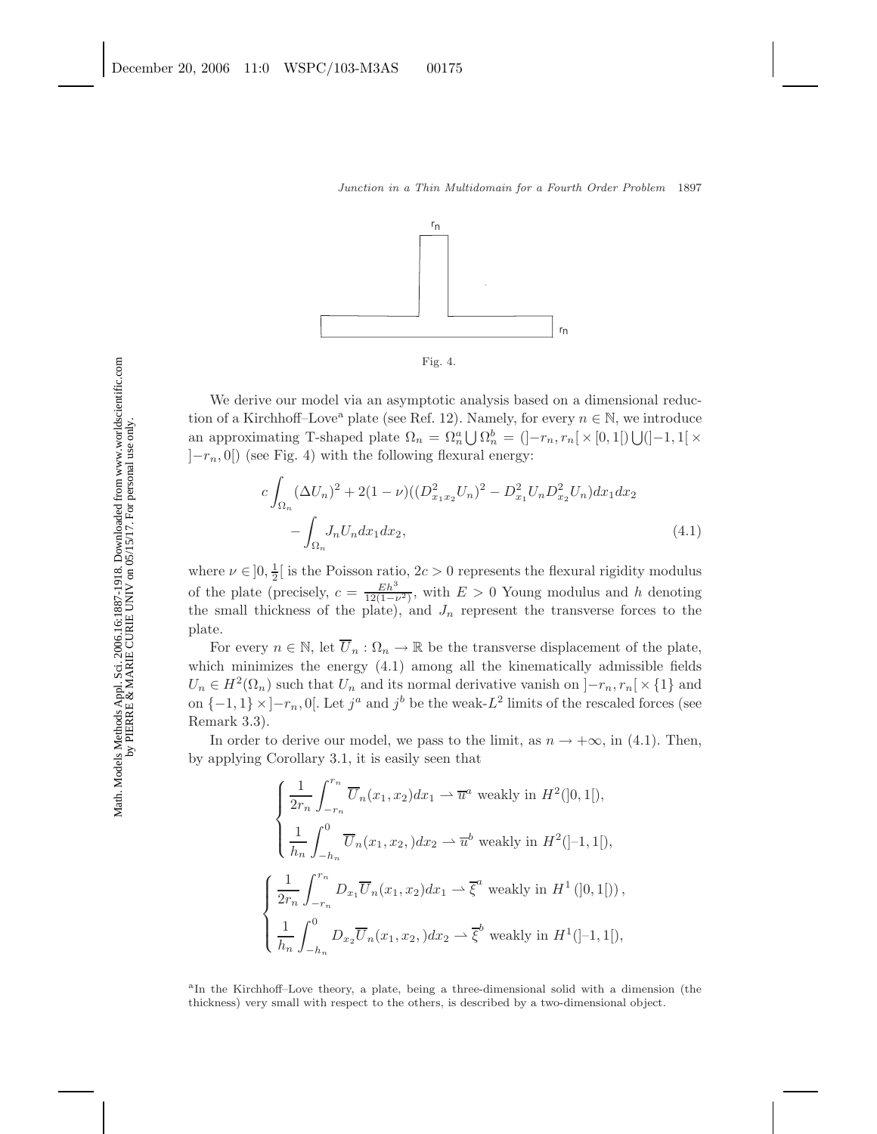

We derive our model via an asymptotic analysis based on a dimensional reduction of a Kirchhoff–Love<sup>a</sup> plate (see Ref. 12). Namely, for every  $n \in \mathbb{N}$ , we introduce an approximating T-shaped plate  $\Omega_n = \Omega_n^a \bigcup \Omega_n^b = (]-r_n, r_n[ \times [0,1[) \bigcup (-1,1[ \times$  $[-r_n, 0]$  (see Fig. 4) with the following flexural energy:

$$
c \int_{\Omega_n} (\Delta U_n)^2 + 2(1 - \nu) ((D_{x_1 x_2}^2 U_n)^2 - D_{x_1}^2 U_n D_{x_2}^2 U_n) dx_1 dx_2 - \int_{\Omega_n} J_n U_n dx_1 dx_2,
$$
\n(4.1)

where  $\nu \in ]0, \frac{1}{2}[$  is the Poisson ratio,  $2c > 0$  represents the flexural rigidity modulus of the plate (precisely,  $c = \frac{Eh^3}{12(1-\nu^2)}$ , with  $E > 0$  Young modulus and h denoting the small thickness of the plate), and  $J_n$  represent the transverse forces to the plate.

For every  $n \in \mathbb{N}$ , let  $\overline{U}_n : \Omega_n \to \mathbb{R}$  be the transverse displacement of the plate, which minimizes the energy  $(4.1)$  among all the kinematically admissible fields  $U_n \in H^2(\Omega_n)$  such that  $U_n$  and its normal derivative vanish on  $]-r_n,r_n[ \times \{1\}$  and on  $\{-1, 1\} \times [-r_n, 0]$ . Let  $j^a$  and  $j^b$  be the weak-L<sup>2</sup> limits of the rescaled forces (see Remark 3.3).

In order to derive our model, we pass to the limit, as  $n \to +\infty$ , in (4.1). Then, by applying Corollary 3.1, it is easily seen that

$$
\begin{cases}\n\frac{1}{2r_n} \int_{-r_n}^{r_n} \overline{U}_n(x_1, x_2) dx_1 \rightharpoonup \overline{u}^a \text{ weakly in } H^2(]0, 1[), \\
\frac{1}{h_n} \int_{-h_n}^0 \overline{U}_n(x_1, x_2) dx_2 \rightharpoonup \overline{u}^b \text{ weakly in } H^2(]-1, 1[),\n\end{cases}
$$
\n
$$
\begin{cases}\n\frac{1}{2r_n} \int_{-r_n}^{r_n} D_{x_1} \overline{U}_n(x_1, x_2) dx_1 \rightharpoonup \overline{\xi}^a \text{ weakly in } H^1(]0, 1[), \\
\frac{1}{h_n} \int_{-h_n}^0 D_{x_2} \overline{U}_n(x_1, x_2) dx_2 \rightharpoonup \overline{\xi}^b \text{ weakly in } H^1(]-1, 1[),\n\end{cases}
$$

<sup>a</sup>In the Kirchhoff–Love theory, a plate, being a three-dimensional solid with a dimension (the thickness) very small with respect to the others, is described by a two-dimensional object.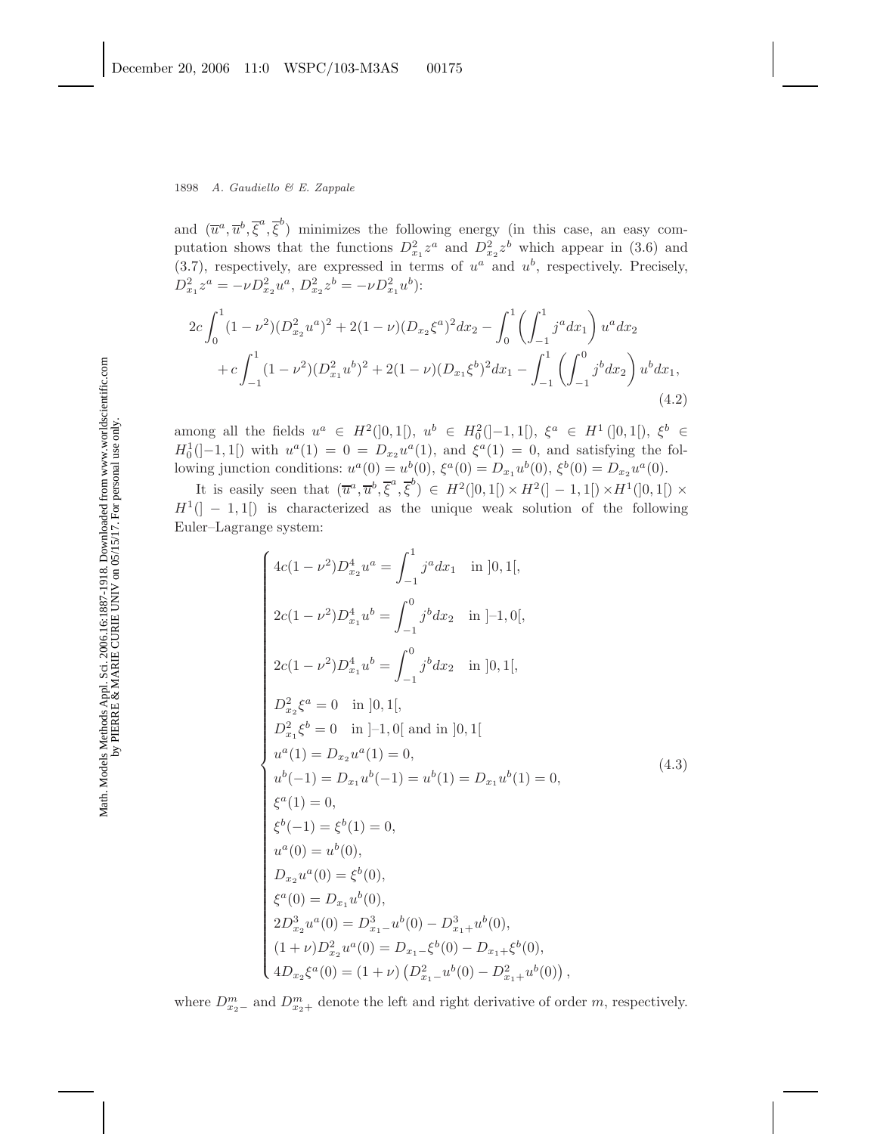and  $(\overline{u}^a, \overline{u}^b, \overline{\xi}^a, \overline{\xi}^b)$  minimizes the following energy (in this case, an easy computation shows that the functions  $D_{x_1}^2 z^a$  and  $D_{x_2}^2 z^b$  which appear in (3.6) and (3.7), respectively, are expressed in terms of  $u^a$  and  $u^b$ , respectively. Precisely,  $D_{x_1}^2 z^a = -\nu D_{x_2}^2 u^a, D_{x_2}^2 z^b = -\nu D_{x_1}^2 u^b$ :

$$
2c \int_0^1 (1 - \nu^2)(D_{x_2}^2 u^a)^2 + 2(1 - \nu)(D_{x_2} \xi^a)^2 dx_2 - \int_0^1 \left(\int_{-1}^1 j^a dx_1\right) u^a dx_2
$$
  
+ 
$$
c \int_{-1}^1 (1 - \nu^2)(D_{x_1}^2 u^b)^2 + 2(1 - \nu)(D_{x_1} \xi^b)^2 dx_1 - \int_{-1}^1 \left(\int_{-1}^0 j^b dx_2\right) u^b dx_1,
$$
(4.2)

among all the fields  $u^a \in H^2([0,1])$ ,  $u^b \in H_0^2([-1,1])$ ,  $\xi^a \in H^1([0,1])$ ,  $\xi^b \in$  $H_0^1([-1, 1])$  with  $u^a(1) = 0 = D_{x_2}u^a(1)$ , and  $\xi^a(1) = 0$ , and satisfying the following junction conditions:  $u^{a}(0) = u^{b}(0), \xi^{a}(0) = D_{x_{1}}u^{b}(0), \xi^{b}(0) = D_{x_{2}}u^{a}(0).$ 

It is easily seen that  $(\overline{u}^a, \overline{u}^b, \overline{\xi}^a, \overline{\xi}^b) \in H^2(]0, 1[) \times H^2(] - 1, 1[) \times H^1(]0, 1[) \times$  $H^1([-1,1])$  is characterized as the unique weak solution of the following Euler–Lagrange system:

$$
\begin{cases}\n4c(1-\nu^2)D_{x_2}^4u^a = \int_{-1}^1 j^a dx_1 & \text{in } [0,1[, \\
2c(1-\nu^2)D_{x_1}^4u^b = \int_{-1}^0 j^b dx_2 & \text{in } ]-1,0[, \\
2c(1-\nu^2)D_{x_1}^4u^b = \int_{-1}^0 j^b dx_2 & \text{in } ]0,1[, \\
D_{x_2}^2\xi^a = 0 & \text{in } ]0,1[, \\
D_{x_1}^2\xi^b = 0 & \text{in } ]-1,0[ \text{ and in } ]0,1[ \\
u^a(1) = D_{x_2}u^a(1) = 0, \\
u^b(-1) = D_{x_1}u^b(-1) = u^b(1) = D_{x_1}u^b(1) = 0, \\
\xi^a(1) = 0, \\
\xi^b(-1) = \xi^b(1) = 0, \\
u^a(0) = u^b(0), \\
D_{x_2}u^a(0) = \xi^b(0), \\
\xi^a(0) = D_{x_1}u^b(0), \\
2D_{x_2}^3u^a(0) = D_{x_1-}^3u^b(0) - D_{x_1+}^3u^b(0), \\
(1+\nu)D_{x_2}^2u^a(0) = D_{x_1-}^2\xi^b(0) - D_{x_1+}^2\xi^b(0), \\
4D_{x_2}\xi^a(0) = (1+\nu)(D_{x_1-}^2u^b(0) - D_{x_1+}^2u^b(0)),\n\end{cases}
$$
\n(4.3)

where  $D_{x_2-}^m$  and  $D_{x_2+}^m$  denote the left and right derivative of order m, respectively.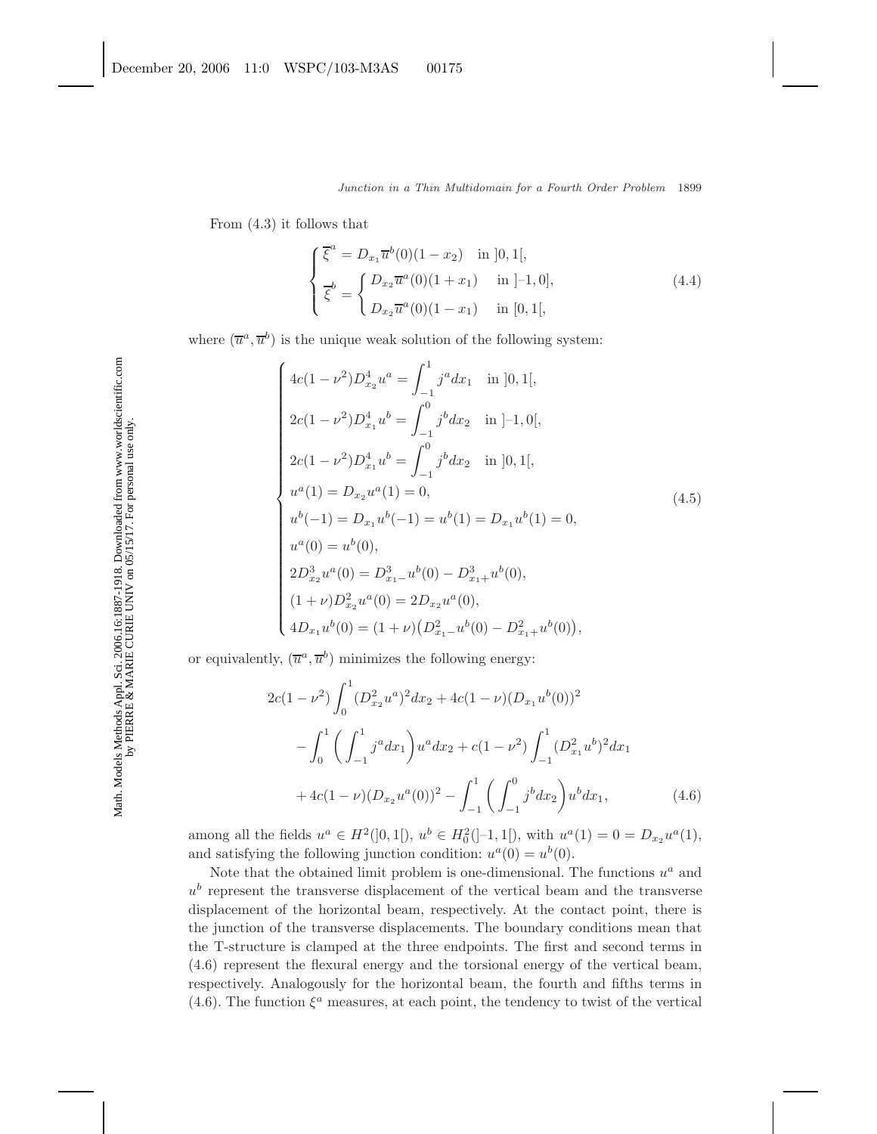From (4.3) it follows that

$$
\begin{cases}\n\overline{\xi}^{a} = D_{x_{1}} \overline{u}^{b}(0)(1 - x_{2}) & \text{in } [0, 1[, \\
\overline{\xi}^{b} = \begin{cases}\nD_{x_{2}} \overline{u}^{a}(0)(1 + x_{1}) & \text{in } [-1, 0], \\
D_{x_{2}} \overline{u}^{a}(0)(1 - x_{1}) & \text{in } [0, 1[, \n\end{cases} (4.4)\n\end{cases}
$$

where  $(\overline{u}^a, \overline{u}^b)$  is the unique weak solution of the following system:

$$
\begin{cases}\n4c(1-\nu^2)D_{x_2}^4u^a = \int_{-1}^1 j^a dx_1 & \text{in } ]0,1[, \\
2c(1-\nu^2)D_{x_1}^4u^b = \int_{-1}^0 j^b dx_2 & \text{in } ]-1,0[, \\
2c(1-\nu^2)D_{x_1}^4u^b = \int_{-1}^0 j^b dx_2 & \text{in } ]0,1[, \\
u^a(1) = D_{x_2}u^a(1) = 0, \\
u^b(-1) = D_{x_1}u^b(-1) = u^b(1) = D_{x_1}u^b(1) = 0, \\
u^a(0) = u^b(0), \\
2D_{x_2}^3u^a(0) = D_{x_1}^3u^b(0) - D_{x_1+}^3u^b(0), \\
(1+\nu)D_{x_2}^2u^a(0) = 2D_{x_2}u^a(0), \\
4D_{x_1}u^b(0) = (1+\nu)(D_{x_1}^2-u^b(0) - D_{x_1+}^3u^b(0)),\n\end{cases}
$$
\n(4.5)

or equivalently,  $(\overline{u}^a, \overline{u}^b)$  minimizes the following energy:

$$
2c(1 - \nu^2) \int_0^1 (D_{x_2}^2 u^a)^2 dx_2 + 4c(1 - \nu)(D_{x_1} u^b(0))^2
$$

$$
- \int_0^1 \left( \int_{-1}^1 j^a dx_1 \right) u^a dx_2 + c(1 - \nu^2) \int_{-1}^1 (D_{x_1}^2 u^b)^2 dx_1
$$

$$
+ 4c(1 - \nu)(D_{x_2} u^a(0))^2 - \int_{-1}^1 \left( \int_{-1}^0 j^b dx_2 \right) u^b dx_1, \tag{4.6}
$$

among all the fields  $u^a \in H^2([0,1])$ ,  $u^b \in H_0^2([-1,1])$ , with  $u^a(1) = 0 = D_{x_2}u^a(1)$ , and satisfying the following junction condition:  $u^a(0) = u^b(0)$ .

Note that the obtained limit problem is one-dimensional. The functions  $u^a$  and  $u<sup>b</sup>$  represent the transverse displacement of the vertical beam and the transverse displacement of the horizontal beam, respectively. At the contact point, there is the junction of the transverse displacements. The boundary conditions mean that the T-structure is clamped at the three endpoints. The first and second terms in (4.6) represent the flexural energy and the torsional energy of the vertical beam, respectively. Analogously for the horizontal beam, the fourth and fifths terms in (4.6). The function  $\xi^a$  measures, at each point, the tendency to twist of the vertical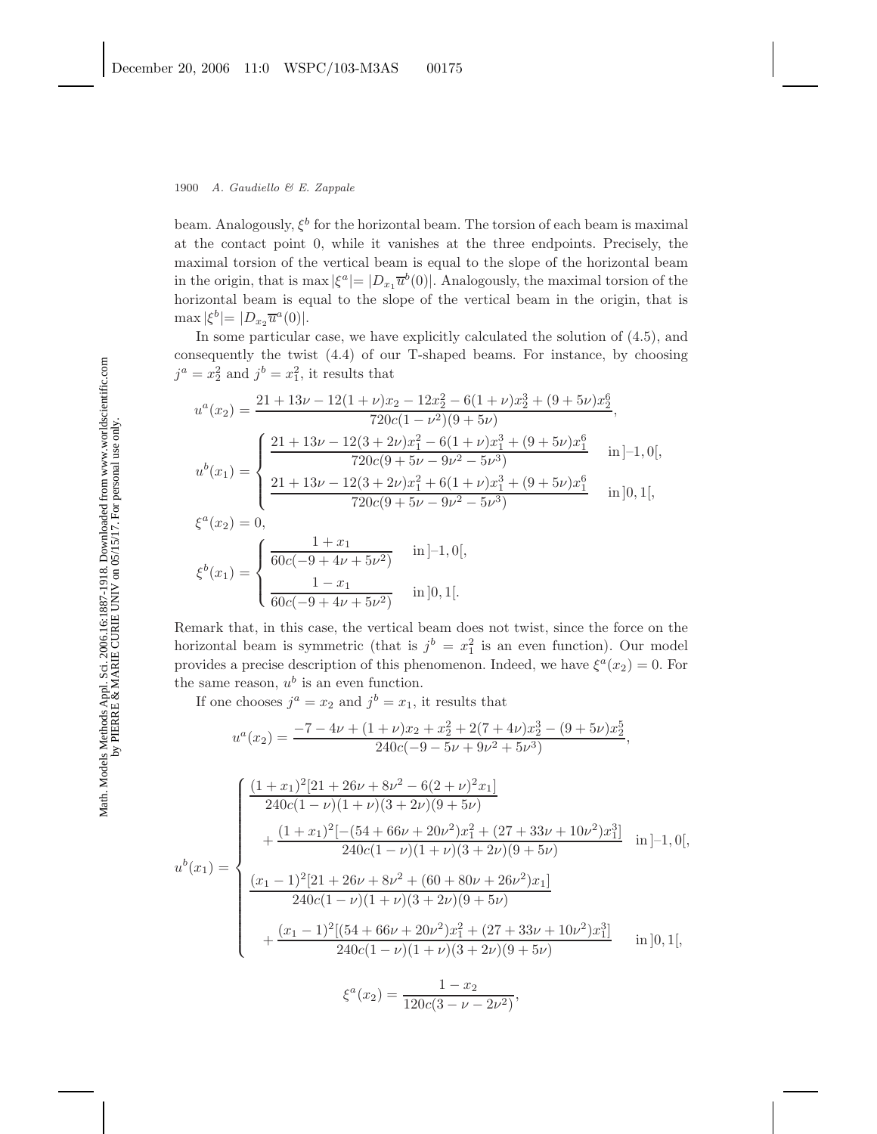beam. Analogously,  $\xi^b$  for the horizontal beam. The torsion of each beam is maximal at the contact point 0, while it vanishes at the three endpoints. Precisely, the maximal torsion of the vertical beam is equal to the slope of the horizontal beam in the origin, that is max  $|\xi^a|=|D_x,\overline{u}^b(0)|$ . Analogously, the maximal torsion of the horizontal beam is equal to the slope of the vertical beam in the origin, that is  $\max |\xi^{b}| = |D_{x_2} \overline{u}^a(0)|.$ 

In some particular case, we have explicitly calculated the solution of (4.5), and consequently the twist (4.4) of our T-shaped beams. For instance, by choosing  $j^a = x_2^2$  and  $j^b = x_1^2$ , it results that

$$
u^{a}(x_{2}) = \frac{21 + 13\nu - 12(1 + \nu)x_{2} - 12x_{2}^{2} - 6(1 + \nu)x_{2}^{3} + (9 + 5\nu)x_{2}^{6}}{720c(1 - \nu^{2})(9 + 5\nu)},
$$
  
\n
$$
u^{b}(x_{1}) = \begin{cases} \frac{21 + 13\nu - 12(3 + 2\nu)x_{1}^{2} - 6(1 + \nu)x_{1}^{3} + (9 + 5\nu)x_{1}^{6}}{720c(9 + 5\nu - 9\nu^{2} - 5\nu^{3})} & \text{in } ]-1,0[, \\ \frac{21 + 13\nu - 12(3 + 2\nu)x_{1}^{2} + 6(1 + \nu)x_{1}^{3} + (9 + 5\nu)x_{1}^{6}}{720c(9 + 5\nu - 9\nu^{2} - 5\nu^{3})} & \text{in } ]0,1[, \\ \xi^{b}(x_{1}) = \begin{cases} \frac{1 + x_{1}}{60c(-9 + 4\nu + 5\nu^{2})} & \text{in } ]-1,0[, \\ \frac{1 - x_{1}}{60c(-9 + 4\nu + 5\nu^{2})} & \text{in } ]0,1[. \end{cases} \end{cases}
$$

Remark that, in this case, the vertical beam does not twist, since the force on the horizontal beam is symmetric (that is  $j^b = x_1^2$  is an even function). Our model provides a precise description of this phenomenon. Indeed, we have  $\xi^a(x_2) = 0$ . For the same reason,  $u^b$  is an even function.

If one chooses  $j^a = x_2$  and  $j^b = x_1$ , it results that

$$
u^{a}(x_{2}) = \frac{-7 - 4\nu + (1 + \nu)x_{2} + x_{2}^{2} + 2(7 + 4\nu)x_{2}^{3} - (9 + 5\nu)x_{2}^{5}}{240c(-9 - 5\nu + 9\nu^{2} + 5\nu^{3})},
$$

$$
u^{b}(x_{1}) = \begin{cases} \frac{(1+x_{1})^{2}[21+26\nu+8\nu^{2}-6(2+\nu)^{2}x_{1}]}{240c(1-\nu)(1+\nu)(3+2\nu)(9+5\nu)} \\ + \frac{(1+x_{1})^{2}[-(54+66\nu+20\nu^{2})x_{1}^{2}+(27+33\nu+10\nu^{2})x_{1}^{3}]}{240c(1-\nu)(1+\nu)(3+2\nu)(9+5\nu)} \text{ in } ]-1,0[, \\ \frac{(x_{1}-1)^{2}[21+26\nu+8\nu^{2}+(60+80\nu+26\nu^{2})x_{1}]}{240c(1-\nu)(1+\nu)(3+2\nu)(9+5\nu)} \\ + \frac{(x_{1}-1)^{2}[(54+66\nu+20\nu^{2})x_{1}^{2}+(27+33\nu+10\nu^{2})x_{1}^{3}]}{240c(1-\nu)(1+\nu)(3+2\nu)(9+5\nu)} \text{ in } ]0,1[, \\ \xi^{a}(x_{2}) = \frac{1-x_{2}}{120c(3-\nu-2\nu^{2})}, \end{cases}
$$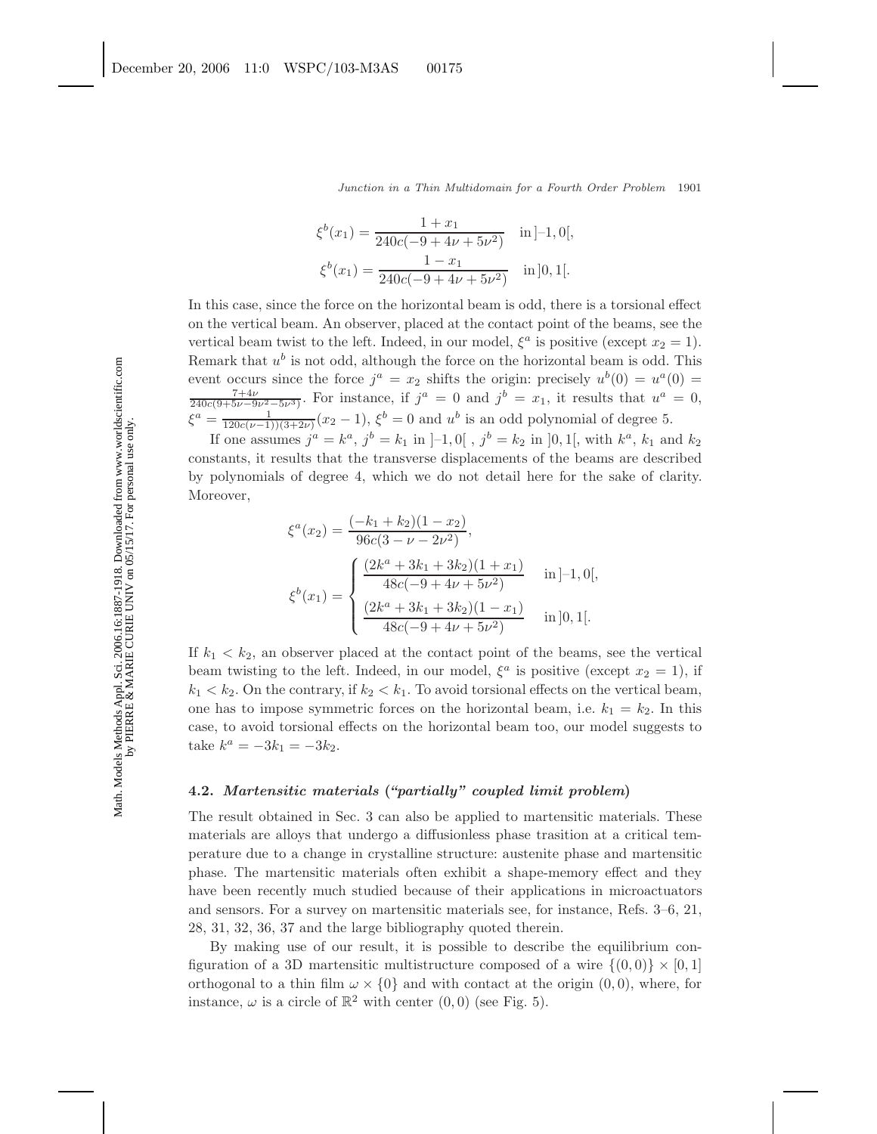$$
\xi^{b}(x_{1}) = \frac{1 + x_{1}}{240c(-9 + 4\nu + 5\nu^{2})} \quad \text{in } ]-1, 0[,
$$
  

$$
\xi^{b}(x_{1}) = \frac{1 - x_{1}}{240c(-9 + 4\nu + 5\nu^{2})} \quad \text{in } ]0, 1[.
$$

In this case, since the force on the horizontal beam is odd, there is a torsional effect on the vertical beam. An observer, placed at the contact point of the beams, see the vertical beam twist to the left. Indeed, in our model,  $\xi^a$  is positive (except  $x_2 = 1$ ). Remark that  $u^b$  is not odd, although the force on the horizontal beam is odd. This event occurs since the force  $j^a = x_2$  shifts the origin: precisely  $u^b(0) = u^a(0) =$  $\frac{7+4\nu}{240c(9+5\nu-9\nu^2-5\nu^3)}$ . For instance, if  $j^a = 0$  and  $j^b = x_1$ , it results that  $u^a = 0$ ,  $\xi^a = \frac{1}{120c(\nu-1)(3+2\nu)}(x_2-1), \xi^b = 0$  and  $u^b$  is an odd polynomial of degree 5.

If one assumes  $j^a = k^a$ ,  $j^b = k_1$  in  $[-1, 0]$ ,  $j^b = k_2$  in  $[0, 1]$ , with  $k^a$ ,  $k_1$  and  $k_2$ constants, it results that the transverse displacements of the beams are described by polynomials of degree 4, which we do not detail here for the sake of clarity. Moreover,

$$
\xi^{a}(x_{2}) = \frac{(-k_{1} + k_{2})(1 - x_{2})}{96c(3 - \nu - 2\nu^{2})},
$$

$$
\xi^{b}(x_{1}) = \begin{cases} \frac{(2k^{a} + 3k_{1} + 3k_{2})(1 + x_{1})}{48c(-9 + 4\nu + 5\nu^{2})} & \text{in [-1, 0]},\\ \frac{(2k^{a} + 3k_{1} + 3k_{2})(1 - x_{1})}{48c(-9 + 4\nu + 5\nu^{2})} & \text{in [0, 1].} \end{cases}
$$

If  $k_1 < k_2$ , an observer placed at the contact point of the beams, see the vertical beam twisting to the left. Indeed, in our model,  $\xi^a$  is positive (except  $x_2 = 1$ ), if  $k_1 < k_2$ . On the contrary, if  $k_2 < k_1$ . To avoid torsional effects on the vertical beam, one has to impose symmetric forces on the horizontal beam, i.e.  $k_1 = k_2$ . In this case, to avoid torsional effects on the horizontal beam too, our model suggests to take  $k^a = -3k_1 = -3k_2$ .

# **4.2.** *Martensitic materials* **(***"partially" coupled limit problem***)**

The result obtained in Sec. 3 can also be applied to martensitic materials. These materials are alloys that undergo a diffusionless phase trasition at a critical temperature due to a change in crystalline structure: austenite phase and martensitic phase. The martensitic materials often exhibit a shape-memory effect and they have been recently much studied because of their applications in microactuators and sensors. For a survey on martensitic materials see, for instance, Refs. 3–6, 21, 28, 31, 32, 36, 37 and the large bibliography quoted therein.

By making use of our result, it is possible to describe the equilibrium configuration of a 3D martensitic multistructure composed of a wire  $\{(0,0)\}\times[0,1]$ orthogonal to a thin film  $\omega \times \{0\}$  and with contact at the origin  $(0,0)$ , where, for instance,  $\omega$  is a circle of  $\mathbb{R}^2$  with center  $(0, 0)$  (see Fig. 5).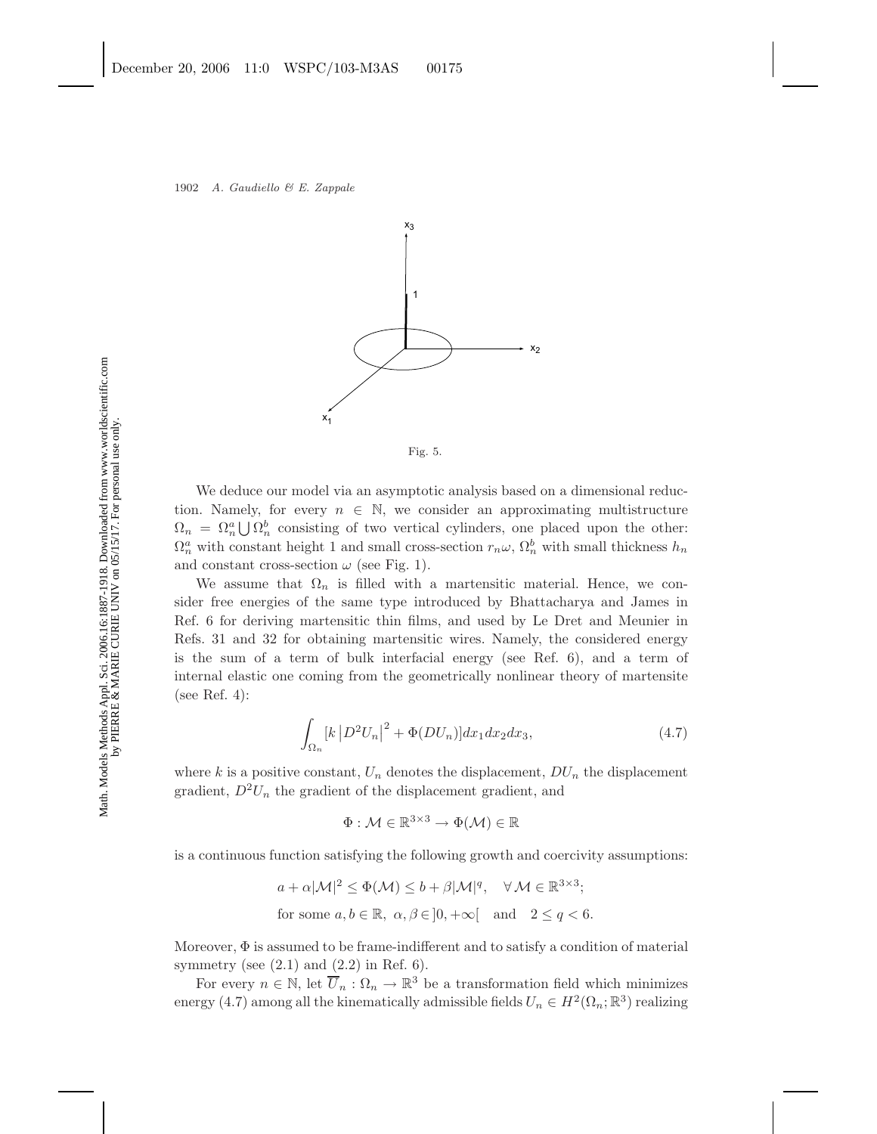



We deduce our model via an asymptotic analysis based on a dimensional reduction. Namely, for every  $n \in \mathbb{N}$ , we consider an approximating multistructure  $\Omega_n = \Omega_n^a \bigcup \Omega_n^b$  consisting of two vertical cylinders, one placed upon the other:  $\Omega_n^a$  with constant height 1 and small cross-section  $r_n\omega$ ,  $\Omega_n^b$  with small thickness  $h_n$ and constant cross-section  $\omega$  (see Fig. 1).

We assume that  $\Omega_n$  is filled with a martensitic material. Hence, we consider free energies of the same type introduced by Bhattacharya and James in Ref. 6 for deriving martensitic thin films, and used by Le Dret and Meunier in Refs. 31 and 32 for obtaining martensitic wires. Namely, the considered energy is the sum of a term of bulk interfacial energy (see Ref. 6), and a term of internal elastic one coming from the geometrically nonlinear theory of martensite (see Ref. 4):

$$
\int_{\Omega_n} \left[k \left| D^2 U_n \right|^2 + \Phi(DU_n) \right] dx_1 dx_2 dx_3,\tag{4.7}
$$

where k is a positive constant,  $U_n$  denotes the displacement,  $DU_n$  the displacement gradient,  $D^2U_n$  the gradient of the displacement gradient, and

$$
\Phi: \mathcal{M} \in \mathbb{R}^{3 \times 3} \to \Phi(\mathcal{M}) \in \mathbb{R}
$$

is a continuous function satisfying the following growth and coercivity assumptions:

$$
a + \alpha |\mathcal{M}|^2 \le \Phi(\mathcal{M}) \le b + \beta |\mathcal{M}|^q, \quad \forall \mathcal{M} \in \mathbb{R}^{3 \times 3};
$$
  
for some  $a, b \in \mathbb{R}, \ \alpha, \beta \in ]0, +\infty[$  and  $2 \le q < 6$ .

Moreover,  $\Phi$  is assumed to be frame-indifferent and to satisfy a condition of material symmetry (see  $(2.1)$  and  $(2.2)$  in Ref. 6).

For every  $n \in \mathbb{N}$ , let  $\overline{U}_n : \Omega_n \to \mathbb{R}^3$  be a transformation field which minimizes energy (4.7) among all the kinematically admissible fields  $U_n \in H^2(\Omega_n; \mathbb{R}^3)$  realizing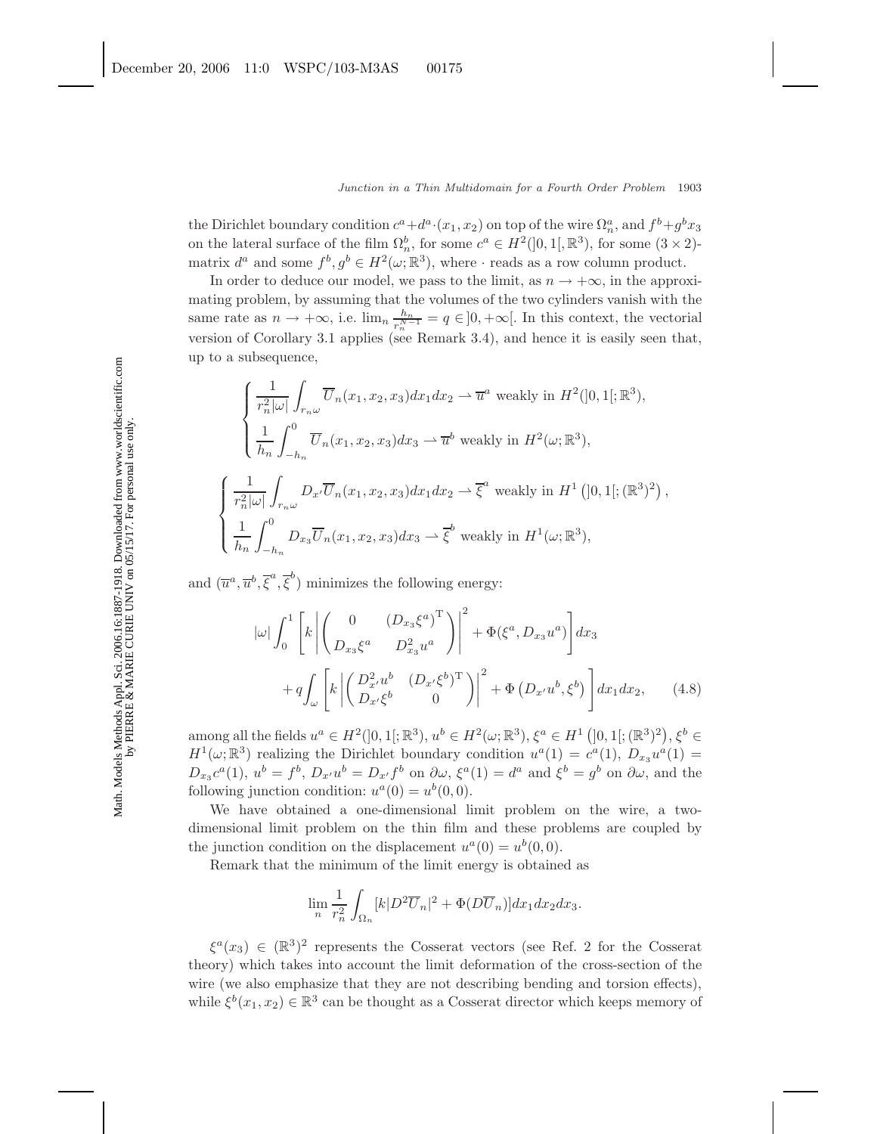the Dirichlet boundary condition  $c^a + d^a \cdot (x_1, x_2)$  on top of the wire  $\Omega_n^a$ , and  $f^b + g^b x_3$ on the lateral surface of the film  $\Omega_n^b$ , for some  $c^a \in H^2(]0,1[,\mathbb{R}^3)$ , for some  $(3 \times 2)$ matrix  $d^a$  and some  $f^b, g^b \in H^2(\omega; \mathbb{R}^3)$ , where  $\cdot$  reads as a row column product.

In order to deduce our model, we pass to the limit, as  $n \to +\infty$ , in the approximating problem, by assuming that the volumes of the two cylinders vanish with the same rate as  $n \to +\infty$ , i.e.  $\lim_{n \to \infty} \frac{h_n}{r_n^{N-1}} = q \in ]0, +\infty[$ . In this context, the vectorial version of Corollary 3.1 applies (see Remark 3.4), and hence it is easily seen that, up to a subsequence,

$$
\begin{cases}\n\frac{1}{r_n^2|\omega|} \int_{r_n\omega} \overline{U}_n(x_1, x_2, x_3) dx_1 dx_2 \rightharpoonup \overline{u}^a \text{ weakly in } H^2(]0, 1[; \mathbb{R}^3), \\
\frac{1}{h_n} \int_{-h_n}^0 \overline{U}_n(x_1, x_2, x_3) dx_3 \rightharpoonup \overline{u}^b \text{ weakly in } H^2(\omega; \mathbb{R}^3), \\
\frac{1}{r_n^2|\omega|} \int_{r_n\omega} D_{x'} \overline{U}_n(x_1, x_2, x_3) dx_1 dx_2 \rightharpoonup \overline{\xi}^a \text{ weakly in } H^1(]0, 1[; (\mathbb{R}^3)^2), \\
\frac{1}{h_n} \int_{-h_n}^0 D_{x_3} \overline{U}_n(x_1, x_2, x_3) dx_3 \rightharpoonup \overline{\xi}^b \text{ weakly in } H^1(\omega; \mathbb{R}^3),\n\end{cases}
$$

and  $(\overline{u}^a, \overline{u}^b, \overline{\xi}^a, \overline{\xi}^b)$  minimizes the following energy:

$$
|\omega| \int_0^1 \left[ k \left| \begin{pmatrix} 0 & \left( D_{x_3} \xi^a \right)^T \\ D_{x_3} \xi^a & D_{x_3}^2 u^a \end{pmatrix} \right|^2 + \Phi(\xi^a, D_{x_3} u^a) \right] dx_3
$$
  
+ 
$$
q \int_{\omega} \left[ k \left| \begin{pmatrix} D_{x'}^2 u^b & \left( D_{x'} \xi^b \right)^T \\ D_{x'} \xi^b & 0 \end{pmatrix} \right|^2 + \Phi \left( D_{x'} u^b, \xi^b \right) \right] dx_1 dx_2, \qquad (4.8)
$$

among all the fields  $u^a \in H^2(]0,1[;{\mathbb R}^3), u^b \in H^2(\omega;{\mathbb R}^3), \xi^a \in H^1(]0,1[;({\mathbb R}^3)^2), \xi^b \in$  $H^1(\omega;\mathbb{R}^3)$  realizing the Dirichlet boundary condition  $u^a(1) = c^a(1)$ ,  $D_{x_3}u^a(1) =$  $D_{x_3}c^a(1), u^b = f^b, D_{x'}u^b = D_{x'}f^b$  on  $\partial \omega, \xi^a(1) = d^a$  and  $\xi^b = g^b$  on  $\partial \omega$ , and the following junction condition:  $u^a(0) = u^b(0,0)$ .

We have obtained a one-dimensional limit problem on the wire, a twodimensional limit problem on the thin film and these problems are coupled by the junction condition on the displacement  $u^a(0) = u^b(0,0)$ .

Remark that the minimum of the limit energy is obtained as

$$
\lim_{n} \frac{1}{r_n^2} \int_{\Omega_n} [k|D^2 \overline{U}_n|^2 + \Phi(D\overline{U}_n)] dx_1 dx_2 dx_3.
$$

 $\xi^a(x_3) \in (\mathbb{R}^3)^2$  represents the Cosserat vectors (see Ref. 2 for the Cosserat theory) which takes into account the limit deformation of the cross-section of the wire (we also emphasize that they are not describing bending and torsion effects), while  $\xi^b(x_1, x_2) \in \mathbb{R}^3$  can be thought as a Cosserat director which keeps memory of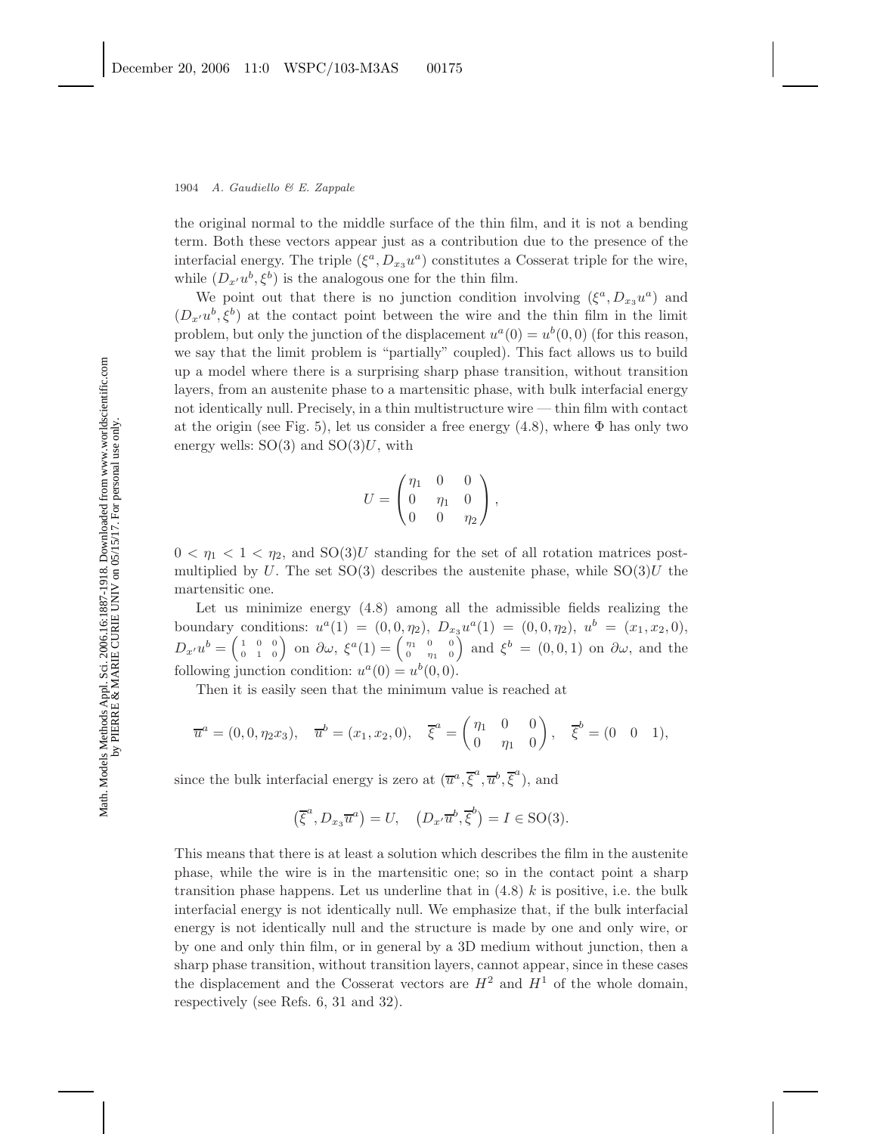the original normal to the middle surface of the thin film, and it is not a bending term. Both these vectors appear just as a contribution due to the presence of the interfacial energy. The triple  $(\xi^a, D_{x3} u^a)$  constitutes a Cosserat triple for the wire, while  $(D_{x'}u^b, \xi^b)$  is the analogous one for the thin film.

We point out that there is no junction condition involving  $(\xi^a, D_{x_3} u^a)$  and  $(D_{x'}u^{b}, \xi^{b})$  at the contact point between the wire and the thin film in the limit problem, but only the junction of the displacement  $u^a(0) = u^b(0,0)$  (for this reason, we say that the limit problem is "partially" coupled). This fact allows us to build up a model where there is a surprising sharp phase transition, without transition layers, from an austenite phase to a martensitic phase, with bulk interfacial energy not identically null. Precisely, in a thin multistructure wire — thin film with contact at the origin (see Fig. 5), let us consider a free energy  $(4.8)$ , where  $\Phi$  has only two energy wells:  $SO(3)$  and  $SO(3)U$ , with

$$
U = \begin{pmatrix} \eta_1 & 0 & 0 \\ 0 & \eta_1 & 0 \\ 0 & 0 & \eta_2 \end{pmatrix},
$$

 $0 < \eta_1 < 1 < \eta_2$ , and  $SO(3)U$  standing for the set of all rotation matrices postmultiplied by U. The set  $SO(3)$  describes the austenite phase, while  $SO(3)U$  the martensitic one.

Let us minimize energy (4.8) among all the admissible fields realizing the boundary conditions:  $u^a(1) = (0, 0, \eta_2), D_{x_3}u^a(1) = (0, 0, \eta_2), u^b = (x_1, x_2, 0),$  $D_{x'}u^b = \begin{pmatrix} 1 & 0 & 0 \\ 0 & 1 & 0 \end{pmatrix}$  on  $\partial \omega$ ,  $\xi^a(1) = \begin{pmatrix} \eta_1 & 0 & 0 \\ 0 & \eta_1 & 0 \end{pmatrix}$  and  $\xi^b = (0,0,1)$  on  $\partial \omega$ , and the following junction condition:  $u^a(0) = u^b(0, 0)$ .

Then it is easily seen that the minimum value is reached at

$$
\overline{u}^a = (0, 0, \eta_2 x_3), \quad \overline{u}^b = (x_1, x_2, 0), \quad \overline{\xi}^a = \begin{pmatrix} \eta_1 & 0 & 0 \\ 0 & \eta_1 & 0 \end{pmatrix}, \quad \overline{\xi}^b = (0 \quad 0 \quad 1),
$$

since the bulk interfacial energy is zero at  $(\overline{u}^a, \overline{\xi}^a, \overline{u}^b, \overline{\xi}^a)$ , and

$$
(\overline{\xi}^a, D_{x_3}\overline{u}^a) = U, \quad (D_{x'}\overline{u}^b, \overline{\xi}^b) = I \in SO(3).
$$

This means that there is at least a solution which describes the film in the austenite phase, while the wire is in the martensitic one; so in the contact point a sharp transition phase happens. Let us underline that in  $(4.8)$  k is positive, i.e. the bulk interfacial energy is not identically null. We emphasize that, if the bulk interfacial energy is not identically null and the structure is made by one and only wire, or by one and only thin film, or in general by a 3D medium without junction, then a sharp phase transition, without transition layers, cannot appear, since in these cases the displacement and the Cosserat vectors are  $H^2$  and  $H^1$  of the whole domain, respectively (see Refs. 6, 31 and 32).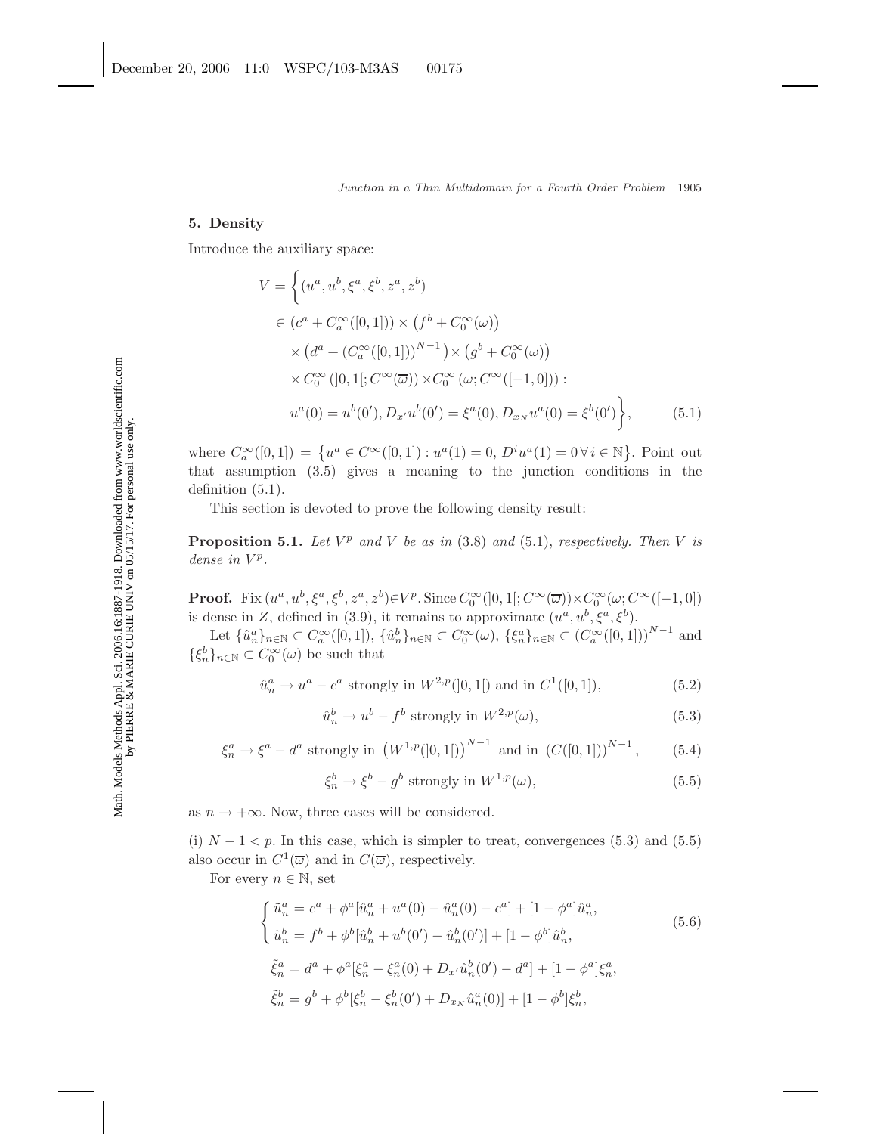#### **5. Density**

Introduce the auxiliary space:

$$
V = \left\{ (u^a, u^b, \xi^a, \xi^b, z^a, z^b) \right\}\n\in (c^a + C_a^{\infty}([0, 1])) \times (f^b + C_0^{\infty}(\omega))\n\times (d^a + (C_a^{\infty}([0, 1]))^{N-1}) \times (g^b + C_0^{\infty}(\omega))\n\times C_0^{\infty}([0, 1]; C^{\infty}(\overline{\omega})) \times C_0^{\infty}(\omega; C^{\infty}([-1, 0])) :\nu^a(0) = u^b(0'), D_{x'}u^b(0') = \xi^a(0), D_{x_N}u^a(0) = \xi^b(0') \right\},
$$
\n(5.1)

where  $C_a^{\infty}([0,1]) = \{u^a \in C^{\infty}([0,1]) : u^a(1) = 0, D^i u^a(1) = 0 \,\forall \, i \in \mathbb{N}\}.$  Point out that assumption (3.5) gives a meaning to the junction conditions in the definition (5.1).

This section is devoted to prove the following density result:

**Proposition 5.1.** *Let*  $V^p$  *and*  $V$  *be as in* (3.8) *and* (5.1), *respectively. Then*  $V$  *is*  $dense$  *in*  $V^p$ *.* 

**Proof.** Fix  $(u^a, u^b, \xi^a, \xi^b, z^a, z^b) \in V^p$ . Since  $C_0^{\infty}(]0, 1[; C^{\infty}(\overline{\omega})) \times C_0^{\infty}(\omega; C^{\infty}([-1, 0])$ is dense in Z, defined in (3.9), it remains to approximate  $(u^a, u^b, \xi^a, \xi^b)$ .

Let  $\{\hat{u}_n^a\}_{n\in\mathbb{N}}\subset C^\infty_a([0,1]), \ \{\hat{u}_n^b\}_{n\in\mathbb{N}}\subset C^\infty_0(\omega), \ \{\xi_n^a\}_{n\in\mathbb{N}}\subset (C^\infty_a([0,1]))^{N-1}$  and  $\{\xi_n^b\}_{n\in\mathbb{N}}\subset C_0^{\infty}(\omega)$  be such that

$$
\hat{u}_n^a \to u^a - c^a \text{ strongly in } W^{2,p}([0,1]) \text{ and in } C^1([0,1]),\tag{5.2}
$$

$$
\hat{u}_n^b \to u^b - f^b \text{ strongly in } W^{2,p}(\omega),\tag{5.3}
$$

$$
\xi_n^a \to \xi^a - d^a \text{ strongly in } \left( W^{1,p}([0,1]) \right)^{N-1} \text{ and in } \left( C([0,1]) \right)^{N-1}, \quad (5.4)
$$

$$
\xi_n^b \to \xi^b - g^b \text{ strongly in } W^{1,p}(\omega),\tag{5.5}
$$

as  $n \to +\infty$ . Now, three cases will be considered.

(i)  $N-1 < p$ . In this case, which is simpler to treat, convergences (5.3) and (5.5) also occur in  $C^1(\overline{\omega})$  and in  $C(\overline{\omega})$ , respectively.

For every  $n \in \mathbb{N}$ , set

$$
\begin{cases}\n\tilde{u}_n^a = c^a + \phi^a [\hat{u}_n^a + u^a(0) - \hat{u}_n^a(0) - c^a] + [1 - \phi^a] \hat{u}_n^a, \\
\tilde{u}_n^b = f^b + \phi^b [\hat{u}_n^b + u^b(0') - \hat{u}_n^b(0')] + [1 - \phi^b] \hat{u}_n^b, \\
\tilde{\xi}_n^a = d^a + \phi^a [\xi_n^a - \xi_n^a(0) + D_{x'} \hat{u}_n^b(0') - d^a] + [1 - \phi^a] \xi_n^a, \\
\tilde{\xi}_n^b = g^b + \phi^b [\xi_n^b - \xi_n^b(0') + D_{x_N} \hat{u}_n^a(0)] + [1 - \phi^b] \xi_n^b,\n\end{cases} (5.6)
$$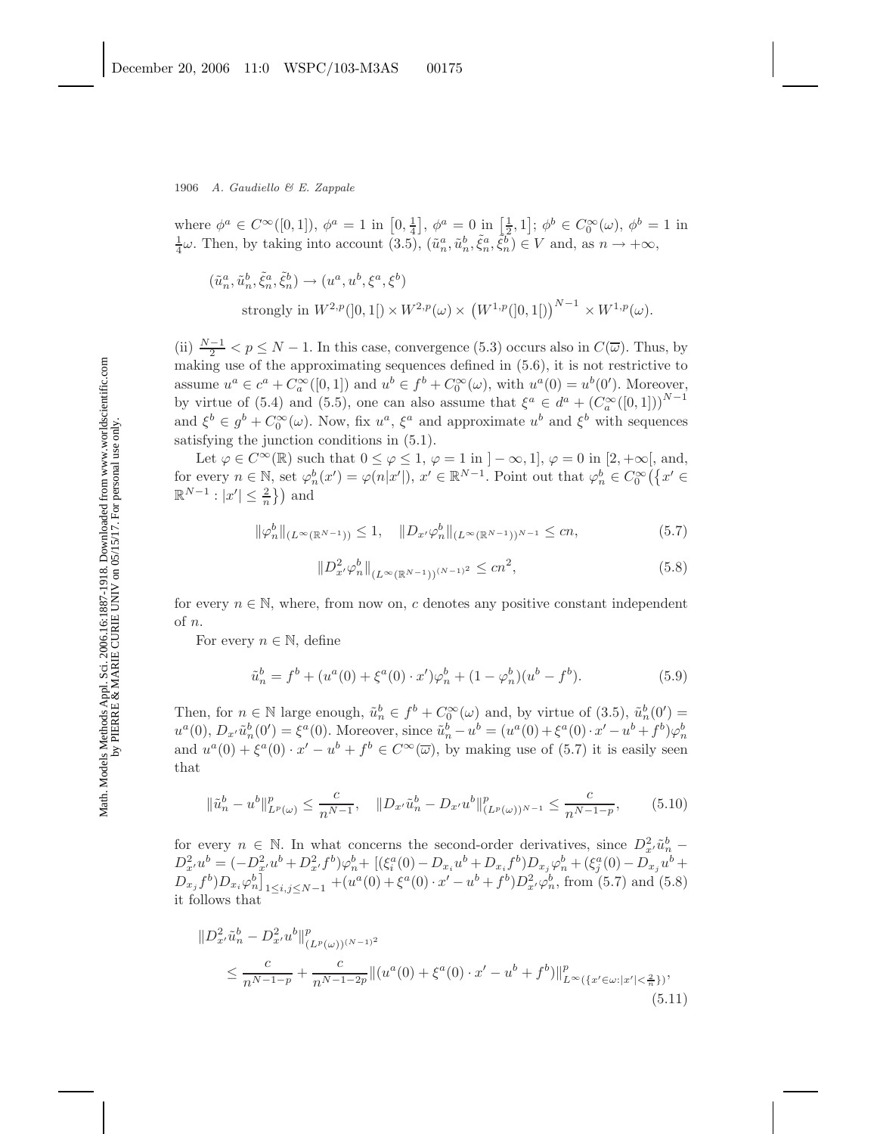where  $\phi^a \in C^{\infty}([0,1])$ ,  $\phi^a = 1$  in  $\left[0, \frac{1}{4}\right]$ ,  $\phi^a = 0$  in  $\left[\frac{1}{2}, 1\right]$ ;  $\phi^b \in C_0^{\infty}(\omega)$ ,  $\phi^b = 1$  in  $\frac{1}{4}\omega$ . Then, by taking into account (3.5),  $(\tilde{u}_n^a, \tilde{u}_n^b, \tilde{\xi}_n^a, \tilde{\xi}_n^b) \in V$  and, as  $n \to +\infty$ ,

$$
\begin{aligned} \left(\tilde{u}_n^a, \tilde{u}_n^b, \tilde{\xi}_n^a, \tilde{\xi}_n^b\right) &\rightarrow \left(u^a, u^b, \xi^a, \xi^b\right) \\ \text{strongly in } W^{2,p}([0,1[) \times W^{2,p}(\omega) \times \left(W^{1,p}([0,1[)\right)^{N-1} \times W^{1,p}(\omega). \end{aligned}
$$

(ii)  $\frac{N-1}{2} < p \le N-1$ . In this case, convergence (5.3) occurs also in  $C(\overline{\omega})$ . Thus, by making use of the approximating sequences defined in (5.6), it is not restrictive to assume  $u^a \in c^a + C_a^{\infty}([0,1])$  and  $u^b \in f^b + C_0^{\infty}(\omega)$ , with  $u^a(0) = u^b(0')$ . Moreover, by virtue of (5.4) and (5.5), one can also assume that  $\xi^a \in d^a + (C_a^{\infty}([0,1]))^{N-1}$ and  $\xi^b \in g^b + C_0^{\infty}(\omega)$ . Now, fix  $u^a$ ,  $\xi^a$  and approximate  $u^b$  and  $\xi^b$  with sequences satisfying the junction conditions in (5.1).

Let  $\varphi \in C^{\infty}(\mathbb{R})$  such that  $0 \le \varphi \le 1$ ,  $\varphi = 1$  in  $]-\infty, 1]$ ,  $\varphi = 0$  in  $[2, +\infty[$ , and, for every  $n \in \mathbb{N}$ , set  $\varphi_n^b(x') = \varphi(n|x'|)$ ,  $x' \in \mathbb{R}^{N-1}$ . Point out that  $\varphi_n^b \in C_0^{\infty}(\lbrace x' \in$  $\mathbb{R}^{N-1}: |x'| \leq \frac{2}{n}$  and

$$
\|\varphi_n^b\|_{(L^{\infty}(\mathbb{R}^{N-1}))} \le 1, \quad \|D_{x'}\varphi_n^b\|_{(L^{\infty}(\mathbb{R}^{N-1}))^{N-1}} \le cn,\tag{5.7}
$$

$$
||D_{x'}^2 \varphi_n^b||_{(L^{\infty}(\mathbb{R}^{N-1}))^{(N-1)^2}} \le cn^2,
$$
\n(5.8)

for every  $n \in \mathbb{N}$ , where, from now on, c denotes any positive constant independent of n.

For every  $n \in \mathbb{N}$ , define

$$
\tilde{u}_n^b = f^b + (u^a(0) + \xi^a(0) \cdot x')\varphi_n^b + (1 - \varphi_n^b)(u^b - f^b). \tag{5.9}
$$

Then, for  $n \in \mathbb{N}$  large enough,  $\tilde{u}_n^b \in f^b + C_0^{\infty}(\omega)$  and, by virtue of (3.5),  $\tilde{u}_n^b(0') =$  $u^{a}(0), D_{x'}\tilde{u}_{n}^{b}(0') = \xi^{a}(0)$ . Moreover, since  $\tilde{u}_{n}^{b} - u^{b} = (u^{a}(0) + \xi^{a}(0) \cdot x' - u^{b} + f^{b})\varphi_{n}^{b}$ and  $u^a(0) + \xi^a(0) \cdot x' - u^b + f^b \in C^\infty(\overline{\omega})$ , by making use of (5.7) it is easily seen that

$$
\|\tilde{u}_n^b - u^b\|_{L^p(\omega)}^p \le \frac{c}{n^{N-1}}, \quad \|D_{x'}\tilde{u}_n^b - D_{x'}u^b\|_{(L^p(\omega))^{N-1}}^p \le \frac{c}{n^{N-1-p}},\tag{5.10}
$$

for every  $n \in \mathbb{N}$ . In what concerns the second-order derivatives, since  $D_{x'}^2 \tilde{u}_n^b$  –  $D_{x'}^2 u^b = (-D_{x'}^2 u^b + D_{x'}^2 f^b)\varphi_n^b + [(\xi_i^a(0) - D_{x_i}u^b + D_{x_i}f^b)D_{x_j}\varphi_n^b + (\xi_j^a(0) - D_{x_j}u^b + D_{x_j}f^b)D_{x_j}f^b]$  $D_{x_j}f^b D_{x_i}\varphi_n^b]_{1\leq i,j\leq N-1}$  +( $u^a(0) + \xi^a(0) \cdot x' - u^b + f^b D_{x'}^2 \varphi_n^b$ , from (5.7) and (5.8) it follows that

$$
\|D_{x'}^2 \tilde{u}_n^b - D_{x'}^2 u^b\|_{(L^p(\omega))^{(N-1)^2}}^p
$$
  
\n
$$
\leq \frac{c}{n^{N-1-p}} + \frac{c}{n^{N-1-2p}} \| (u^a(0) + \xi^a(0) \cdot x' - u^b + f^b) \|_{L^\infty(\{x' \in \omega : |x'| < \frac{2}{n}\})}^p,
$$
\n(5.11)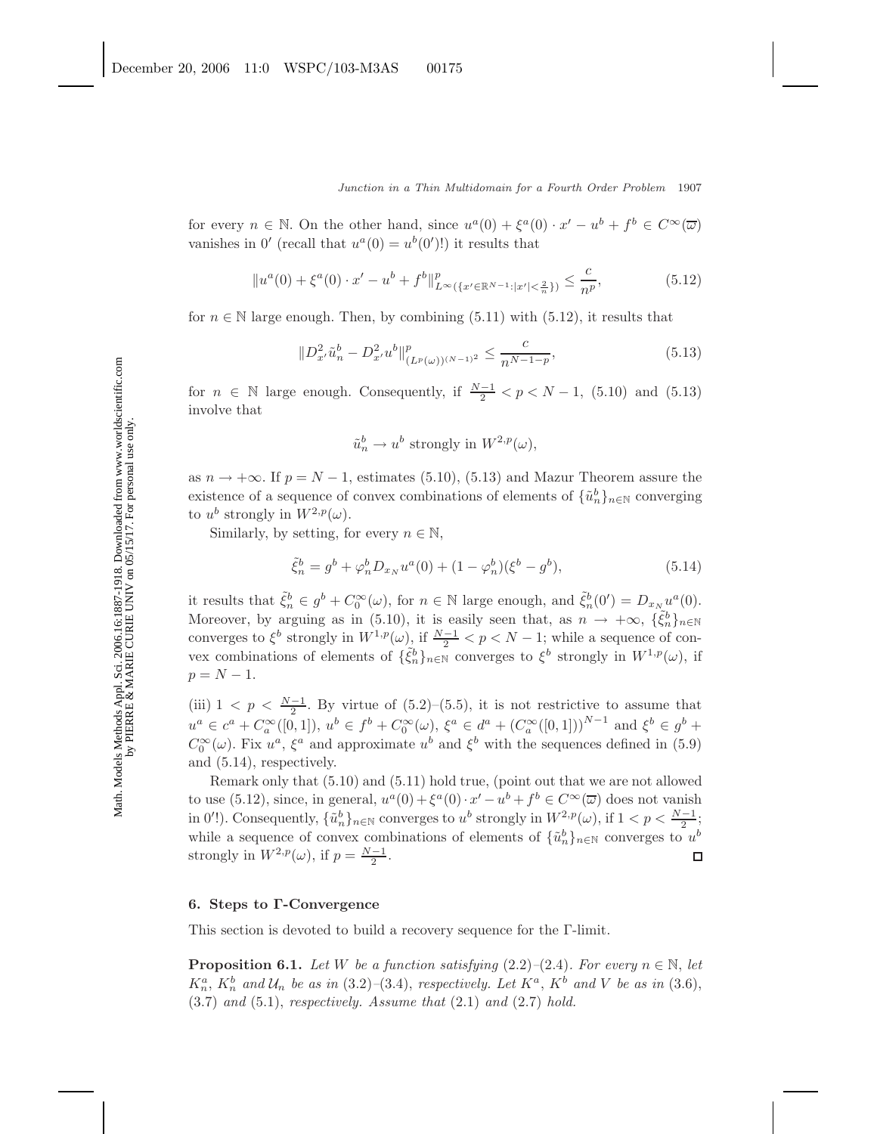for every  $n \in \mathbb{N}$ . On the other hand, since  $u^a(0) + \xi^a(0) \cdot x' - u^b + f^b \in C^\infty(\overline{\omega})$ vanishes in  $0'$  (recall that  $u^a(0) = u^b(0')$ !) it results that

$$
||u^{a}(0) + \xi^{a}(0) \cdot x' - u^{b} + f^{b}||_{L^{\infty}(\{x' \in \mathbb{R}^{N-1} : |x'| < \frac{2}{n}\})}^{p} \leq \frac{c}{n^{p}},
$$
\n(5.12)

for  $n \in \mathbb{N}$  large enough. Then, by combining (5.11) with (5.12), it results that

$$
||D_{x'}^{2}\tilde{u}_{n}^{b} - D_{x'}^{2}u^{b}||_{(L^{p}(\omega))^{(N-1)^{2}}}^{p} \leq \frac{c}{n^{N-1-p}},
$$
\n(5.13)

for  $n \in \mathbb{N}$  large enough. Consequently, if  $\frac{N-1}{2} < p < N-1$ , (5.10) and (5.13) involve that

$$
\tilde{u}_n^b \to u^b \text{ strongly in } W^{2,p}(\omega),
$$

as  $n \to +\infty$ . If  $p = N - 1$ , estimates (5.10), (5.13) and Mazur Theorem assure the existence of a sequence of convex combinations of elements of  $\{\tilde{u}_n^b\}_{n\in\mathbb{N}}$  converging to  $u^b$  strongly in  $W^{2,p}(\omega)$ .

Similarly, by setting, for every  $n \in \mathbb{N}$ ,

$$
\tilde{\xi}_n^b = g^b + \varphi_n^b D_{x_N} u^a(0) + (1 - \varphi_n^b)(\xi^b - g^b),\tag{5.14}
$$

it results that  $\tilde{\xi}_n^b \in g^b + C_0^{\infty}(\omega)$ , for  $n \in \mathbb{N}$  large enough, and  $\tilde{\xi}_n^b(0') = D_{x_N}u^a(0)$ . Moreover, by arguing as in (5.10), it is easily seen that, as  $n \to +\infty$ ,  $\{\tilde{\xi}_n^b\}_{n\in\mathbb{N}}$ converges to  $\xi^b$  strongly in  $W^{1,p}(\omega)$ , if  $\frac{N-1}{2} < p < N-1$ ; while a sequence of convex combinations of elements of  $\{\tilde{\xi}_n^b\}_{n\in\mathbb{N}}$  converges to  $\xi^b$  strongly in  $W^{1,p}(\omega)$ , if  $p = N - 1.$ 

(iii)  $1 < p < \frac{N-1}{2}$ . By virtue of (5.2)–(5.5), it is not restrictive to assume that  $u^a \in c^a + C_a^{\infty}([0,1]), u^b \in f^b + C_0^{\infty}(\omega), \xi^a \in d^a + (C_a^{\infty}([0,1]))^{N-1}$  and  $\xi^b \in g^b$  +  $C_0^{\infty}(\omega)$ . Fix  $u^a$ ,  $\xi^a$  and approximate  $u^b$  and  $\xi^b$  with the sequences defined in (5.9) and (5.14), respectively.

Remark only that (5.10) and (5.11) hold true, (point out that we are not allowed to use (5.12), since, in general,  $u^a(0) + \xi^a(0) \cdot x' - u^b + f^b \in C^\infty(\overline{\omega})$  does not vanish in 0'!). Consequently,  $\{\tilde{u}_n^b\}_{n\in\mathbb{N}}$  converges to  $u^b$  strongly in  $W^{2,p}(\omega)$ , if  $1 < p < \frac{N-1}{2}$ ; while a sequence of convex combinations of elements of  $\{\tilde{u}_n^b\}_{n\in\mathbb{N}}$  converges to  $u^b$ strongly in  $W^{2,p}(\omega)$ , if  $p = \frac{N-1}{2}$ .  $\Box$ 

# **6. Steps to Γ-Convergence**

This section is devoted to build a recovery sequence for the Γ-limit.

**Proposition 6.1.** *Let* W *be a function satisfying*  $(2.2)$ *–* $(2.4)$ *. For every*  $n \in \mathbb{N}$ *, let*  $K_n^a$ ,  $K_n^b$  and  $\mathcal{U}_n$  be as in (3.2)–(3.4), respectively. Let  $K^a$ ,  $K^b$  and V be as in (3.6), (3.7) *and* (5.1), *respectively. Assume that* (2.1) *and* (2.7) *hold.*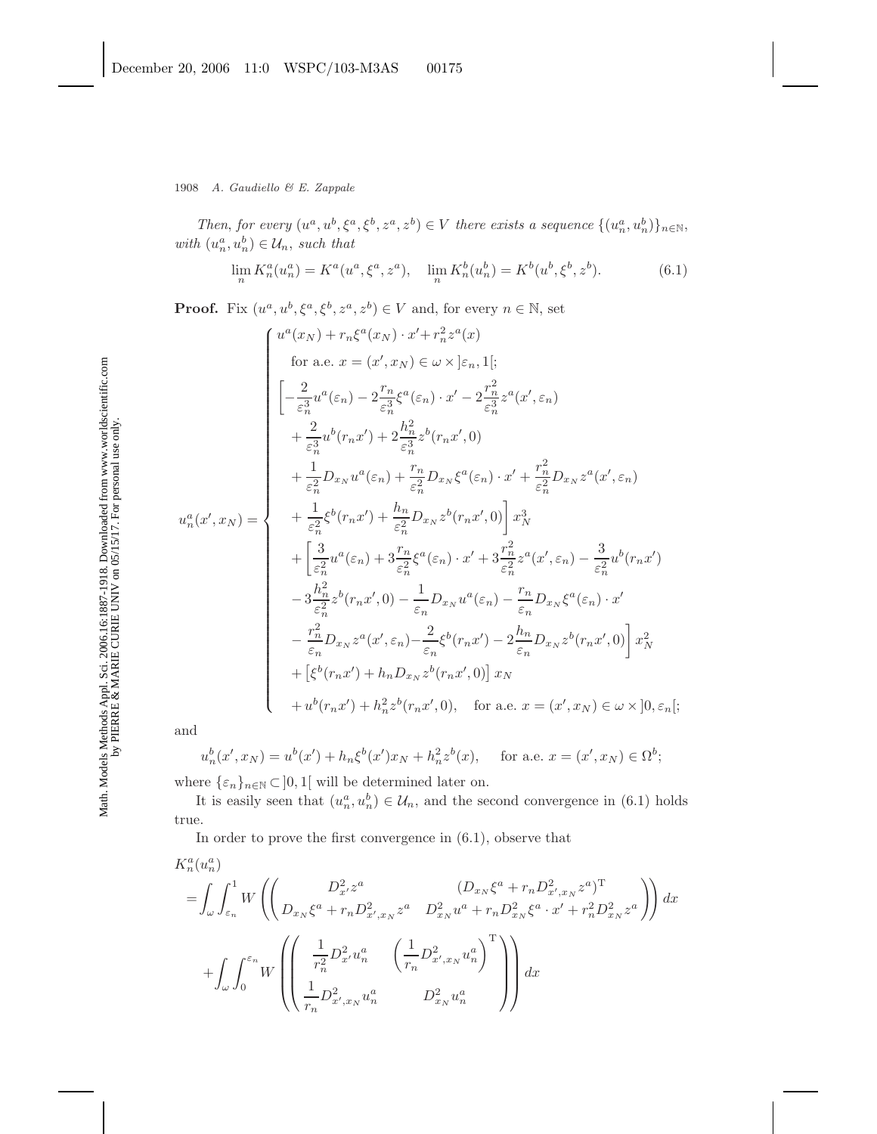1908 *A. Gaudiello & E. Zappale*

*Then, for every*  $(u^a, u^b, \xi^a, \xi^b, z^a, z^b) \in V$  *there exists a sequence*  $\{(u^a_n, u^b_n)\}_{n \in \mathbb{N}},$ *with*  $(u_n^a, u_n^b) \in \mathcal{U}_n$ , *such that* 

$$
\lim_{n} K_{n}^{a}(u_{n}^{a}) = K^{a}(u^{a}, \xi^{a}, z^{a}), \quad \lim_{n} K_{n}^{b}(u_{n}^{b}) = K^{b}(u^{b}, \xi^{b}, z^{b}). \tag{6.1}
$$

**Proof.** Fix  $(u^a, u^b, \xi^a, \xi^b, z^a, z^b) \in V$  and, for every  $n \in \mathbb{N}$ , set

$$
u^{a}(x_{N}) + r_{n}\xi^{a}(x_{N}) \cdot x' + r_{n}^{2}z^{a}(x)
$$
  
\nfor a.e.  $x = (x', x_{N}) \in \omega \times [\varepsilon_{n}, 1];$   
\n
$$
\begin{bmatrix}\n-\frac{2}{\varepsilon_{n}^{3}}u^{a}(\varepsilon_{n}) - 2\frac{r_{n}}{\varepsilon_{n}^{3}}\xi^{a}(\varepsilon_{n}) \cdot x' - 2\frac{r_{n}^{2}}{\varepsilon_{n}^{3}}z^{a}(x', \varepsilon_{n}) \\
+\frac{2}{\varepsilon_{n}^{3}}u^{b}(r_{n}x') + 2\frac{h_{n}^{2}}{\varepsilon_{n}^{3}}z^{b}(r_{n}x', 0)\n\end{bmatrix} + \frac{1}{\varepsilon_{n}^{2}}D_{x_{N}}u^{a}(\varepsilon_{n}) + \frac{r_{n}}{\varepsilon_{n}^{2}}D_{x_{N}}\xi^{a}(\varepsilon_{n}) \cdot x' + \frac{r_{n}^{2}}{\varepsilon_{n}^{2}}D_{x_{N}}z^{a}(x', \varepsilon_{n})\n\begin{bmatrix}\nu_{n}^{a}(x', x_{N}) = \n+ \frac{1}{\varepsilon_{n}^{2}}\xi^{b}(r_{n}x') + \frac{h_{n}}{\varepsilon_{n}^{2}}D_{x_{N}}z^{b}(r_{n}x', 0)\n\end{bmatrix}x_{N}^{3}\n+ \begin{bmatrix}\n\frac{3}{\varepsilon_{n}^{2}}u^{a}(\varepsilon_{n}) + 3\frac{r_{n}}{\varepsilon_{n}^{2}}\xi^{a}(\varepsilon_{n}) \cdot x' + 3\frac{r_{n}^{2}}{\varepsilon_{n}^{2}}z^{a}(x', \varepsilon_{n}) - \frac{3}{\varepsilon_{n}^{2}}u^{b}(r_{n}x')\n\end{bmatrix} - 3\frac{h_{n}^{2}}{\varepsilon_{n}^{2}}z^{b}(r_{n}x', 0) - \frac{1}{\varepsilon_{n}}D_{x_{N}}u^{a}(\varepsilon_{n}) - \frac{r_{n}}{\varepsilon_{n}}D_{x_{N}}\xi^{a}(\varepsilon_{n}) \cdot x'\n- \frac{r_{n}^{2}}{\varepsilon_{n}^{2}}D_{x_{N}}z^{a}(x', \varepsilon_{n
$$

and

$$
u_n^b(x', x_N) = u^b(x') + h_n \xi^b(x') x_N + h_n^2 z^b(x), \quad \text{for a.e. } x = (x', x_N) \in \Omega^b;
$$

where  $\{\varepsilon_n\}_{n\in\mathbb{N}}\subset\,]0,1[$  will be determined later on.

It is easily seen that  $(u_n^a, u_n^b) \in \mathcal{U}_n$ , and the second convergence in (6.1) holds true.

In order to prove the first convergence in (6.1), observe that

$$
K_n^a(u_n^a)
$$
  
=  $\int_{\omega} \int_{\varepsilon_n}^1 W \left( \left( \frac{D_{x_N}^2 z^a}{D_{x_N} \xi^a + r_n D_{x_N x_N}^2 z^a} \frac{(D_{x_N} \xi^a + r_n D_{x_N x_N}^2 z^a)^T}{D_{x_N}^2 u^a + r_n D_{x_N}^2 \xi^a \cdot x' + r_n^2 D_{x_N}^2 z^a} \right) dx \right. +  $\int_{\omega} \int_0^{\varepsilon_n} W \left( \left( \frac{\frac{1}{r_n^2} D_{x_N x_N}^2 u_n^a}{\frac{1}{r_n} D_{x_N x_N}^2 u_n^a} \frac{\left(\frac{1}{r_n} D_{x_N x_N}^2 u_n^a\right)^T}{D_{x_N}^2 u_n^a} \right) \right) dx$$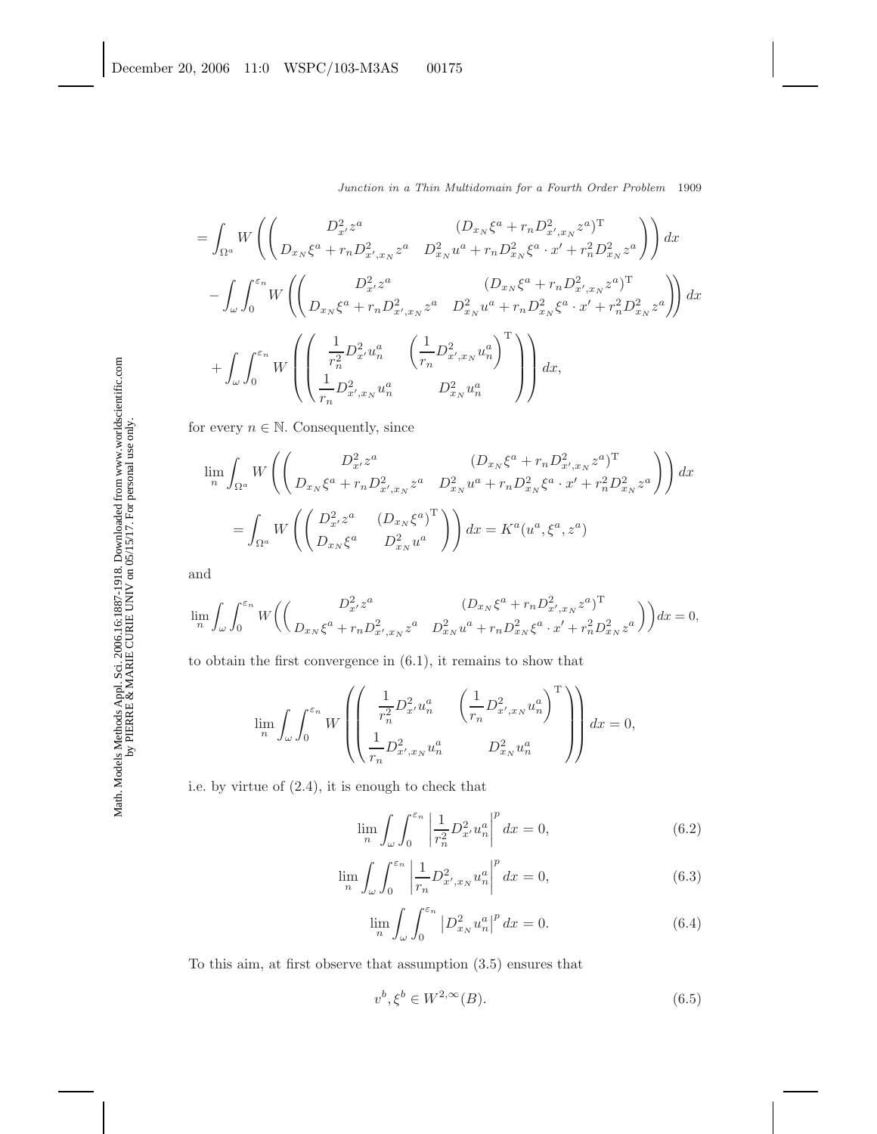$$
= \int_{\Omega^{a}} W \left( \begin{pmatrix} D_{x}^{2}z^{a} & (D_{x_{N}}\xi^{a} + r_{n}D_{x',x_{N}}^{2}z^{a})^{\mathrm{T}} \\ D_{x_{N}}\xi^{a} + r_{n}D_{x',x_{N}}^{2}z^{a} & D_{x_{N}}^{2}u^{a} + r_{n}D_{x_{N}}^{2}\xi^{a} \cdot x' + r_{n}^{2}D_{x_{N}}^{2}z^{a} \end{pmatrix} \right) dx
$$
  

$$
- \int_{\omega} \int_{0}^{\varepsilon_{n}} W \left( \begin{pmatrix} D_{x_{N}}^{2}z^{a} & (D_{x_{N}}\xi^{a} + r_{n}D_{x',x_{N}}^{2}z^{a})^{\mathrm{T}} \\ D_{x_{N}}\xi^{a} + r_{n}D_{x',x_{N}}^{2}z^{a} & D_{x_{N}}^{2}u^{a} + r_{n}D_{x_{N}}^{2}\xi^{a} \cdot x' + r_{n}^{2}D_{x_{N}}^{2}z^{a} \end{pmatrix} \right) dx
$$
  

$$
+ \int_{\omega} \int_{0}^{\varepsilon_{n}} W \left( \begin{pmatrix} \frac{1}{r_{n}^{2}} D_{x'}^{2}u_{n}^{a} & \left(\frac{1}{r_{n}} D_{x',x_{N}}^{2}u_{n}^{a}\right)^{\mathrm{T}} \\ \frac{1}{r_{n}} D_{x',x_{N}}^{2}u_{n}^{a} & D_{x_{N}}^{2}u_{n}^{a} \end{pmatrix} \right) dx,
$$

for every  $n \in \mathbb{N}$ . Consequently, since

$$
\lim_{n} \int_{\Omega^{a}} W \left( \begin{pmatrix} D_{x}^{2} z^{a} & (D_{x_{N}} \xi^{a} + r_{n} D_{x',x_{N}}^{2} z^{a})^{\mathrm{T}} \\ D_{x_{N}} \xi^{a} + r_{n} D_{x',x_{N}}^{2} z^{a} & D_{x_{N}}^{2} u^{a} + r_{n} D_{x_{N}}^{2} \xi^{a} \cdot x' + r_{n}^{2} D_{x_{N}}^{2} z^{a} \end{pmatrix} \right) dx
$$
\n
$$
= \int_{\Omega^{a}} W \left( \begin{pmatrix} D_{x}^{2} z^{a} & (D_{x_{N}} \xi^{a})^{\mathrm{T}} \\ D_{x_{N}} \xi^{a} & D_{x_{N}}^{2} u^{a} \end{pmatrix} \right) dx = K^{a} (u^{a}, \xi^{a}, z^{a})
$$

and

$$
\lim_{n} \int_{\omega} \int_{0}^{\varepsilon_n} W \bigg( \bigg( \frac{D_{x'}^2 z^a}{D_{x_N} \xi^a + r_n D_{x',x_N}^2 z^a} \frac{(D_{x_N} \xi^a + r_n D_{x',x_N}^2 z^a)^T}{D_{x_N}^2 u^a + r_n D_{x_N}^2 \xi^a \cdot x' + r_n^2 D_{x_N}^2 z^a} \bigg) \bigg) dx = 0,
$$

to obtain the first convergence in (6.1), it remains to show that

$$
\lim_{n} \int_{\omega} \int_{0}^{\varepsilon_n} W \left( \left( \frac{\frac{1}{r_n^2} D_x^2 u_n^a}{\frac{1}{r_n} D_{x',x_N}^2 u_n^a} \frac{\left(\frac{1}{r_n} D_{x',x_N}^2 u_n^a\right)^T}{D_{x_N}^2 u_n^a} \right) \right) dx = 0,
$$

i.e. by virtue of (2.4), it is enough to check that

$$
\lim_{n} \int_{\omega} \int_{0}^{\varepsilon_n} \left| \frac{1}{r_n^2} D_{x'}^2 u_n^a \right|^p dx = 0, \tag{6.2}
$$

$$
\lim_{n} \int_{\omega} \int_{0}^{\varepsilon_n} \left| \frac{1}{r_n} D_{x',x_N}^2 u_n^a \right|^p dx = 0,
$$
\n(6.3)

$$
\lim_{n} \int_{\omega} \int_{0}^{\varepsilon_n} |D_{x_N}^2 u_n^a|^p \, dx = 0. \tag{6.4}
$$

To this aim, at first observe that assumption (3.5) ensures that

$$
v^b, \xi^b \in W^{2,\infty}(B). \tag{6.5}
$$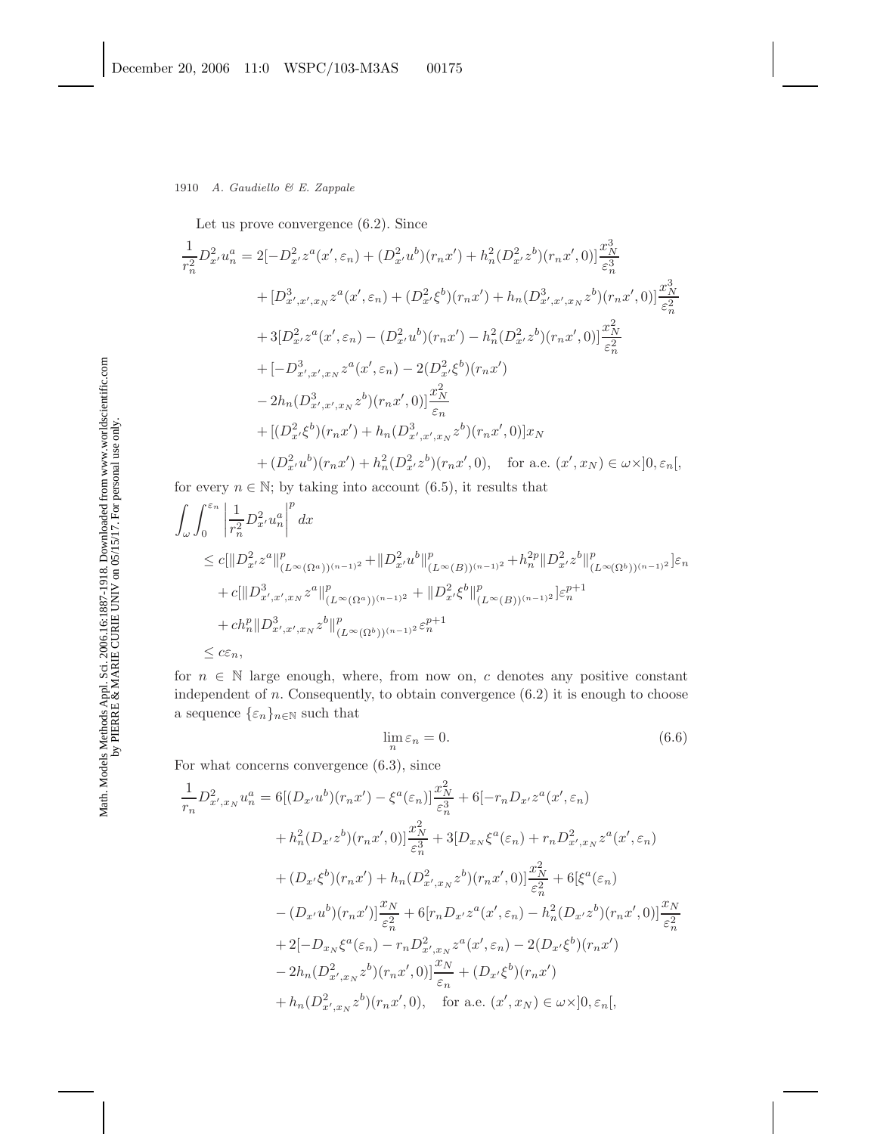Let us prove convergence (6.2). Since

$$
\frac{1}{r_n^2} D_{x'}^2 u_n^a = 2[-D_{x'}^2 z^a(x', \varepsilon_n) + (D_{x'}^2 u^b)(r_n x') + h_n^2 (D_{x'}^2 z^b)(r_n x', 0)] \frac{x_N^3}{\varepsilon_n^3}
$$
  
+  $[D_{x',x',x_N}^3 z^a(x', \varepsilon_n) + (D_{x'}^2 \xi^b)(r_n x') + h_n (D_{x',x',x_N}^3 z^b)(r_n x', 0)] \frac{x_N^3}{\varepsilon_n^2}$   
+  $3[D_{x'}^2 z^a(x', \varepsilon_n) - (D_{x'}^2 u^b)(r_n x') - h_n^2 (D_{x'}^2 z^b)(r_n x', 0)] \frac{x_N^2}{\varepsilon_n^2}$   
+  $[-D_{x',x',x_N}^3 z^a(x', \varepsilon_n) - 2(D_{x'}^2 \xi^b)(r_n x')$   
-  $2h_n (D_{x',x',x_N}^3 z^b)(r_n x', 0)] \frac{x_N^2}{\varepsilon_n}$   
+  $[(D_{x'}^2 \xi^b)(r_n x') + h_n (D_{x',x',x_N}^3 z^b)(r_n x', 0)]x_N$   
+  $(D_{x'}^2 u^b)(r_n x') + h_n^2 (D_{x'}^2 z^b)(r_n x', 0), \text{ for a.e. } (x', x_N) \in \omega \times ]0, \varepsilon_n[$ ,

for every  $n \in \mathbb{N}$ ; by taking into account (6.5), it results that

$$
\int_{\omega} \int_0^{\varepsilon_n} \left| \frac{1}{r_n^2} D_{x'}^2 u_n^a \right|^p dx
$$
\n
$$
\leq c \left[ \| D_{x'}^2 z^a \|^p_{(L^\infty(\Omega^a))^{(n-1)2}} + \| D_{x'}^2 u^b \|^p_{(L^\infty(B))^{(n-1)2}} + h_n^{2p} \| D_{x'}^2 z^b \|^p_{(L^\infty(\Omega^b))^{(n-1)2}} \right] \varepsilon_n
$$
\n
$$
+ c \left[ \| D_{x',x',x_N}^3 z^a \|^p_{(L^\infty(\Omega^a))^{(n-1)2}} + \| D_{x'}^2 \xi^b \|^p_{(L^\infty(B))^{(n-1)2}} \right] \varepsilon_n^{p+1}
$$
\n
$$
+ ch_n^p \| D_{x',x',x_N}^3 z^b \|^p_{(L^\infty(\Omega^b))^{(n-1)2}} \varepsilon_n^{p+1}
$$
\n
$$
\leq c \varepsilon_n,
$$

for  $n \in \mathbb{N}$  large enough, where, from now on, c denotes any positive constant independent of  $n$ . Consequently, to obtain convergence  $(6.2)$  it is enough to choose a sequence  $\{\varepsilon_n\}_{n\in\mathbb{N}}$  such that

$$
\lim_{n} \varepsilon_n = 0. \tag{6.6}
$$

For what concerns convergence (6.3), since

$$
\frac{1}{r_n}D_{x',x_N}^2 u_n^a = 6[(D_{x'}u^b)(r_nx') - \xi^a(\varepsilon_n)]\frac{x_N^2}{\varepsilon_n^3} + 6[-r_nD_{x'}z^a(x',\varepsilon_n) \n+ h_n^2(D_{x'}z^b)(r_nx',0)]\frac{x_N^2}{\varepsilon_n^3} + 3[D_{x_N}\xi^a(\varepsilon_n) + r_nD_{x',x_N}^2z^a(x',\varepsilon_n) \n+ (D_{x'}\xi^b)(r_nx') + h_n(D_{x',x_N}^2z^b)(r_nx',0)]\frac{x_N^2}{\varepsilon_n^2} + 6[\xi^a(\varepsilon_n) \n- (D_{x'}u^b)(r_nx')] \frac{x_N}{\varepsilon_n^2} + 6[r_nD_{x'}z^a(x',\varepsilon_n) - h_n^2(D_{x'}z^b)(r_nx',0)]\frac{x_N}{\varepsilon_n^2} \n+ 2[-D_{x_N}\xi^a(\varepsilon_n) - r_nD_{x',x_N}^2z^a(x',\varepsilon_n) - 2(D_{x'}\xi^b)(r_nx') \n- 2h_n(D_{x',x_N}^2z^b)(r_nx',0)]\frac{x_N}{\varepsilon_n} + (D_{x'}\xi^b)(r_nx')
$$
\n
$$
+ h_n(D_{x',x_N}^2z^b)(r_nx',0), \quad \text{for a.e. } (x',x_N) \in \omega \times ]0, \varepsilon_n[
$$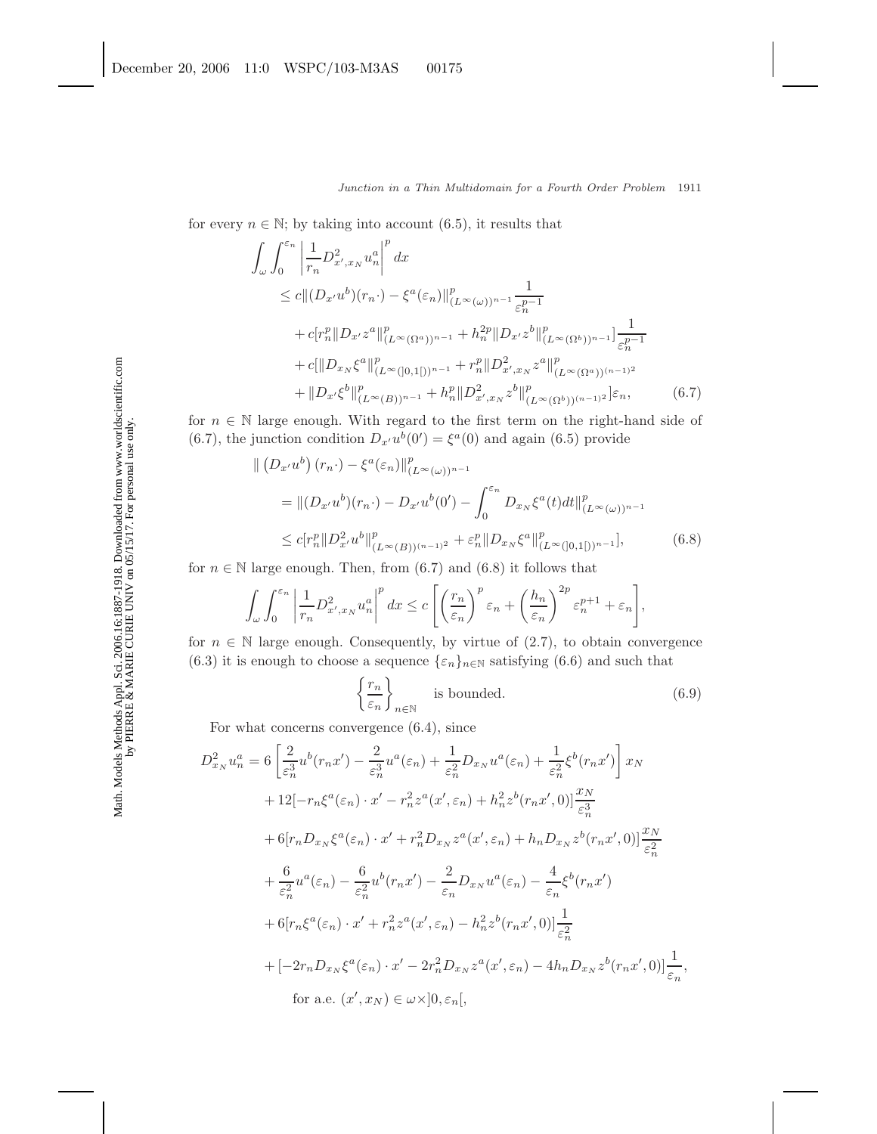for every  $n \in \mathbb{N}$ ; by taking into account (6.5), it results that

$$
\int_{\omega} \int_{0}^{\varepsilon_{n}} \left| \frac{1}{r_{n}} D_{x',x_{N}}^{2} u_{n}^{a} \right|^{p} dx
$$
\n
$$
\leq c \|(D_{x'} u^{b})(r_{n} \cdot) - \xi^{a}(\varepsilon_{n})\|_{(L^{\infty}(\omega))^{n-1}}^{p} \frac{1}{\varepsilon_{n}^{p-1}}
$$
\n
$$
+ c[r_{n}^{p} \| D_{x'} z^{a} \|_{(L^{\infty}(\Omega^{a}))^{n-1}}^{p} + h_{n}^{2p} \| D_{x'} z^{b} \|_{(L^{\infty}(\Omega^{b}))^{n-1}}^{p} \frac{1}{\varepsilon_{n}^{p-1}}
$$
\n
$$
+ c [\|D_{x_{N}} \xi^{a} \|_{(L^{\infty}([0,1]))^{n-1}}^{p} + r_{n}^{p} \| D_{x',x_{N}}^{2} z^{a} \|_{(L^{\infty}(\Omega^{a}))^{(n-1)^{2}}}^{p}
$$
\n
$$
+ \|D_{x'} \xi^{b} \|_{(L^{\infty}(B))^{n-1}}^{p} + h_{n}^{p} \| D_{x',x_{N}}^{2} z^{b} \|_{(L^{\infty}(\Omega^{b}))^{(n-1)^{2}}}^{p} \varepsilon_{n}, \qquad (6.7)
$$

for  $n \in \mathbb{N}$  large enough. With regard to the first term on the right-hand side of (6.7), the junction condition  $D_{x'}u^b(0') = \xi^a(0)$  and again (6.5) provide

$$
\| (D_{x'}u^b)(r_n \cdot) - \xi^a(\varepsilon_n) \|_{(L^{\infty}(\omega))^{n-1}}^p
$$
  
=  $||(D_{x'}u^b)(r_n \cdot) - D_{x'}u^b(0') - \int_0^{\varepsilon_n} D_{x_N}\xi^a(t)dt \|_{(L^{\infty}(\omega))^{n-1}}^p$   
 $\leq c[r_n^p||D_{x'}^2u^b\|_{(L^{\infty}(B))^{(n-1)2}}^p + \varepsilon_n^p ||D_{x_N}\xi^a\|_{(L^{\infty}([0,1])^{n-1}}^p],$  (6.8)

for  $n \in \mathbb{N}$  large enough. Then, from (6.7) and (6.8) it follows that

$$
\int_{\omega} \int_0^{\varepsilon_n} \left| \frac{1}{r_n} D_{x',x_N}^2 u_n^a \right|^p dx \leq c \left[ \left( \frac{r_n}{\varepsilon_n} \right)^p \varepsilon_n + \left( \frac{h_n}{\varepsilon_n} \right)^{2p} \varepsilon_n^{p+1} + \varepsilon_n \right],
$$

for  $n \in \mathbb{N}$  large enough. Consequently, by virtue of (2.7), to obtain convergence (6.3) it is enough to choose a sequence  $\{\varepsilon_n\}_{n\in\mathbb{N}}$  satisfying (6.6) and such that

$$
\left\{\frac{r_n}{\varepsilon_n}\right\}_{n\in\mathbb{N}} \quad \text{is bounded.} \tag{6.9}
$$

For what concerns convergence (6.4), since

$$
D_{x_N}^2 u_n^a = 6 \left[ \frac{2}{\varepsilon_n^3} u^b(r_n x') - \frac{2}{\varepsilon_n^3} u^a(\varepsilon_n) + \frac{1}{\varepsilon_n^2} D_{x_N} u^a(\varepsilon_n) + \frac{1}{\varepsilon_n^2} \xi^b(r_n x') \right] x_N + 12[-r_n \xi^a(\varepsilon_n) \cdot x' - r_n^2 z^a(x', \varepsilon_n) + h_n^2 z^b(r_n x', 0)] \frac{x_N}{\varepsilon_n^3} + 6[r_n D_{x_N} \xi^a(\varepsilon_n) \cdot x' + r_n^2 D_{x_N} z^a(x', \varepsilon_n) + h_n D_{x_N} z^b(r_n x', 0)] \frac{x_N}{\varepsilon_n^2} + \frac{6}{\varepsilon_n^2} u^a(\varepsilon_n) - \frac{6}{\varepsilon_n^2} u^b(r_n x') - \frac{2}{\varepsilon_n} D_{x_N} u^a(\varepsilon_n) - \frac{4}{\varepsilon_n} \xi^b(r_n x') + 6[r_n \xi^a(\varepsilon_n) \cdot x' + r_n^2 z^a(x', \varepsilon_n) - h_n^2 z^b(r_n x', 0)] \frac{1}{\varepsilon_n^2} + [-2r_n D_{x_N} \xi^a(\varepsilon_n) \cdot x' - 2r_n^2 D_{x_N} z^a(x', \varepsilon_n) - 4h_n D_{x_N} z^b(r_n x', 0)] \frac{1}{\varepsilon_n},
$$
 for a.e.  $(x', x_N) \in \omega \times ]0, \varepsilon_n[$ ,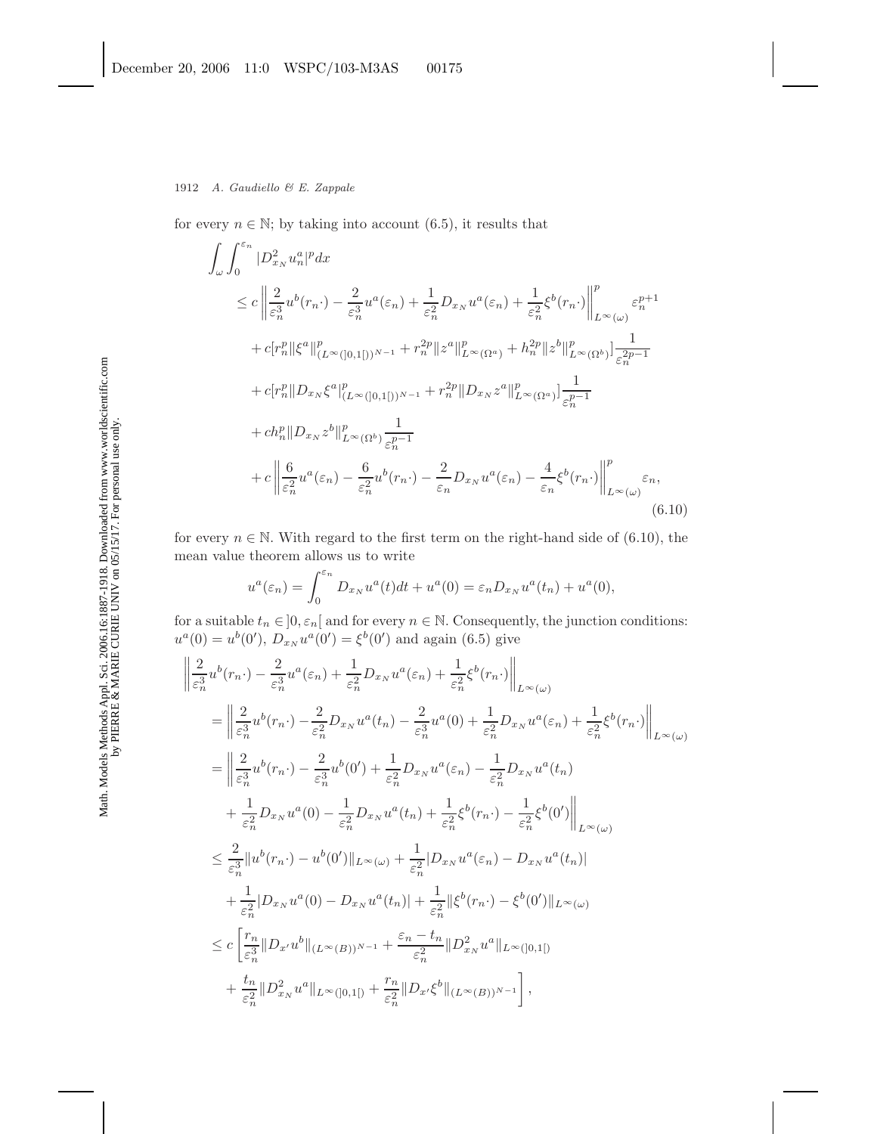for every  $n \in \mathbb{N}$ ; by taking into account (6.5), it results that

$$
\int_{\omega} \int_{0}^{\varepsilon_{n}} |D_{x_{N}}^{2} u_{n}^{a}|^{p} dx
$$
\n
$$
\leq c \left\| \frac{2}{\varepsilon_{n}^{3}} u^{b}(r_{n} \cdot) - \frac{2}{\varepsilon_{n}^{3}} u^{a}(\varepsilon_{n}) + \frac{1}{\varepsilon_{n}^{2}} D_{x_{N}} u^{a}(\varepsilon_{n}) + \frac{1}{\varepsilon_{n}^{2}} \xi^{b}(r_{n} \cdot) \right\|_{L^{\infty}(\omega)}^{p} \varepsilon_{n}^{p+1}
$$
\n
$$
+ c[r_{n}^{p} || \xi^{a} ||_{(L^{\infty}([0,1[))^{N-1}}^{p} + r_{n}^{2p} || z^{a} ||_{L^{\infty}(\Omega^{a})}^{p} + h_{n}^{2p} || z^{b} ||_{L^{\infty}(\Omega^{b})}^{p}] \frac{1}{\varepsilon_{n}^{2p-1}}
$$
\n
$$
+ c[r_{n}^{p} || D_{x_{N}} \xi^{a} ||_{(L^{\infty}([0,1[))^{N-1}}^{p} + r_{n}^{2p} || D_{x_{N}} z^{a} ||_{L^{\infty}(\Omega^{a})}^{p}] \frac{1}{\varepsilon_{n}^{p-1}}
$$
\n
$$
+ ch_{n}^{p} || D_{x_{N}} z^{b} ||_{L^{\infty}(\Omega^{b})}^{p} \frac{1}{\varepsilon_{n}^{p-1}}
$$
\n
$$
+ c \left\| \frac{6}{\varepsilon_{n}^{2}} u^{a}(\varepsilon_{n}) - \frac{6}{\varepsilon_{n}^{2}} u^{b}(r_{n} \cdot) - \frac{2}{\varepsilon_{n}^{2}} D_{x_{N}} u^{a}(\varepsilon_{n}) - \frac{4}{\varepsilon_{n}^{2}} \xi^{b}(r_{n} \cdot) \right\|_{L^{\infty}(\omega)}^{p} (\varepsilon_{n})
$$
\n(6.10)

for every  $n \in \mathbb{N}$ . With regard to the first term on the right-hand side of (6.10), the mean value theorem allows us to write

$$
u^{a}(\varepsilon_{n}) = \int_{0}^{\varepsilon_{n}} D_{x_{N}} u^{a}(t)dt + u^{a}(0) = \varepsilon_{n} D_{x_{N}} u^{a}(t_{n}) + u^{a}(0),
$$

for a suitable  $t_n \in ]0, \varepsilon_n[$  and for every  $n \in \mathbb{N}$ . Consequently, the junction conditions:  $u^{a}(0) = u^{b}(0), D_{x_N}u^{a}(0') = \xi^{b}(0')$  and again (6.5) give

$$
\frac{2}{\varepsilon_n^3} u^b(r_n \cdot) - \frac{2}{\varepsilon_n^3} u^a(\varepsilon_n) + \frac{1}{\varepsilon_n^2} D_{x_N} u^a(\varepsilon_n) + \frac{1}{\varepsilon_n^2} \xi^b(r_n \cdot) \Big\|_{L^{\infty}(\omega)}
$$
\n
$$
= \left\| \frac{2}{\varepsilon_n^3} u^b(r_n \cdot) - \frac{2}{\varepsilon_n^2} D_{x_N} u^a(t_n) - \frac{2}{\varepsilon_n^3} u^a(0) + \frac{1}{\varepsilon_n^2} D_{x_N} u^a(\varepsilon_n) + \frac{1}{\varepsilon_n^2} \xi^b(r_n \cdot) \right\|_{L^{\infty}(\omega)}
$$
\n
$$
= \left\| \frac{2}{\varepsilon_n^3} u^b(r_n \cdot) - \frac{2}{\varepsilon_n^3} u^b(0') + \frac{1}{\varepsilon_n^2} D_{x_N} u^a(\varepsilon_n) - \frac{1}{\varepsilon_n^2} D_{x_N} u^a(t_n) + \frac{1}{\varepsilon_n^2} \xi^b(r_n \cdot) - \frac{1}{\varepsilon_n^2} \xi^b(0') \right\|_{L^{\infty}(\omega)}
$$
\n
$$
\leq \frac{2}{\varepsilon_n^3} \| u^b(r_n \cdot) - u^b(0') \|_{L^{\infty}(\omega)} + \frac{1}{\varepsilon_n^2} |D_{x_N} u^a(\varepsilon_n) - D_{x_N} u^a(t_n)|
$$
\n
$$
+ \frac{1}{\varepsilon_n^2} |D_{x_N} u^a(0) - D_{x_N} u^a(t_n)| + \frac{1}{\varepsilon_n^2} ||\xi^b(r_n \cdot) - \xi^b(0') ||_{L^{\infty}(\omega)}
$$
\n
$$
\leq c \left[ \frac{r_n}{\varepsilon_n^3} ||D_{x'} u^b||_{(L^{\infty}(B))^{N-1}} + \frac{\varepsilon_n - t_n}{\varepsilon_n^2} ||D_{x_N}^2 u^a||_{L^{\infty}(0,1[)}
$$
\n
$$
+ \frac{t_n}{\varepsilon_n^2} ||D_{x_N}^2 u^a||_{L^{\infty}(0,1[)} + \frac{r_n}{\varepsilon_n
$$

|<br>|<br>|<br>|<br>|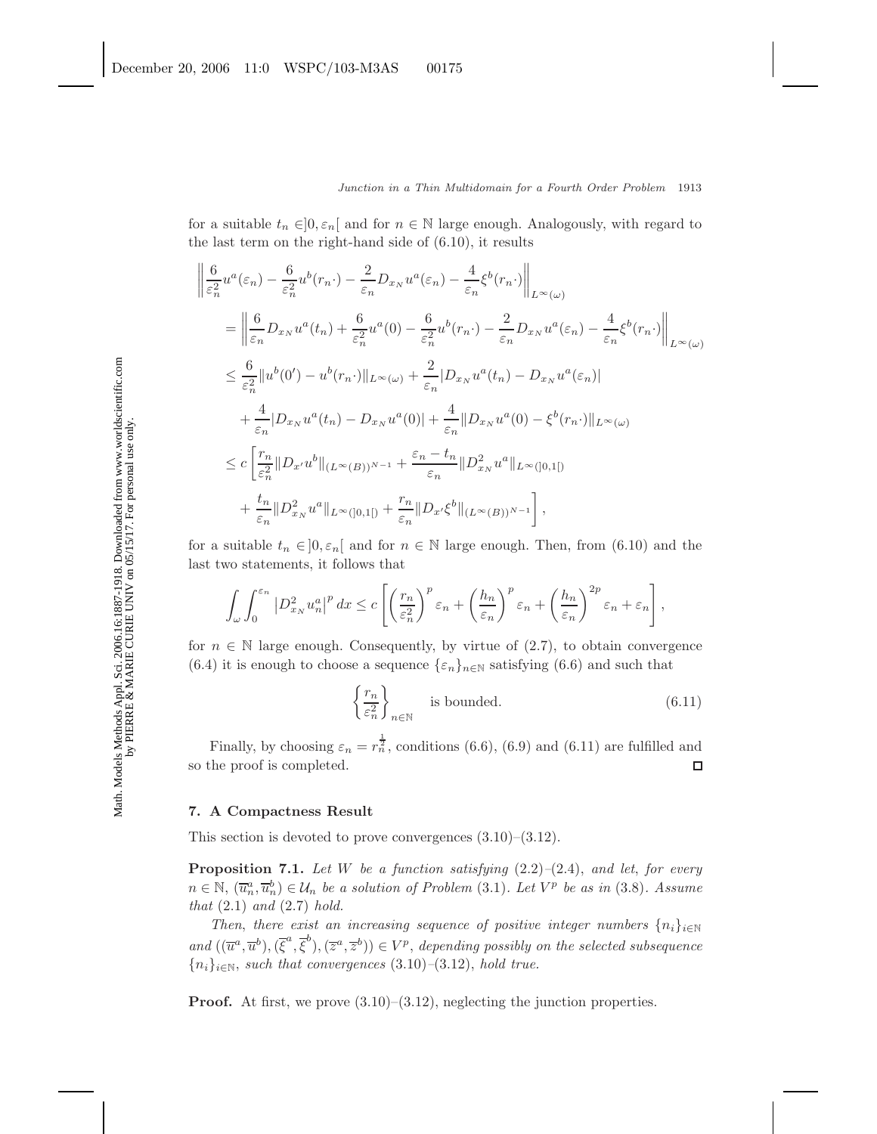for a suitable  $t_n \in ]0, \varepsilon_n[$  and for  $n \in \mathbb{N}$  large enough. Analogously, with regard to the last term on the right-hand side of (6.10), it results

$$
\begin{split}\n&\left\|\frac{6}{\varepsilon_n^2}u^a(\varepsilon_n)-\frac{6}{\varepsilon_n^2}u^b(r_n\cdot)-\frac{2}{\varepsilon_n}D_{x_N}u^a(\varepsilon_n)-\frac{4}{\varepsilon_n}\xi^b(r_n\cdot)\right\|_{L^{\infty}(\omega)} \\
&= \left\|\frac{6}{\varepsilon_n}D_{x_N}u^a(t_n)+\frac{6}{\varepsilon_n^2}u^a(0)-\frac{6}{\varepsilon_n^2}u^b(r_n\cdot)-\frac{2}{\varepsilon_n}D_{x_N}u^a(\varepsilon_n)-\frac{4}{\varepsilon_n}\xi^b(r_n\cdot)\right\|_{L^{\infty}(\omega)} \\
&\leq \frac{6}{\varepsilon_n^2}\|u^b(0')-u^b(r_n\cdot)\|_{L^{\infty}(\omega)}+\frac{2}{\varepsilon_n}|D_{x_N}u^a(t_n)-D_{x_N}u^a(\varepsilon_n)| \\
&+\frac{4}{\varepsilon_n}|D_{x_N}u^a(t_n)-D_{x_N}u^a(0)|+\frac{4}{\varepsilon_n}\|D_{x_N}u^a(0)-\xi^b(r_n\cdot)\|_{L^{\infty}(\omega)} \\
&\leq c\left[\frac{r_n}{\varepsilon_n^2}\|D_{x'}u^b\|_{(L^{\infty}(B))^{N-1}}+\frac{\varepsilon_n-t_n}{\varepsilon_n}\|D_{x_N}^2u^a\|_{L^{\infty}([0,1[)} \\
&+\frac{t_n}{\varepsilon_n}\|D_{x_N}^2u^a\|_{L^{\infty}([0,1[)}+\frac{r_n}{\varepsilon_n}\|D_{x'}\xi^b\|_{(L^{\infty}(B))^{N-1}}\right],\n\end{split}
$$

for a suitable  $t_n \in ]0, \varepsilon_n[$  and for  $n \in \mathbb{N}$  large enough. Then, from (6.10) and the last two statements, it follows that

$$
\int_{\omega} \int_0^{\varepsilon_n} \left| D^2_{x_N} u_n^a \right|^p dx \leq c \left[ \left( \frac{r_n}{\varepsilon_n^2} \right)^p \varepsilon_n + \left( \frac{h_n}{\varepsilon_n} \right)^p \varepsilon_n + \left( \frac{h_n}{\varepsilon_n} \right)^{2p} \varepsilon_n + \varepsilon_n \right],
$$

for  $n \in \mathbb{N}$  large enough. Consequently, by virtue of (2.7), to obtain convergence (6.4) it is enough to choose a sequence  $\{\varepsilon_n\}_{n\in\mathbb{N}}$  satisfying (6.6) and such that

$$
\left\{\frac{r_n}{\varepsilon_n^2}\right\}_{n\in\mathbb{N}} \quad \text{is bounded.} \tag{6.11}
$$

Finally, by choosing  $\varepsilon_n = r_n^{\frac{1}{2}}$ , conditions (6.6), (6.9) and (6.11) are fulfilled and so the proof is completed.  $\Box$ 

## **7. A Compactness Result**

This section is devoted to prove convergences  $(3.10)$ – $(3.12)$ .

**Proposition 7.1.** *Let* W *be a function satisfying* (2.2)*–*(2.4), *and let*, *for every*  $n \in \mathbb{N}$ ,  $(\overline{u}_n^a, \overline{u}_n^b) \in \mathcal{U}_n$  *be a solution of Problem* (3.1)*. Let*  $V^p$  *be as in* (3.8)*.* Assume *that* (2.1) *and* (2.7) *hold.*

*Then, there exist an increasing sequence of positive integer numbers*  $\{n_i\}_{i\in\mathbb{N}}$  $and ((\overline{u}^a, \overline{u}^b), (\overline{\xi}^a, \overline{\xi}^b), (\overline{z}^a, \overline{z}^b)) \in V^p$ , *depending possibly on the selected subsequence* {ni}<sup>i</sup>∈<sup>N</sup>, *such that convergences* (3.10)*–*(3.12), *hold true.*

**Proof.** At first, we prove  $(3.10)$ – $(3.12)$ , neglecting the junction properties.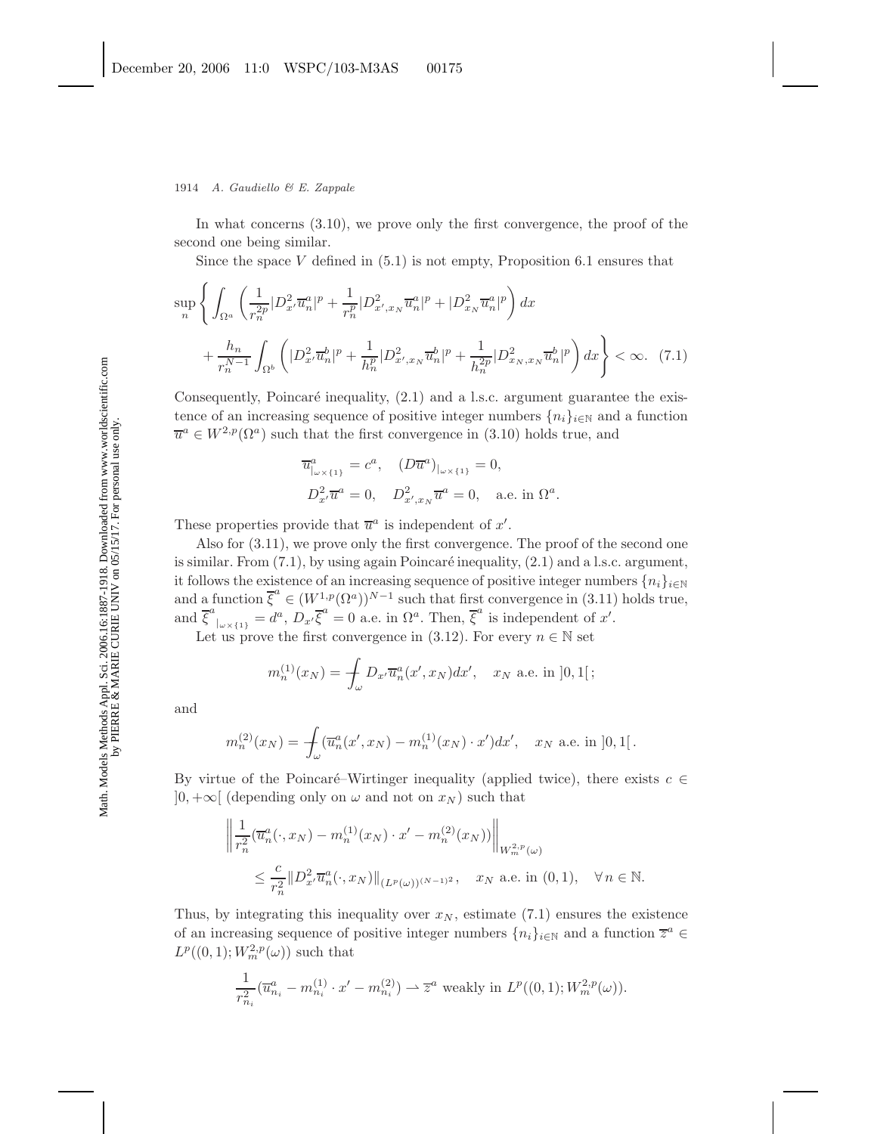#### 1914 *A. Gaudiello & E. Zappale*

In what concerns (3.10), we prove only the first convergence, the proof of the second one being similar.

Since the space V defined in  $(5.1)$  is not empty, Proposition 6.1 ensures that

$$
\sup_{n} \left\{ \int_{\Omega^{a}} \left( \frac{1}{r_{n}^{2p}} |D_{x'}^{2} \overline{u}_{n}^{a}|^{p} + \frac{1}{r_{n}^{p}} |D_{x',x_{N}}^{2} \overline{u}_{n}^{a}|^{p} + |D_{x_{N}}^{2} \overline{u}_{n}^{a}|^{p} \right) dx + \frac{h_{n}}{r_{n}^{N-1}} \int_{\Omega^{b}} \left( |D_{x'}^{2} \overline{u}_{n}^{b}|^{p} + \frac{1}{h_{n}^{p}} |D_{x',x_{N}}^{2} \overline{u}_{n}^{b}|^{p} + \frac{1}{h_{n}^{2p}} |D_{x_{N},x_{N}}^{2} \overline{u}_{n}^{b}|^{p} \right) dx \right\} < \infty.
$$
 (7.1)

Consequently, Poincaré inequality,  $(2.1)$  and a l.s.c. argument guarantee the existence of an increasing sequence of positive integer numbers  $\{n_i\}_{i\in\mathbb{N}}$  and a function  $\overline{u}^a \in W^{2,p}(\Omega^a)$  such that the first convergence in (3.10) holds true, and

$$
\overline{u}_{|\omega \times \{1\}}^a = c^a, \quad (D\overline{u}^a)_{|\omega \times \{1\}} = 0,
$$
  

$$
D_{x'}^2 \overline{u}^a = 0, \quad D_{x',x_N}^2 \overline{u}^a = 0, \quad \text{a.e. in } \Omega^a.
$$

These properties provide that  $\overline{u}^a$  is independent of  $x'$ .

Also for (3.11), we prove only the first convergence. The proof of the second one is similar. From  $(7.1)$ , by using again Poincaré inequality,  $(2.1)$  and a l.s.c. argument, it follows the existence of an increasing sequence of positive integer numbers  $\{n_i\}_{i\in\mathbb{N}}$ and a function  $\overline{\xi}^a \in (W^{1,p}_{-a}(\Omega^a))^{N-1}$  such that first convergence in (3.11) holds true, and  $\overline{\xi}^{a}|_{\omega\times\{1\}}=d^{a}, D_{x'}\overline{\xi}^{a}=0$  a.e. in  $\Omega^{a}$ . Then,  $\overline{\xi}^{a}$  is independent of x'.

Let us prove the first convergence in (3.12). For every  $n \in \mathbb{N}$  set

$$
m_n^{(1)}(x_N) = \int_{\omega} D_{x'} \overline{u}_n^a(x', x_N) dx', \quad x_N \text{ a.e. in } ]0, 1[;
$$

and

$$
m_n^{(2)}(x_N) = \int_{\omega} (\overline{u}_n^a(x', x_N) - m_n^{(1)}(x_N) \cdot x') dx', \quad x_N \text{ a.e. in } ]0,1[.
$$

By virtue of the Poincaré–Wirtinger inequality (applied twice), there exists  $c \in$  $]0, +\infty[$  (depending only on  $\omega$  and not on  $x_N$ ) such that

$$
\left\| \frac{1}{r_n^2} (\overline{u}_n^a(\cdot, x_N) - m_n^{(1)}(x_N) \cdot x' - m_n^{(2)}(x_N)) \right\|_{W_m^{2,p}(\omega)}
$$
  

$$
\leq \frac{c}{r_n^2} \| D_x^2 \cdot \overline{u}_n^a(\cdot, x_N) \|_{(L^p(\omega))^{(N-1)^2}}, \quad x_N \text{ a.e. in } (0,1), \quad \forall n \in \mathbb{N}.
$$

Thus, by integrating this inequality over  $x_N$ , estimate (7.1) ensures the existence of an increasing sequence of positive integer numbers  $\{n_i\}_{i\in\mathbb{N}}$  and a function  $\overline{z}^a$  $L^p((0,1); W_m^{2,p}(\omega))$  such that

$$
\frac{1}{r_{n_i}^2}(\overline{u}_{n_i}^a - m_{n_i}^{(1)} \cdot x' - m_{n_i}^{(2)}) \rightharpoonup \overline{z}^a \text{ weakly in } L^p((0,1); W_m^{2,p}(\omega)).
$$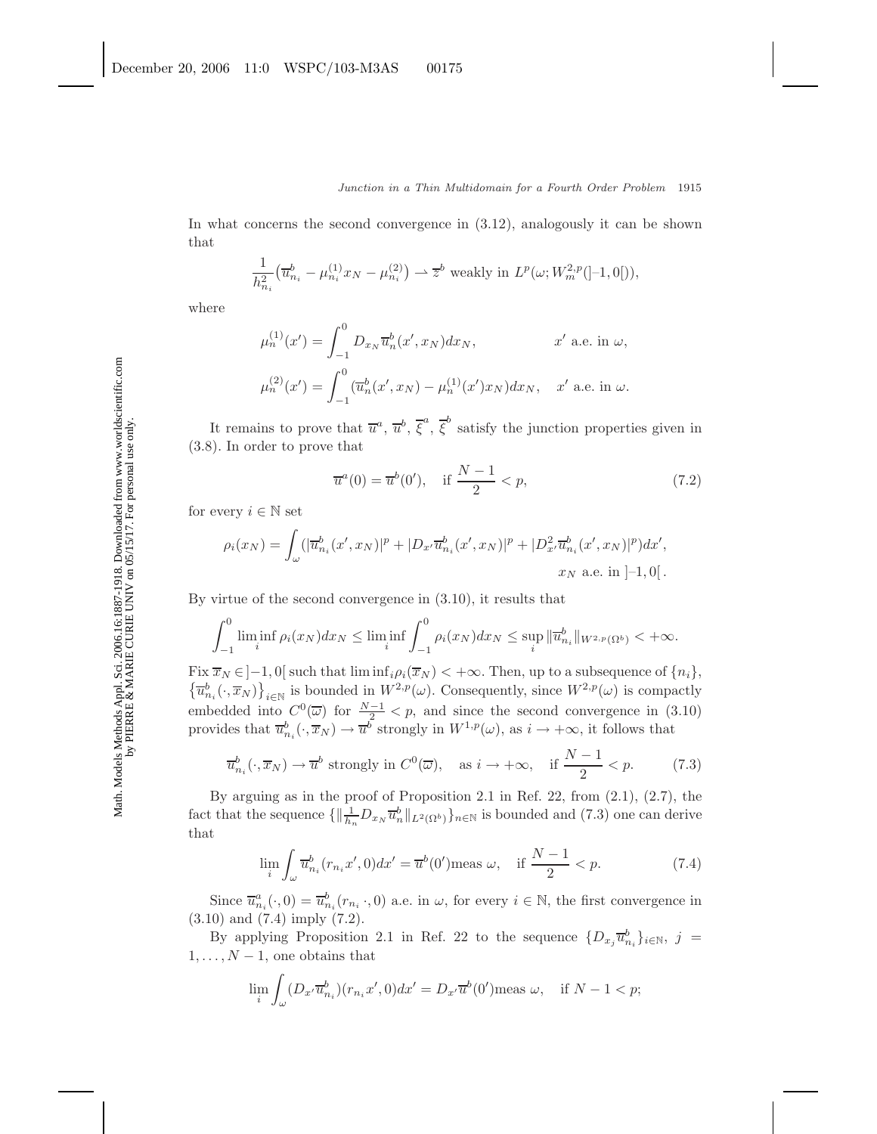In what concerns the second convergence in (3.12), analogously it can be shown that

$$
\frac{1}{h_{n_i}^2} \left( \overline{u}_{n_i}^b - \mu_{n_i}^{(1)} x_N - \mu_{n_i}^{(2)} \right) \rightharpoonup \overline{z}^b \text{ weakly in } L^p(\omega; W_m^{2,p}([-1,0]))
$$

where

$$
\mu_n^{(1)}(x') = \int_{-1}^0 D_{x_N} \overline{u}_n^b(x', x_N) dx_N, \qquad x' \text{ a.e. in } \omega,
$$
  

$$
\mu_n^{(2)}(x') = \int_{-1}^0 (\overline{u}_n^b(x', x_N) - \mu_n^{(1)}(x') x_N) dx_N, \quad x' \text{ a.e. in } \omega.
$$

It remains to prove that  $\overline{u}^a, \overline{u}^b, \overline{\xi}^a, \overline{\xi}^b$  satisfy the junction properties given in (3.8). In order to prove that

$$
\overline{u}^a(0) = \overline{u}^b(0'), \quad \text{if } \frac{N-1}{2} < p,
$$
\n(7.2)

for every  $i \in \mathbb{N}$  set

$$
\rho_i(x_N) = \int_{\omega} (|\overline{u}_{n_i}^b(x', x_N)|^p + |D_{x'}\overline{u}_{n_i}^b(x', x_N)|^p + |D_{x'}^2 \overline{u}_{n_i}^b(x', x_N)|^p) dx',
$$
  
 $x_N$  a.e. in [-1,0[.

By virtue of the second convergence in (3.10), it results that

$$
\int_{-1}^{0} \liminf_{i} \rho_i(x_N) dx_N \le \liminf_{i} \int_{-1}^{0} \rho_i(x_N) dx_N \le \sup_{i} \|\overline{u}_{n_i}^b\|_{W^{2,p}(\Omega^b)} < +\infty.
$$

Fix  $\overline{x}_N \in ]-1, 0[$  such that  $\liminf_{i\in \mathbb{N}} \rho_i(\overline{x}_N) < +\infty$ . Then, up to a subsequence of  $\{n_i\}$ ,  $\{\overline{u}_{n_i}^b(\cdot, \overline{x}_N)\}_{i\in \mathbb{N}}$  is bounded in  $W^{2,p}(\omega)$ . Consequently, since  $W^{2,p}(\omega)$  is compactly embedded into  $C^0(\overline{\omega})$  for  $\frac{N-1}{2} < p$ , and since the second convergence in (3.10) provides that  $\overline{u}_{n_i}^b(\cdot,\overline{x}_N) \to \overline{u}^b$  strongly in  $W^{1,p}(\omega)$ , as  $i \to +\infty$ , it follows that

$$
\overline{u}_{n_i}^b(\cdot, \overline{x}_N) \to \overline{u}^b \text{ strongly in } C^0(\overline{\omega}), \quad \text{as } i \to +\infty, \quad \text{if } \frac{N-1}{2} < p. \tag{7.3}
$$

By arguing as in the proof of Proposition 2.1 in Ref. 22, from (2.1), (2.7), the fact that the sequence  $\{\|\frac{1}{h_n}D_{x_N}\overline{u}_n^b\|_{L^2(\Omega^b)}\}_{n\in\mathbb{N}}$  is bounded and  $(7.3)$  one can derive that

$$
\lim_{i} \int_{\omega} \overline{u}_{n_i}^b(r_{n_i}x', 0) dx' = \overline{u}^b(0') \text{meas } \omega, \quad \text{if } \frac{N-1}{2} < p. \tag{7.4}
$$

Since  $\overline{u}_{n_i}^a(\cdot,0) = \overline{u}_{n_i}^b(r_{n_i} \cdot,0)$  a.e. in  $\omega$ , for every  $i \in \mathbb{N}$ , the first convergence in (3.10) and (7.4) imply (7.2).

By applying Proposition 2.1 in Ref. 22 to the sequence  $\{D_{x_j} \overline{u}_{n_i}^b\}_{i \in \mathbb{N}}, j =$  $1, \ldots, N-1$ , one obtains that

$$
\lim_{i} \int_{\omega} (D_{x'} \overline{u}_{n_i}^b)(r_{n_i} x', 0) dx' = D_{x'} \overline{u}^b(0') \text{meas } \omega, \text{ if } N - 1 < p;
$$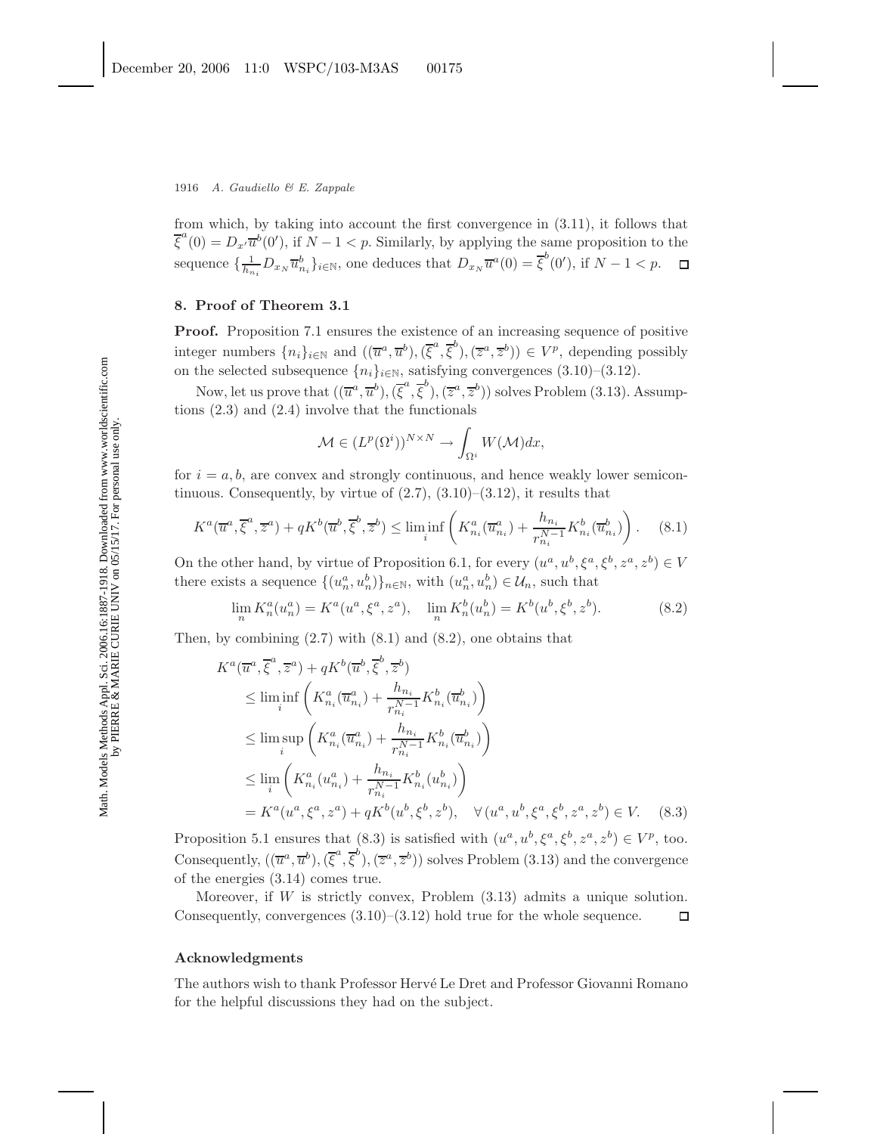from which, by taking into account the first convergence in (3.11), it follows that  $\overline{\xi}^a(0) = D_{x'} \overline{u}^b(0')$ , if  $N - 1 < p$ . Similarly, by applying the same proposition to the sequence  $\{\frac{1}{h_{n_i}}D_{x_N}\overline{u}_{n_i}^b\}_{i\in\mathbb{N}}$ , one deduces that  $D_{x_N}\overline{u}^a(0)=\overline{\xi}^b(0')$ , if  $N-1 < p$ .

### **8. Proof of Theorem 3.1**

**Proof.** Proposition 7.1 ensures the existence of an increasing sequence of positive integer numbers  $\{n_i\}_{i\in\mathbb{N}}$  and  $((\overline{u}^a, \overline{u}^b),(\overline{\xi}^a, \overline{\xi}^b),(\overline{z}^a, \overline{z}^b)) \in V^p$ , depending possibly on the selected subsequence  $\{n_i\}_{i\in\mathbb{N}}$ , satisfying convergences (3.10)–(3.12).

Now, let us prove that  $((\overline{u}^a, \overline{u}^b),(\overline{\xi}^a, \overline{\xi}^b),(\overline{z}^a, \overline{z}^b))$  solves Problem (3.13). Assumptions (2.3) and (2.4) involve that the functionals

$$
\mathcal{M} \in (L^p(\Omega^i))^{N \times N} \to \int_{\Omega^i} W(\mathcal{M}) dx,
$$

for  $i = a, b$ , are convex and strongly continuous, and hence weakly lower semicontinuous. Consequently, by virtue of  $(2.7)$ ,  $(3.10)$ – $(3.12)$ , it results that

$$
K^{a}(\overline{u}^{a}, \overline{\xi}^{a}, \overline{z}^{a}) + qK^{b}(\overline{u}^{b}, \overline{\xi}^{b}, \overline{z}^{b}) \le \liminf_{i} \left( K_{n_{i}}^{a}(\overline{u}_{n_{i}}^{a}) + \frac{h_{n_{i}}}{r_{n_{i}}^{N-1}} K_{n_{i}}^{b}(\overline{u}_{n_{i}}^{b}) \right). \tag{8.1}
$$

On the other hand, by virtue of Proposition 6.1, for every  $(u^a, u^b, \xi^a, \xi^b, z^a, z^b) \in V$ there exists a sequence  $\{(u_n^a, u_n^b)\}_{n \in \mathbb{N}}$ , with  $(u_n^a, u_n^b) \in \mathcal{U}_n$ , such that

$$
\lim_{n} K_{n}^{a}(u_{n}^{a}) = K^{a}(u^{a}, \xi^{a}, z^{a}), \quad \lim_{n} K_{n}^{b}(u_{n}^{b}) = K^{b}(u^{b}, \xi^{b}, z^{b}). \tag{8.2}
$$

Then, by combining  $(2.7)$  with  $(8.1)$  and  $(8.2)$ , one obtains that

$$
K^{a}(\overline{u}^{a}, \overline{\xi}^{a}, \overline{z}^{a}) + qK^{b}(\overline{u}^{b}, \overline{\xi}^{b}, \overline{z}^{b})
$$
  
\n
$$
\leq \liminf_{i} \left( K^{a}_{n_{i}}(\overline{u}^{a}_{n_{i}}) + \frac{h_{n_{i}}}{r_{n_{i}}^{N-1}} K^{b}_{n_{i}}(\overline{u}^{b}_{n_{i}}) \right)
$$
  
\n
$$
\leq \limsup_{i} \left( K^{a}_{n_{i}}(\overline{u}^{a}_{n_{i}}) + \frac{h_{n_{i}}}{r_{n_{i}}^{N-1}} K^{b}_{n_{i}}(\overline{u}^{b}_{n_{i}}) \right)
$$
  
\n
$$
\leq \lim_{i} \left( K^{a}_{n_{i}}(u^{a}_{n_{i}}) + \frac{h_{n_{i}}}{r_{n_{i}}^{N-1}} K^{b}_{n_{i}}(u^{b}_{n_{i}}) \right)
$$
  
\n
$$
= K^{a}(u^{a}, \xi^{a}, z^{a}) + qK^{b}(u^{b}, \xi^{b}, z^{b}), \quad \forall (u^{a}, u^{b}, \xi^{a}, \xi^{b}, z^{a}, z^{b}) \in V. \quad (8.3)
$$

Proposition 5.1 ensures that (8.3) is satisfied with  $(u^a, u^b, \xi^a, \xi^b, z^a, z^b) \in V^p$ , too. Consequently,  $((\overline{u}^a, \overline{u}^b),(\overline{\xi}^a, \overline{\xi}^b),(\overline{z}^a, \overline{z}^b))$  solves Problem (3.13) and the convergence of the energies (3.14) comes true.

Moreover, if W is strictly convex, Problem  $(3.13)$  admits a unique solution. Consequently, convergences  $(3.10)$ – $(3.12)$  hold true for the whole sequence.  $\Box$ 

#### **Acknowledgments**

The authors wish to thank Professor Herv´e Le Dret and Professor Giovanni Romano for the helpful discussions they had on the subject.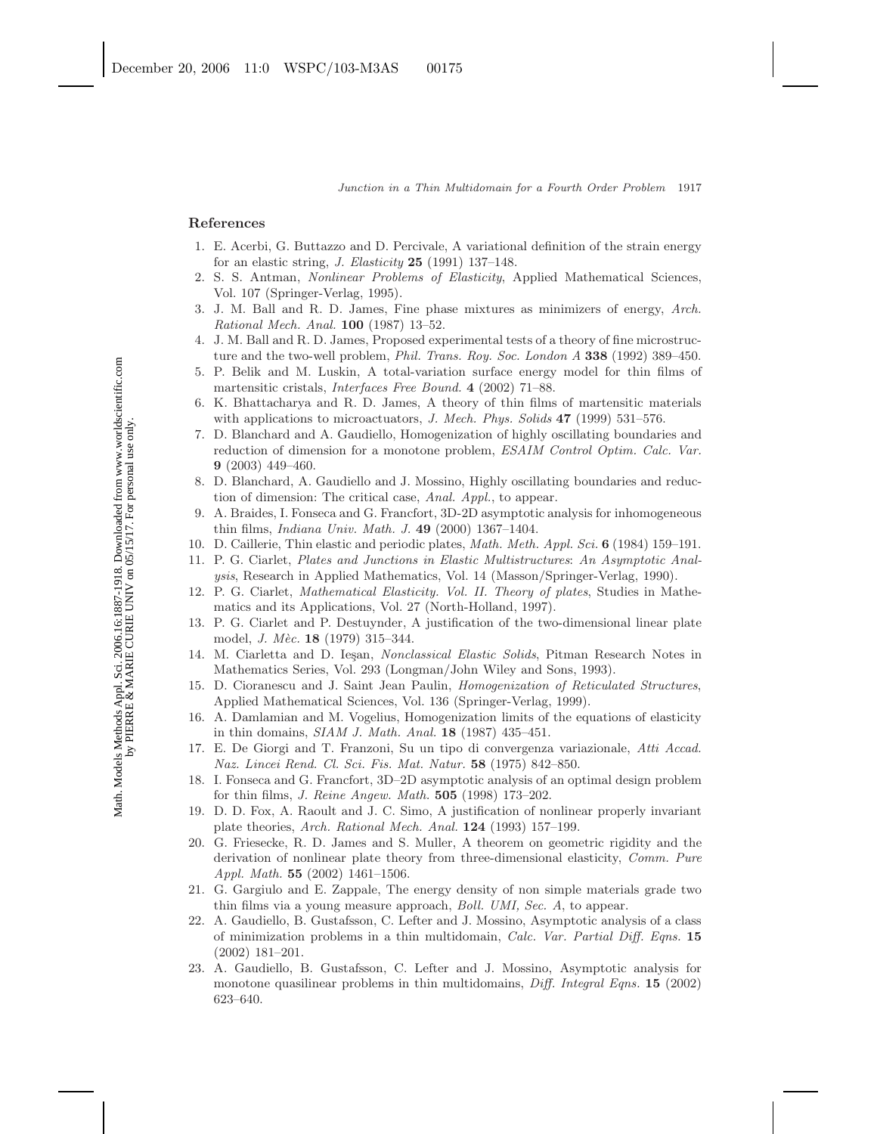#### **References**

- 1. E. Acerbi, G. Buttazzo and D. Percivale, A variational definition of the strain energy for an elastic string, J. Elasticity **25** (1991) 137–148.
- 2. S. S. Antman, Nonlinear Problems of Elasticity, Applied Mathematical Sciences, Vol. 107 (Springer-Verlag, 1995).
- 3. J. M. Ball and R. D. James, Fine phase mixtures as minimizers of energy, Arch. Rational Mech. Anal. **100** (1987) 13–52.
- 4. J. M. Ball and R. D. James, Proposed experimental tests of a theory of fine microstructure and the two-well problem, Phil. Trans. Roy. Soc. London A **338** (1992) 389–450.
- 5. P. Belik and M. Luskin, A total-variation surface energy model for thin films of martensitic cristals, Interfaces Free Bound. **4** (2002) 71–88.
- 6. K. Bhattacharya and R. D. James, A theory of thin films of martensitic materials with applications to microactuators, J. Mech. Phys. Solids **47** (1999) 531–576.
- 7. D. Blanchard and A. Gaudiello, Homogenization of highly oscillating boundaries and reduction of dimension for a monotone problem, ESAIM Control Optim. Calc. Var. **9** (2003) 449–460.
- 8. D. Blanchard, A. Gaudiello and J. Mossino, Highly oscillating boundaries and reduction of dimension: The critical case, Anal. Appl., to appear.
- 9. A. Braides, I. Fonseca and G. Francfort, 3D-2D asymptotic analysis for inhomogeneous thin films, Indiana Univ. Math. J. **49** (2000) 1367–1404.
- 10. D. Caillerie, Thin elastic and periodic plates, Math. Meth. Appl. Sci. **6** (1984) 159–191.
- 11. P. G. Ciarlet, Plates and Junctions in Elastic Multistructures: An Asymptotic Analysis, Research in Applied Mathematics, Vol. 14 (Masson/Springer-Verlag, 1990).
- 12. P. G. Ciarlet, Mathematical Elasticity. Vol. II. Theory of plates, Studies in Mathematics and its Applications, Vol. 27 (North-Holland, 1997).
- 13. P. G. Ciarlet and P. Destuynder, A justification of the two-dimensional linear plate model, *J. Mèc.* **18** (1979) 315-344.
- 14. M. Ciarletta and D. Ieşan, Nonclassical Elastic Solids, Pitman Research Notes in Mathematics Series, Vol. 293 (Longman/John Wiley and Sons, 1993).
- 15. D. Cioranescu and J. Saint Jean Paulin, Homogenization of Reticulated Structures, Applied Mathematical Sciences, Vol. 136 (Springer-Verlag, 1999).
- 16. A. Damlamian and M. Vogelius, Homogenization limits of the equations of elasticity in thin domains, SIAM J. Math. Anal. **18** (1987) 435–451.
- 17. E. De Giorgi and T. Franzoni, Su un tipo di convergenza variazionale, Atti Accad. Naz. Lincei Rend. Cl. Sci. Fis. Mat. Natur. **58** (1975) 842–850.
- 18. I. Fonseca and G. Francfort, 3D–2D asymptotic analysis of an optimal design problem for thin films, J. Reine Angew. Math. **505** (1998) 173–202.
- 19. D. D. Fox, A. Raoult and J. C. Simo, A justification of nonlinear properly invariant plate theories, Arch. Rational Mech. Anal. **124** (1993) 157–199.
- 20. G. Friesecke, R. D. James and S. Muller, A theorem on geometric rigidity and the derivation of nonlinear plate theory from three-dimensional elasticity, Comm. Pure Appl. Math. **55** (2002) 1461–1506.
- 21. G. Gargiulo and E. Zappale, The energy density of non simple materials grade two thin films via a young measure approach, Boll. UMI, Sec. A, to appear.
- 22. A. Gaudiello, B. Gustafsson, C. Lefter and J. Mossino, Asymptotic analysis of a class of minimization problems in a thin multidomain, Calc. Var. Partial Diff. Eqns. **15** (2002) 181–201.
- 23. A. Gaudiello, B. Gustafsson, C. Lefter and J. Mossino, Asymptotic analysis for monotone quasilinear problems in thin multidomains, Diff. Integral Eqns. **15** (2002) 623–640.